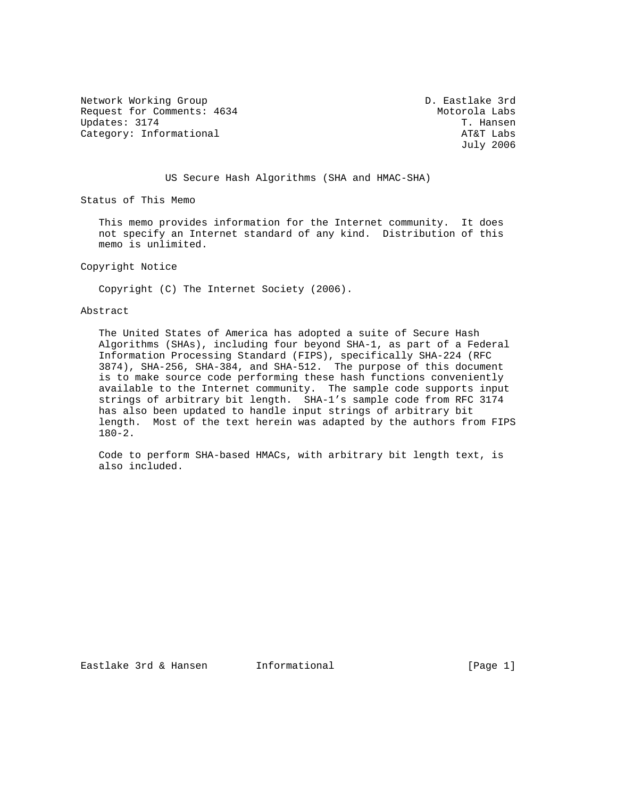Network Working Group D. Eastlake 3rd Request for Comments: 4634 Motorola Labs<br>Updates: 3174 T. Hansen Updates: 3174<br>Category: Informational della controller and the category: Informational Category: Informational

July 2006

US Secure Hash Algorithms (SHA and HMAC-SHA)

Status of This Memo

 This memo provides information for the Internet community. It does not specify an Internet standard of any kind. Distribution of this memo is unlimited.

Copyright Notice

Copyright (C) The Internet Society (2006).

#### Abstract

 The United States of America has adopted a suite of Secure Hash Algorithms (SHAs), including four beyond SHA-1, as part of a Federal Information Processing Standard (FIPS), specifically SHA-224 (RFC 3874), SHA-256, SHA-384, and SHA-512. The purpose of this document is to make source code performing these hash functions conveniently available to the Internet community. The sample code supports input strings of arbitrary bit length. SHA-1's sample code from RFC 3174 has also been updated to handle input strings of arbitrary bit length. Most of the text herein was adapted by the authors from FIPS 180-2.

 Code to perform SHA-based HMACs, with arbitrary bit length text, is also included.

Eastlake 3rd & Hansen Informational (Page 1)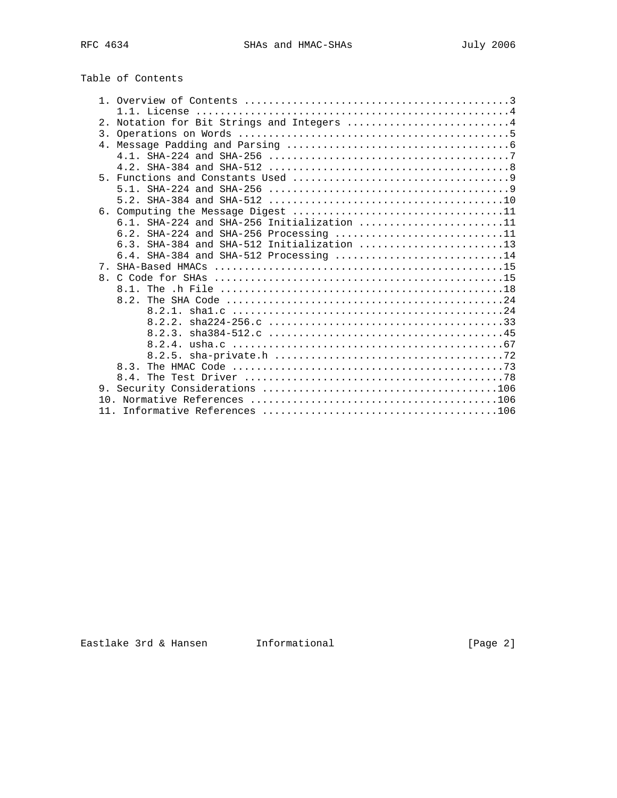# Table of Contents

|                | 2. Notation for Bit Strings and Integers 4   |
|----------------|----------------------------------------------|
|                |                                              |
| 4 <sub>1</sub> |                                              |
|                |                                              |
|                |                                              |
| $5 -$          |                                              |
|                |                                              |
|                |                                              |
|                |                                              |
|                | $6.1.$ SHA-224 and SHA-256 Initialization 11 |
|                | 6.2. SHA-224 and SHA-256 Processing 11       |
|                |                                              |
|                | 6.4. SHA-384 and SHA-512 Processing 14       |
| 7 <sub>1</sub> |                                              |
| 8 <sub>1</sub> |                                              |
|                |                                              |
|                |                                              |
|                |                                              |
|                |                                              |
|                |                                              |
|                |                                              |
|                | 8.2.5.                                       |
|                |                                              |
|                |                                              |
|                |                                              |
|                |                                              |
|                |                                              |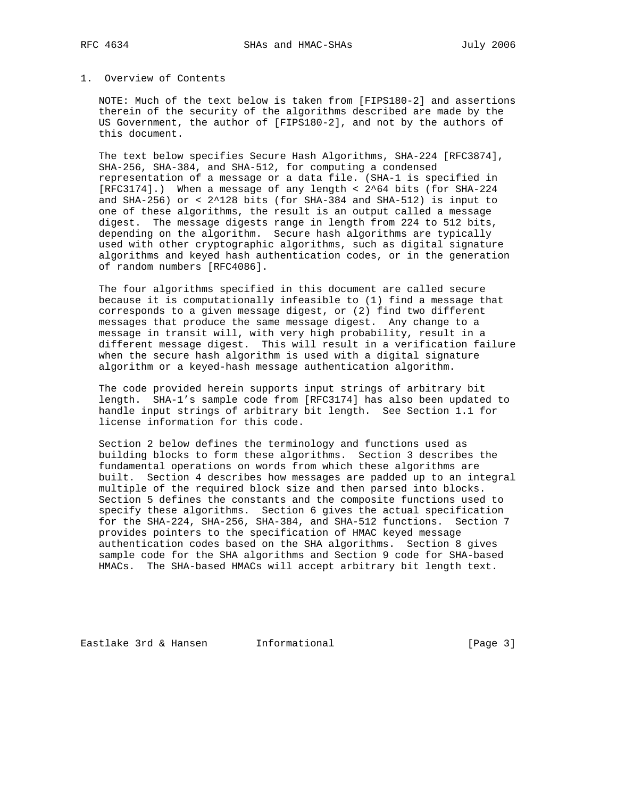### 1. Overview of Contents

 NOTE: Much of the text below is taken from [FIPS180-2] and assertions therein of the security of the algorithms described are made by the US Government, the author of [FIPS180-2], and not by the authors of this document.

 The text below specifies Secure Hash Algorithms, SHA-224 [RFC3874], SHA-256, SHA-384, and SHA-512, for computing a condensed representation of a message or a data file. (SHA-1 is specified in [RFC3174].) When a message of any length < 2^64 bits (for SHA-224 and SHA-256) or < 2^128 bits (for SHA-384 and SHA-512) is input to one of these algorithms, the result is an output called a message digest. The message digests range in length from 224 to 512 bits, depending on the algorithm. Secure hash algorithms are typically used with other cryptographic algorithms, such as digital signature algorithms and keyed hash authentication codes, or in the generation of random numbers [RFC4086].

 The four algorithms specified in this document are called secure because it is computationally infeasible to (1) find a message that corresponds to a given message digest, or (2) find two different messages that produce the same message digest. Any change to a message in transit will, with very high probability, result in a different message digest. This will result in a verification failure when the secure hash algorithm is used with a digital signature algorithm or a keyed-hash message authentication algorithm.

 The code provided herein supports input strings of arbitrary bit length. SHA-1's sample code from [RFC3174] has also been updated to handle input strings of arbitrary bit length. See Section 1.1 for license information for this code.

 Section 2 below defines the terminology and functions used as building blocks to form these algorithms. Section 3 describes the fundamental operations on words from which these algorithms are built. Section 4 describes how messages are padded up to an integral multiple of the required block size and then parsed into blocks. Section 5 defines the constants and the composite functions used to specify these algorithms. Section 6 gives the actual specification for the SHA-224, SHA-256, SHA-384, and SHA-512 functions. Section 7 provides pointers to the specification of HMAC keyed message authentication codes based on the SHA algorithms. Section 8 gives sample code for the SHA algorithms and Section 9 code for SHA-based HMACs. The SHA-based HMACs will accept arbitrary bit length text.

Eastlake 3rd & Hansen Informational (Page 3)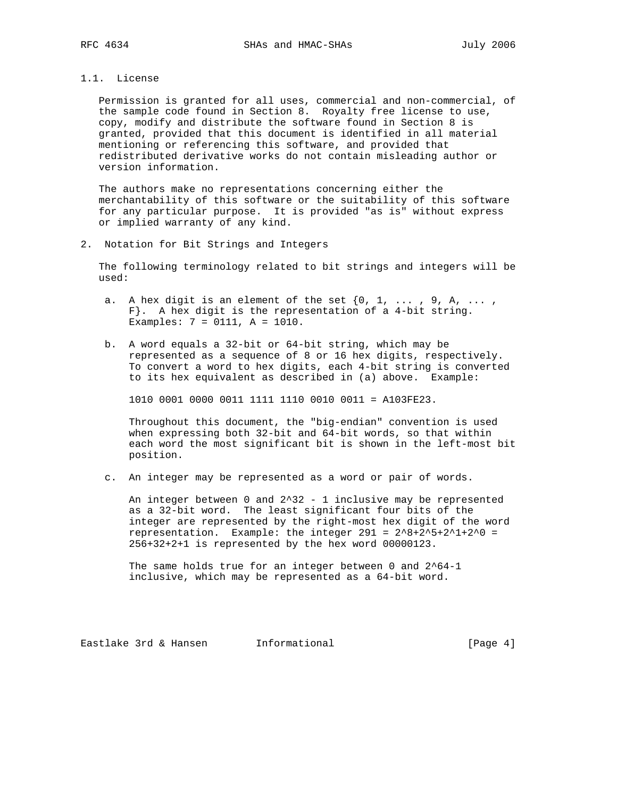# 1.1. License

 Permission is granted for all uses, commercial and non-commercial, of the sample code found in Section 8. Royalty free license to use, copy, modify and distribute the software found in Section 8 is granted, provided that this document is identified in all material mentioning or referencing this software, and provided that redistributed derivative works do not contain misleading author or version information.

 The authors make no representations concerning either the merchantability of this software or the suitability of this software for any particular purpose. It is provided "as is" without express or implied warranty of any kind.

2. Notation for Bit Strings and Integers

 The following terminology related to bit strings and integers will be used:

- a. A hex digit is an element of the set  $\{0, 1, \ldots, 9, A, \ldots\}$  F}. A hex digit is the representation of a 4-bit string. Examples: 7 = 0111, A = 1010.
- b. A word equals a 32-bit or 64-bit string, which may be represented as a sequence of 8 or 16 hex digits, respectively. To convert a word to hex digits, each 4-bit string is converted to its hex equivalent as described in (a) above. Example:

1010 0001 0000 0011 1111 1110 0010 0011 = A103FE23.

 Throughout this document, the "big-endian" convention is used when expressing both 32-bit and 64-bit words, so that within each word the most significant bit is shown in the left-most bit position.

c. An integer may be represented as a word or pair of words.

An integer between 0 and  $2^332 - 1$  inclusive may be represented as a 32-bit word. The least significant four bits of the integer are represented by the right-most hex digit of the word representation. Example: the integer  $291 = 2^8 + 2^5 + 2^1 + 2^0 = 1$ 256+32+2+1 is represented by the hex word 00000123.

 The same holds true for an integer between 0 and 2^64-1 inclusive, which may be represented as a 64-bit word.

Eastlake 3rd & Hansen Informational (Page 4)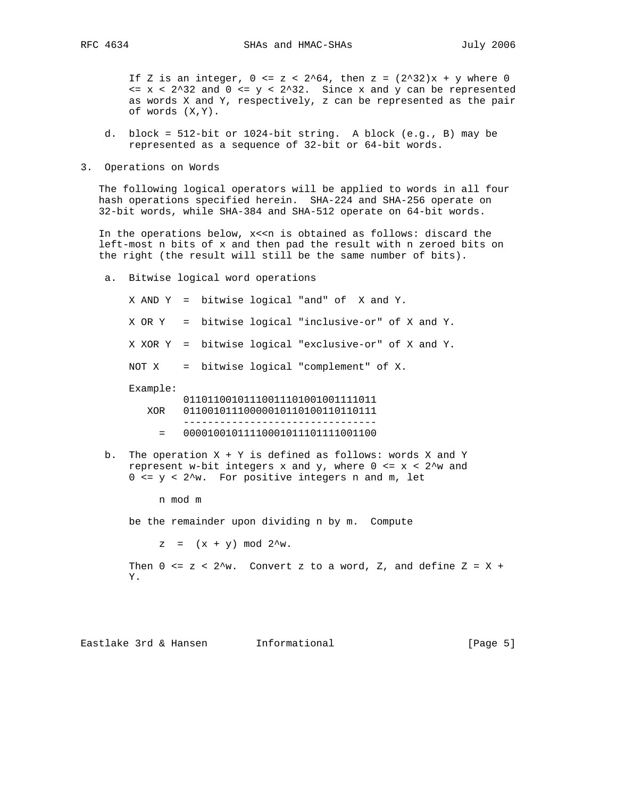If Z is an integer,  $0 \le z \le 2^64$ , then  $z = (2^32)x + y$  where 0  $\langle z \rangle = x \langle z^2 \rangle$  and  $0 \langle z \rangle = y \langle z^2 \rangle$  and  $x$  and  $y$  can be represented as words X and Y, respectively, z can be represented as the pair of words (X,Y).

- d. block = 512-bit or 1024-bit string. A block (e.g., B) may be represented as a sequence of 32-bit or 64-bit words.
- 3. Operations on Words

 The following logical operators will be applied to words in all four hash operations specified herein. SHA-224 and SHA-256 operate on 32-bit words, while SHA-384 and SHA-512 operate on 64-bit words.

In the operations below, x<<n is obtained as follows: discard the left-most n bits of x and then pad the result with n zeroed bits on the right (the result will still be the same number of bits).

 a. Bitwise logical word operations X AND Y = bitwise logical "and" of X and Y. X OR Y = bitwise logical "inclusive-or" of X and Y. X XOR Y = bitwise logical "exclusive-or" of X and Y. NOT X = bitwise logical "complement" of X. Example: 01101100101110011101001001111011 XOR 01100101110000010110100110110111 --------------------------------  $= 000010010111100010111101111001100$ 

b. The operation  $X + Y$  is defined as follows: words X and Y represent w-bit integers x and y, where  $0 \le x \le 2^w$  and  $0 \leq y < 2^w$ . For positive integers n and m, let

n mod m

be the remainder upon dividing n by m. Compute

 $z = (x + y) \mod 2^w$ .

Then  $0 \le z \le 2^w$ . Convert z to a word, Z, and define  $Z = X +$ Y.

Eastlake 3rd & Hansen Informational (Page 5)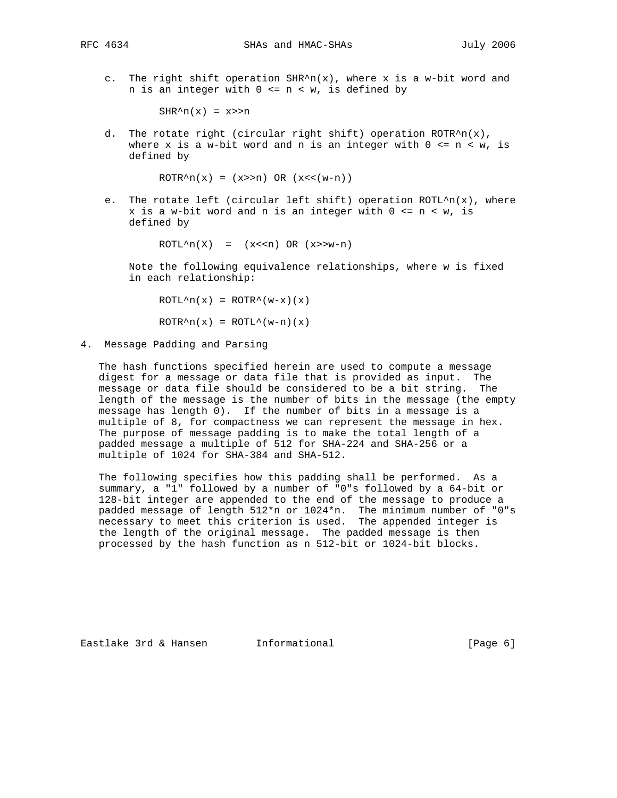c. The right shift operation  $SHR^n(n(x))$ , where x is a w-bit word and n is an integer with  $0 \le n \le w$ , is defined by

 $SHR^n(x) = x>>n$ 

d. The rotate right (circular right shift) operation  $ROTR^n(n(x))$ , where x is a w-bit word and n is an integer with  $0 \le n \le w$ , is defined by

 $ROTR^n(x) = (x>>n) OR (x<<(w-n))$ 

e. The rotate left (circular left shift) operation  $ROTL^n(n(x))$ , where  $x$  is a w-bit word and n is an integer with  $0 \leq n \leq w$ , is defined by

 $ROTL^n(X) = (x<0) OR (x>>w-n)$ 

 Note the following equivalence relationships, where w is fixed in each relationship:

 $ROTL^h(x) = ROTR^h(w-x)(x)$  $ROTR^n(x) = ROTL^(w-n)(x)$ 

4. Message Padding and Parsing

 The hash functions specified herein are used to compute a message digest for a message or data file that is provided as input. The message or data file should be considered to be a bit string. The length of the message is the number of bits in the message (the empty message has length 0). If the number of bits in a message is a multiple of 8, for compactness we can represent the message in hex. The purpose of message padding is to make the total length of a padded message a multiple of 512 for SHA-224 and SHA-256 or a multiple of 1024 for SHA-384 and SHA-512.

 The following specifies how this padding shall be performed. As a summary, a "1" followed by a number of "0"s followed by a 64-bit or 128-bit integer are appended to the end of the message to produce a padded message of length 512\*n or 1024\*n. The minimum number of "0"s necessary to meet this criterion is used. The appended integer is the length of the original message. The padded message is then processed by the hash function as n 512-bit or 1024-bit blocks.

Eastlake 3rd & Hansen Informational (Page 6)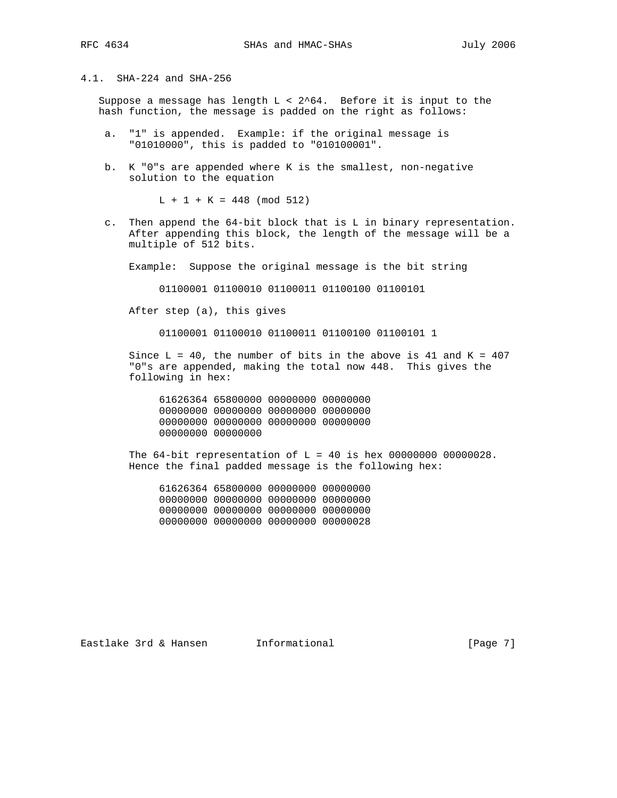# 4.1. SHA-224 and SHA-256

Suppose a message has length  $L < 2$ <sup>64</sup>. Before it is input to the hash function, the message is padded on the right as follows:

- a. "1" is appended. Example: if the original message is "01010000", this is padded to "010100001".
- b. K "0"s are appended where K is the smallest, non-negative solution to the equation

 $L + 1 + K = 448$  (mod 512)

 c. Then append the 64-bit block that is L in binary representation. After appending this block, the length of the message will be a multiple of 512 bits.

Example: Suppose the original message is the bit string

01100001 01100010 01100011 01100100 01100101

After step (a), this gives

01100001 01100010 01100011 01100100 01100101 1

Since  $L = 40$ , the number of bits in the above is 41 and K = 407 "0"s are appended, making the total now 448. This gives the following in hex:

 61626364 65800000 00000000 00000000 00000000 00000000 00000000 00000000 00000000 00000000 00000000 00000000 00000000 00000000

The  $64$ -bit representation of L = 40 is hex 00000000 00000028. Hence the final padded message is the following hex:

 61626364 65800000 00000000 00000000 00000000 00000000 00000000 00000000 00000000 00000000 00000000 00000000 00000000 00000000 00000000 00000028

Eastlake 3rd & Hansen Informational (Page 7)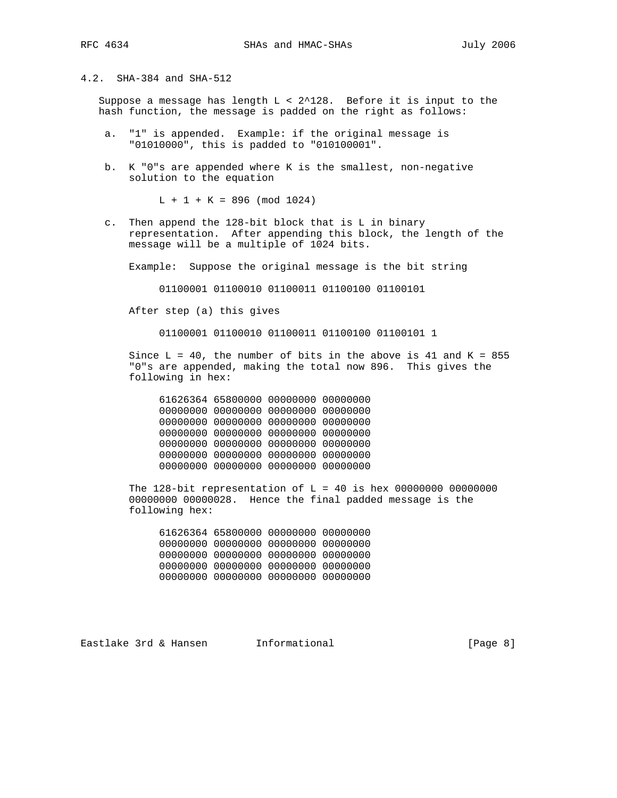4.2. SHA-384 and SHA-512

Suppose a message has length  $L < 2^{\lambda}128$ . Before it is input to the hash function, the message is padded on the right as follows:

- a. "1" is appended. Example: if the original message is "01010000", this is padded to "010100001".
- b. K "0"s are appended where K is the smallest, non-negative solution to the equation

 $L + 1 + K = 896 \pmod{1024}$ 

 c. Then append the 128-bit block that is L in binary representation. After appending this block, the length of the message will be a multiple of 1024 bits.

Example: Suppose the original message is the bit string

01100001 01100010 01100011 01100100 01100101

After step (a) this gives

01100001 01100010 01100011 01100100 01100101 1

Since  $L = 40$ , the number of bits in the above is 41 and K = 855 "0"s are appended, making the total now 896. This gives the following in hex:

 61626364 65800000 00000000 00000000 00000000 00000000 00000000 00000000 00000000 00000000 00000000 00000000 00000000 00000000 00000000 00000000 00000000 00000000 00000000 00000000 00000000 00000000 00000000 00000000 00000000 00000000 00000000 00000000

The  $128$ -bit representation of L = 40 is hex 00000000 00000000 00000000 00000028. Hence the final padded message is the following hex:

 61626364 65800000 00000000 00000000 00000000 00000000 00000000 00000000 00000000 00000000 00000000 00000000 00000000 00000000 00000000 00000000 00000000 00000000 00000000 00000000

Eastlake 3rd & Hansen Informational (Page 8)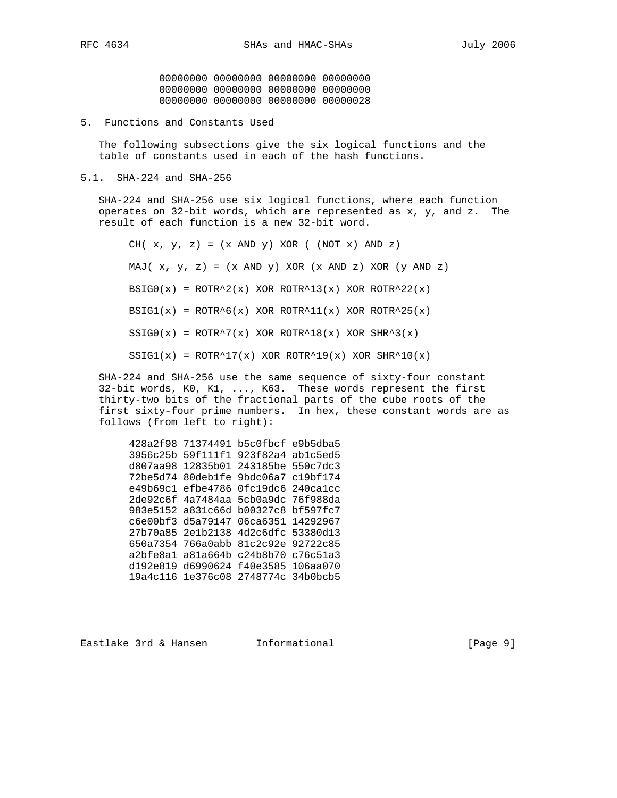00000000 00000000 00000000 00000000 00000000 00000000 00000000 00000000 00000000 00000000 00000000 00000028

5. Functions and Constants Used

 The following subsections give the six logical functions and the table of constants used in each of the hash functions.

5.1. SHA-224 and SHA-256

 SHA-224 and SHA-256 use six logical functions, where each function operates on 32-bit words, which are represented as x, y, and z. The result of each function is a new 32-bit word.

CH(  $x, y, z$ ) =  $(x$  AND  $y)$  XOR (  $(NOT x)$  AND  $z)$ MAJ(  $x, y, z$ ) =  $(x \text{ AND } y) \text{ XOR } (x \text{ AND } z) \text{ XOR } (y \text{ AND } z)$  $BSIG0(x) = ROTR^2(x)$  XOR ROTR<sup>13</sup>(x) XOR ROTR<sup>2</sup>22(x) BSIG $1(x)$  = ROTR^6(x) XOR ROTR^11(x) XOR ROTR^25(x)  $SSIG0(x) = ROTR^7(x) XOR ROTR^18(x) XOR SHR^3(x)$  $SSIG1(x) = ROTR^17(x)$  XOR ROTR<sup>19</sup>(x) XOR SHR<sup>10</sup>(x)

 SHA-224 and SHA-256 use the same sequence of sixty-four constant 32-bit words, K0, K1, ..., K63. These words represent the first thirty-two bits of the fractional parts of the cube roots of the first sixty-four prime numbers. In hex, these constant words are as follows (from left to right):

 428a2f98 71374491 b5c0fbcf e9b5dba5 3956c25b 59f111f1 923f82a4 ab1c5ed5 d807aa98 12835b01 243185be 550c7dc3 72be5d74 80deb1fe 9bdc06a7 c19bf174 e49b69c1 efbe4786 0fc19dc6 240ca1cc 2de92c6f 4a7484aa 5cb0a9dc 76f988da 983e5152 a831c66d b00327c8 bf597fc7 c6e00bf3 d5a79147 06ca6351 14292967 27b70a85 2e1b2138 4d2c6dfc 53380d13 650a7354 766a0abb 81c2c92e 92722c85 a2bfe8a1 a81a664b c24b8b70 c76c51a3 d192e819 d6990624 f40e3585 106aa070 19a4c116 1e376c08 2748774c 34b0bcb5

Eastlake 3rd & Hansen Informational (Page 9)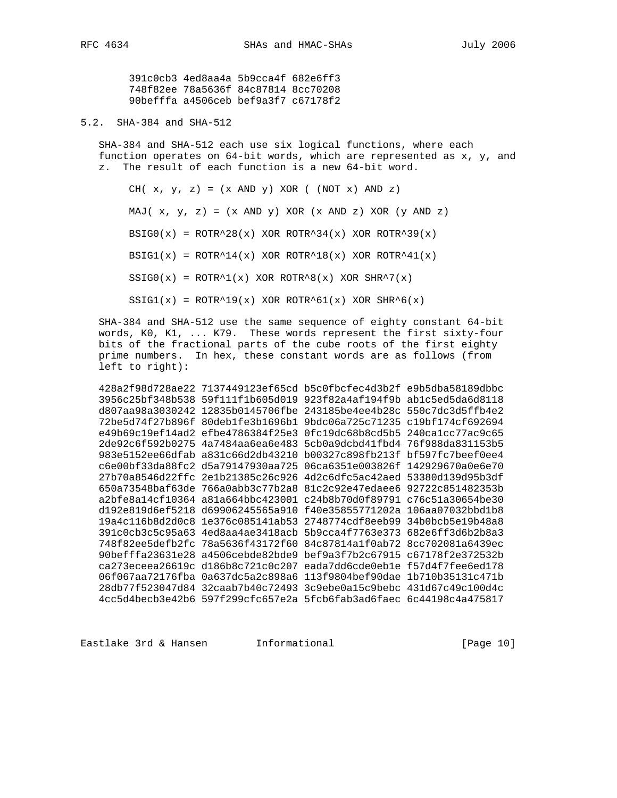391c0cb3 4ed8aa4a 5b9cca4f 682e6ff3 748f82ee 78a5636f 84c87814 8cc70208 90befffa a4506ceb bef9a3f7 c67178f2

5.2. SHA-384 and SHA-512

 SHA-384 and SHA-512 each use six logical functions, where each function operates on 64-bit words, which are represented as x, y, and z. The result of each function is a new 64-bit word.

CH(  $x, y, z$ ) =  $(x$  AND  $y)$  XOR (  $(NOT x)$  AND  $z)$ MAJ(  $x, y, z$ ) =  $(x \text{ AND } y) \text{ XOR } (x \text{ AND } z) \text{ XOR } (y \text{ AND } z)$ BSIG0(x) =  $ROTR^28(x)$  XOR ROTR<sup>2</sup>34(x) XOR ROTR<sup>2</sup>39(x) BSIG $1(x)$  = ROTR^14(x) XOR ROTR^18(x) XOR ROTR^41(x)  $SSIG0(x) = ROTR^1(x) XOR ROTR^8(x) XOR SHR^7(x)$  $SSIG1(x) = ROTR^19(x)$  XOR ROTR^61(x) XOR SHR^6(x)

 SHA-384 and SHA-512 use the same sequence of eighty constant 64-bit words, K0, K1, ... K79. These words represent the first sixty-four bits of the fractional parts of the cube roots of the first eighty prime numbers. In hex, these constant words are as follows (from left to right):

 428a2f98d728ae22 7137449123ef65cd b5c0fbcfec4d3b2f e9b5dba58189dbbc 3956c25bf348b538 59f111f1b605d019 923f82a4af194f9b ab1c5ed5da6d8118 d807aa98a3030242 12835b0145706fbe 243185be4ee4b28c 550c7dc3d5ffb4e2 72be5d74f27b896f 80deb1fe3b1696b1 9bdc06a725c71235 c19bf174cf692694 e49b69c19ef14ad2 efbe4786384f25e3 0fc19dc68b8cd5b5 240ca1cc77ac9c65 2de92c6f592b0275 4a7484aa6ea6e483 5cb0a9dcbd41fbd4 76f988da831153b5 983e5152ee66dfab a831c66d2db43210 b00327c898fb213f bf597fc7beef0ee4 c6e00bf33da88fc2 d5a79147930aa725 06ca6351e003826f 142929670a0e6e70 27b70a8546d22ffc 2e1b21385c26c926 4d2c6dfc5ac42aed 53380d139d95b3df 650a73548baf63de 766a0abb3c77b2a8 81c2c92e47edaee6 92722c851482353b a2bfe8a14cf10364 a81a664bbc423001 c24b8b70d0f89791 c76c51a30654be30 d192e819d6ef5218 d69906245565a910 f40e35855771202a 106aa07032bbd1b8 19a4c116b8d2d0c8 1e376c085141ab53 2748774cdf8eeb99 34b0bcb5e19b48a8 391c0cb3c5c95a63 4ed8aa4ae3418acb 5b9cca4f7763e373 682e6ff3d6b2b8a3 748f82ee5defb2fc 78a5636f43172f60 84c87814a1f0ab72 8cc702081a6439ec 90befffa23631e28 a4506cebde82bde9 bef9a3f7b2c67915 c67178f2e372532b ca273eceea26619c d186b8c721c0c207 eada7dd6cde0eb1e f57d4f7fee6ed178 06f067aa72176fba 0a637dc5a2c898a6 113f9804bef90dae 1b710b35131c471b 28db77f523047d84 32caab7b40c72493 3c9ebe0a15c9bebc 431d67c49c100d4c 4cc5d4becb3e42b6 597f299cfc657e2a 5fcb6fab3ad6faec 6c44198c4a475817

Eastlake 3rd & Hansen Informational (Page 10)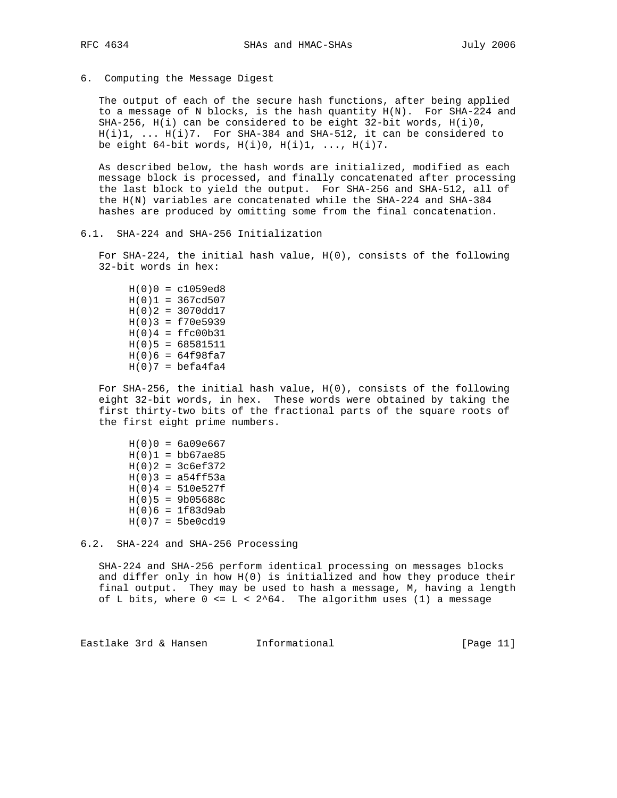6. Computing the Message Digest

 The output of each of the secure hash functions, after being applied to a message of N blocks, is the hash quantity H(N). For SHA-224 and SHA-256, H(i) can be considered to be eight 32-bit words, H(i)0, H(i)1, ... H(i)7. For SHA-384 and SHA-512, it can be considered to be eight  $64$ -bit words,  $H(i)0$ ,  $H(i)1$ , ...,  $H(i)7$ .

 As described below, the hash words are initialized, modified as each message block is processed, and finally concatenated after processing the last block to yield the output. For SHA-256 and SHA-512, all of the H(N) variables are concatenated while the SHA-224 and SHA-384 hashes are produced by omitting some from the final concatenation.

6.1. SHA-224 and SHA-256 Initialization

 For SHA-224, the initial hash value, H(0), consists of the following 32-bit words in hex:

 $H(0)0 = c1059ed8$  $H(0)1 = 367cd507$  $H(0)2 = 3070d^{17}$  $H(0)3 = f70e5939$  $H(0)4 = ffc00b31$  $H(0)5 = 68581511$  $H(0)6 = 64f98fa7$  $H(0)7 = \text{befa4fa4}$ 

 For SHA-256, the initial hash value, H(0), consists of the following eight 32-bit words, in hex. These words were obtained by taking the first thirty-two bits of the fractional parts of the square roots of the first eight prime numbers.

 $H(0)0 = 6a09e667$  $H(0)1 = bb67ae85$  $H(0)2 = 3c6ef372$  $H(0)3 = a54ff53a$  $H(0)4 = 510e527f$  $H(0)5 = 9b05688c$  $H(0)6 = 1f83d9ab$  $H(0)7 = 5be0cd19$ 

6.2. SHA-224 and SHA-256 Processing

 SHA-224 and SHA-256 perform identical processing on messages blocks and differ only in how H(0) is initialized and how they produce their final output. They may be used to hash a message, M, having a length of L bits, where  $0 \le L \le 2^64$ . The algorithm uses (1) a message

Eastlake 3rd & Hansen Informational (Page 11)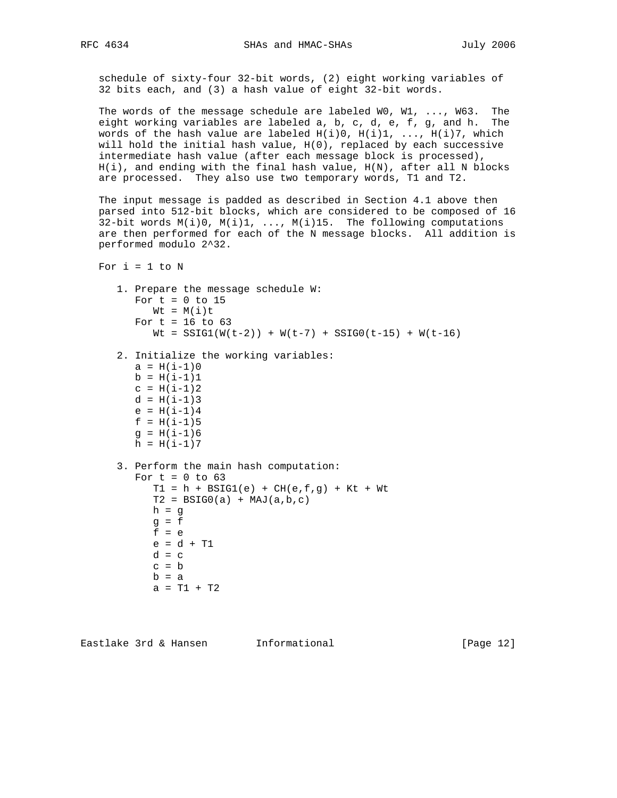schedule of sixty-four 32-bit words, (2) eight working variables of 32 bits each, and (3) a hash value of eight 32-bit words.

 The words of the message schedule are labeled W0, W1, ..., W63. The eight working variables are labeled a, b, c, d, e, f, g, and h. The words of the hash value are labeled  $H(i)0$ ,  $H(i)1$ , ...,  $H(i)7$ , which will hold the initial hash value, H(0), replaced by each successive intermediate hash value (after each message block is processed),  $H(i)$ , and ending with the final hash value,  $H(N)$ , after all N blocks are processed. They also use two temporary words, T1 and T2.

 The input message is padded as described in Section 4.1 above then parsed into 512-bit blocks, which are considered to be composed of 16  $32$ -bit words  $M(i)0$ ,  $M(i)1$ , ...,  $M(i)15$ . The following computations are then performed for each of the N message blocks. All addition is performed modulo 2^32.

```
For i = 1 to N
```

```
 1. Prepare the message schedule W:
  For t = 0 to 15
     Wt = M(i)tFor t = 16 to 63
     Wt = SSIG1(W(t-2)) + W(t-7) + SSIG0(t-15) + W(t-16) 2. Initialize the working variables:
  a = H(i-1)0b = H(i-1)1c = H(i-1)2d = H(i-1)3e = H(i-1)4f = H(i-1)5g = H(i-1)6h = H(i-1)7 3. Perform the main hash computation:
  For t = 0 to 63
     T1 = h + BSIG1(e) + CH(e, f, g) + Kt + WtT2 = BSTG0(a) + MAJ(a,b,c)h = gg = ff = e e = d + T1
```

```
d = cc = bb = aa = T1 + T2
```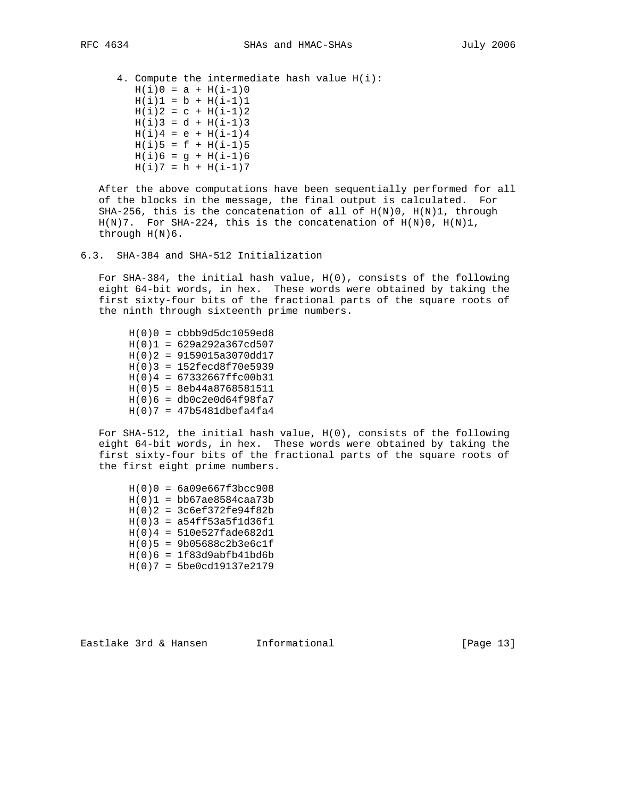4. Compute the intermediate hash value H(i):  $H(i)0 = a + H(i-1)0$  $H(i)1 = b + H(i-1)1$  $H(i)2 = c + H(i-1)2$  $H(i)3 = d + H(i-1)3$  $H(i)4 = e + H(i-1)4$  $H(i)5 = f + H(i-1)5$  $H(i)6 = g + H(i-1)6$  $H(i)7 = h + H(i-1)7$ 

 After the above computations have been sequentially performed for all of the blocks in the message, the final output is calculated. For SHA-256, this is the concatenation of all of  $H(N)0$ ,  $H(N)1$ , through  $H(N)$ 7. For SHA-224, this is the concatenation of  $H(N)$ 0,  $H(N)1$ , through H(N)6.

 For SHA-384, the initial hash value, H(0), consists of the following eight 64-bit words, in hex. These words were obtained by taking the first sixty-four bits of the fractional parts of the square roots of the ninth through sixteenth prime numbers.

 H(0)0 = cbbb9d5dc1059ed8  $H(0)1 = 629a292a367cd507$  H(0)2 = 9159015a3070dd17  $H(0)3 = 152fecd8f70e5939$  $H(0)4 = 67332667ffc00b31$  H(0)5 = 8eb44a8768581511  $H(0)6 = db0c2e0d64f98fa7$  $H(0)7 = 47b5481dbefa4fa4$ 

 For SHA-512, the initial hash value, H(0), consists of the following eight 64-bit words, in hex. These words were obtained by taking the first sixty-four bits of the fractional parts of the square roots of the first eight prime numbers.

 $H(0)0 = 6a09e667f3bcc908$  $H(0)1 = bb67ae8584caa73b$  $H(0)2 = 3c6ef372fe94f82b$  $H(0)3 = a54ff53a5f1d36f1$  H(0)4 = 510e527fade682d1 H(0)5 = 9b05688c2b3e6c1f H(0)6 = 1f83d9abfb41bd6b H(0)7 = 5be0cd19137e2179

Eastlake 3rd & Hansen Informational [Page 13]

<sup>6.3.</sup> SHA-384 and SHA-512 Initialization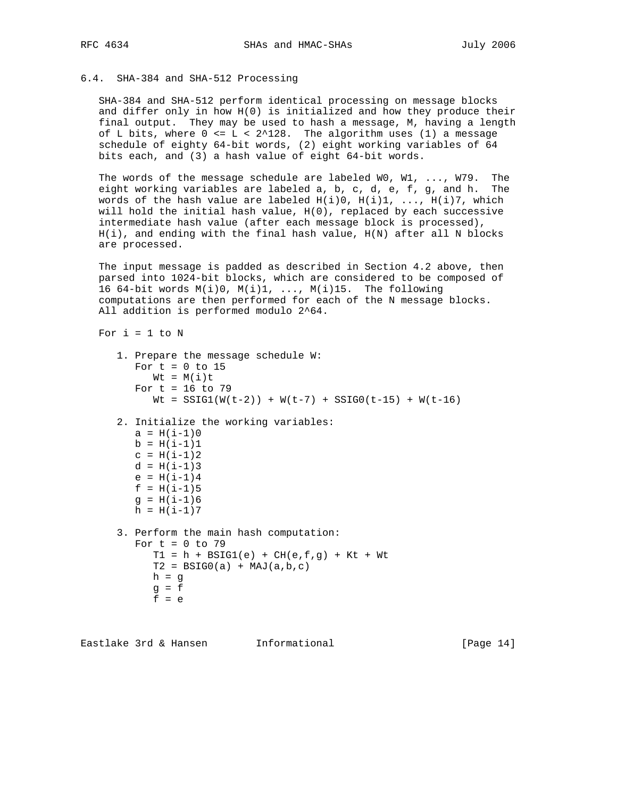### 6.4. SHA-384 and SHA-512 Processing

 SHA-384 and SHA-512 perform identical processing on message blocks and differ only in how H(0) is initialized and how they produce their final output. They may be used to hash a message, M, having a length of L bits, where  $0 \le L \le 2^128$ . The algorithm uses (1) a message schedule of eighty 64-bit words, (2) eight working variables of 64 bits each, and (3) a hash value of eight 64-bit words.

 The words of the message schedule are labeled W0, W1, ..., W79. The eight working variables are labeled a, b, c, d, e, f, g, and h. The words of the hash value are labeled  $H(i)0$ ,  $H(i)1$ , ...,  $H(i)7$ , which will hold the initial hash value, H(0), replaced by each successive intermediate hash value (after each message block is processed),  $H(i)$ , and ending with the final hash value,  $H(N)$  after all N blocks are processed.

 The input message is padded as described in Section 4.2 above, then parsed into 1024-bit blocks, which are considered to be composed of 16 64-bit words M(i)0, M(i)1, ..., M(i)15. The following computations are then performed for each of the N message blocks. All addition is performed modulo 2^64.

```
For i = 1 to N
```

```
 1. Prepare the message schedule W:
  For t = 0 to 15
     Wt = M(i)tFor t = 16 to 79
     Wt = SSIG1(W(t-2)) + W(t-7) + SSIG0(t-15) + W(t-16) 2. Initialize the working variables:
  a = H(i-1)0b = H(i-1)1c = H(i-1)2d = H(i-1)3e = H(i-1)4f = H(i-1)5g = H(i-1)6h = H(i-1)7 3. Perform the main hash computation:
  For t = 0 to 79
     T1 = h + BSIG1(e) + CH(e, f, g) + Kt + WtT2 = BSTG0(a) + MAJ(a,b,c)h = qg = ff = e
```
Eastlake 3rd & Hansen Informational (Page 14)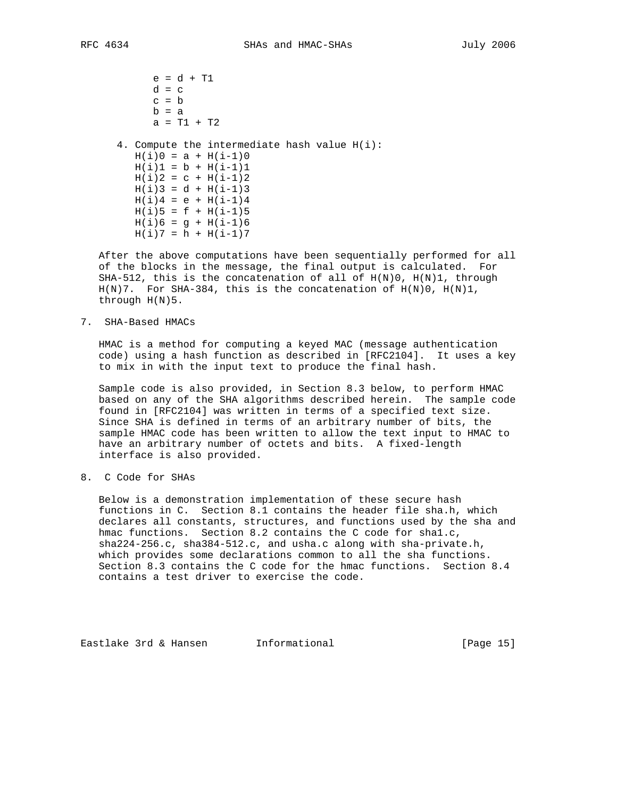e = d + T1  $d = c$  $c = b$  $b = a$  $a = T1 + T2$  4. Compute the intermediate hash value H(i):  $H(i)0 = a + H(i-1)0$  $H(i)1 = b + H(i-1)1$  $H(i)2 = C + H(i-1)2$  $H(i)3 = d + H(i-1)3$  $H(i)4 = e + H(i-1)4$  $H(i)5 = f + H(i-1)5$  $H(i)6 = g + H(i-1)6$  $H(i)7 = h + H(i-1)7$ 

 After the above computations have been sequentially performed for all of the blocks in the message, the final output is calculated. For SHA-512, this is the concatenation of all of  $H(N)0$ ,  $H(N)1$ , through  $H(N)$ 7. For SHA-384, this is the concatenation of  $H(N)0$ ,  $H(N)1$ , through H(N)5.

7. SHA-Based HMACs

 HMAC is a method for computing a keyed MAC (message authentication code) using a hash function as described in [RFC2104]. It uses a key to mix in with the input text to produce the final hash.

 Sample code is also provided, in Section 8.3 below, to perform HMAC based on any of the SHA algorithms described herein. The sample code found in [RFC2104] was written in terms of a specified text size. Since SHA is defined in terms of an arbitrary number of bits, the sample HMAC code has been written to allow the text input to HMAC to have an arbitrary number of octets and bits. A fixed-length interface is also provided.

8. C Code for SHAs

 Below is a demonstration implementation of these secure hash functions in C. Section 8.1 contains the header file sha.h, which declares all constants, structures, and functions used by the sha and hmac functions. Section 8.2 contains the C code for sha1.c, sha224-256.c, sha384-512.c, and usha.c along with sha-private.h, which provides some declarations common to all the sha functions. Section 8.3 contains the C code for the hmac functions. Section 8.4 contains a test driver to exercise the code.

Eastlake 3rd & Hansen Informational (Page 15)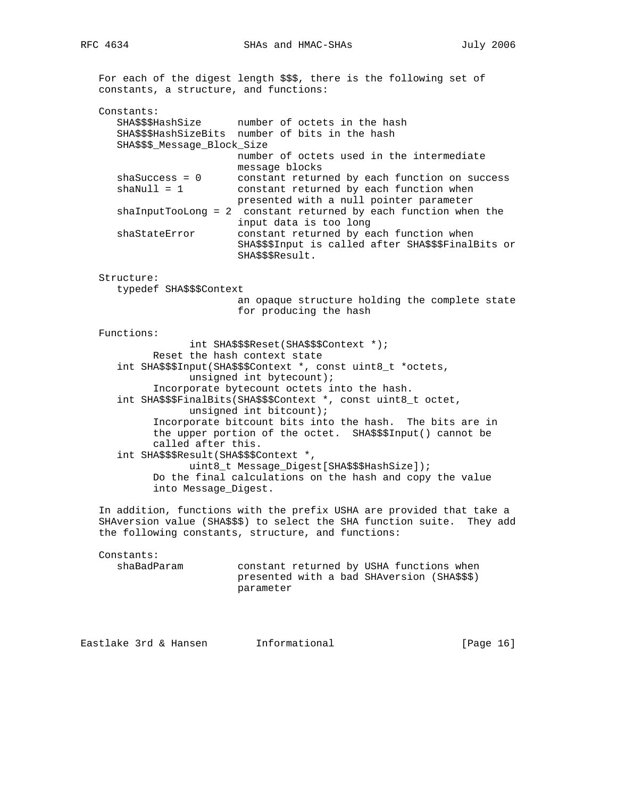For each of the digest length \$\$\$, there is the following set of constants, a structure, and functions: Constants: SHA\$\$\$HashSize number of octets in the hash SHA\$\$\$HashSizeBits number of bits in the hash SHA\$\$\$\_Message\_Block\_Size number of octets used in the intermediate message blocks shaSuccess = 0 constant returned by each function on success shaNull = 1 constant returned by each function when presented with a null pointer parameter shaInputTooLong = 2 constant returned by each function when the input data is too long shaStateError constant returned by each function when SHA\$\$\$Input is called after SHA\$\$\$FinalBits or SHA\$\$\$Result. Structure: typedef SHA\$\$\$Context an opaque structure holding the complete state for producing the hash Functions: int SHA\$\$\$Reset(SHA\$\$\$Context \*); Reset the hash context state int SHA\$\$\$Input(SHA\$\$\$Context \*, const uint8\_t \*octets, unsigned int bytecount); Incorporate bytecount octets into the hash. int SHA\$\$\$FinalBits(SHA\$\$\$Context \*, const uint8\_t octet, unsigned int bitcount); Incorporate bitcount bits into the hash. The bits are in the upper portion of the octet. SHA\$\$\$Input() cannot be called after this. int SHA\$\$\$Result(SHA\$\$\$Context \*, uint8\_t Message\_Digest[SHA\$\$\$HashSize]); Do the final calculations on the hash and copy the value into Message\_Digest. In addition, functions with the prefix USHA are provided that take a SHAversion value (SHA\$\$\$) to select the SHA function suite. They add the following constants, structure, and functions: Constants: shaBadParam constant returned by USHA functions when presented with a bad SHAversion (SHA\$\$\$)

Eastlake 3rd & Hansen Informational [Page 16]

parameter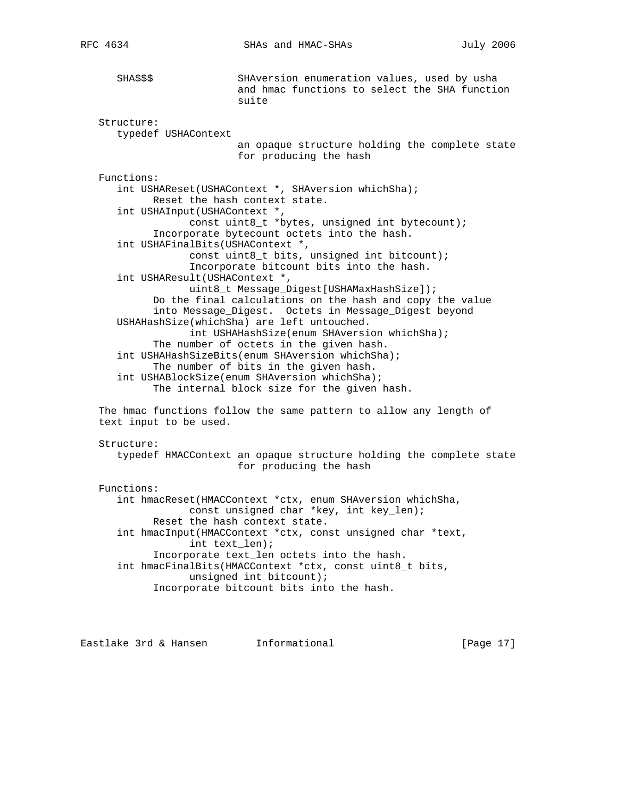SHA\$\$\$ SHAversion enumeration values, used by usha and hmac functions to select the SHA function suite Structure: typedef USHAContext an opaque structure holding the complete state for producing the hash Functions: int USHAReset(USHAContext \*, SHAversion whichSha); Reset the hash context state. int USHAInput(USHAContext \*, const uint8\_t \*bytes, unsigned int bytecount); Incorporate bytecount octets into the hash. int USHAFinalBits(USHAContext \*, const uint8\_t bits, unsigned int bitcount); Incorporate bitcount bits into the hash. int USHAResult(USHAContext \*, uint8\_t Message\_Digest[USHAMaxHashSize]); Do the final calculations on the hash and copy the value into Message\_Digest. Octets in Message\_Digest beyond USHAHashSize(whichSha) are left untouched. int USHAHashSize(enum SHAversion whichSha); The number of octets in the given hash. int USHAHashSizeBits(enum SHAversion whichSha); The number of bits in the given hash. int USHABlockSize(enum SHAversion whichSha); The internal block size for the given hash. The hmac functions follow the same pattern to allow any length of text input to be used. Structure: typedef HMACContext an opaque structure holding the complete state for producing the hash Functions: int hmacReset(HMACContext \*ctx, enum SHAversion whichSha, const unsigned char \*key, int key\_len); Reset the hash context state. int hmacInput(HMACContext \*ctx, const unsigned char \*text, int text\_len); Incorporate text\_len octets into the hash. int hmacFinalBits(HMACContext \*ctx, const uint8\_t bits, unsigned int bitcount); Incorporate bitcount bits into the hash.

Eastlake 3rd & Hansen Informational [Page 17]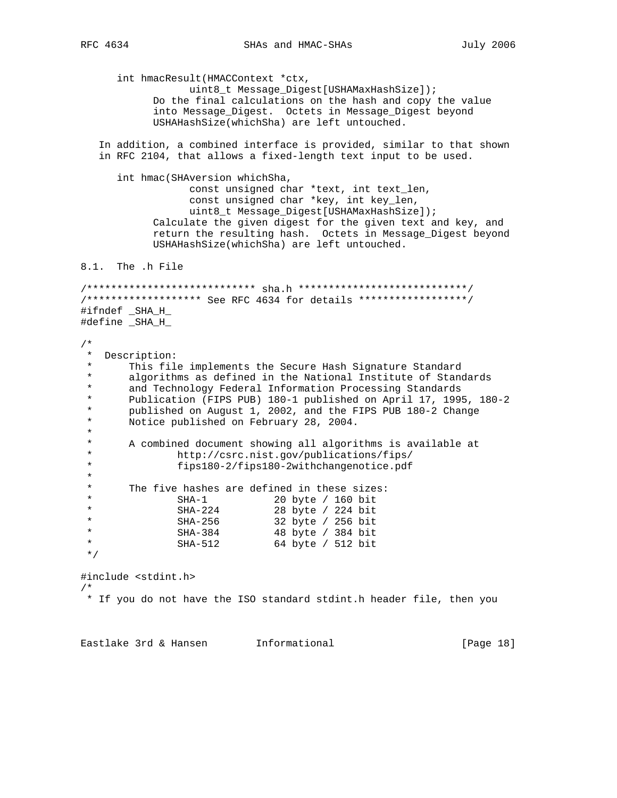int hmacResult(HMACContext \*ctx, uint8\_t Message\_Digest[USHAMaxHashSize]); Do the final calculations on the hash and copy the value into Message\_Digest. Octets in Message\_Digest beyond USHAHashSize(whichSha) are left untouched. In addition, a combined interface is provided, similar to that shown in RFC 2104, that allows a fixed-length text input to be used. int hmac(SHAversion whichSha, const unsigned char \*text, int text\_len, const unsigned char \*key, int key\_len, uint8\_t Message\_Digest[USHAMaxHashSize]); Calculate the given digest for the given text and key, and return the resulting hash. Octets in Message\_Digest beyond USHAHashSize(whichSha) are left untouched. 8.1. The .h File /\*\*\*\*\*\*\*\*\*\*\*\*\*\*\*\*\*\*\*\*\*\*\*\*\*\*\*\* sha.h \*\*\*\*\*\*\*\*\*\*\*\*\*\*\*\*\*\*\*\*\*\*\*\*\*\*\*\*/ /\*\*\*\*\*\*\*\*\*\*\*\*\*\*\*\*\*\*\* See RFC 4634 for details \*\*\*\*\*\*\*\*\*\*\*\*\*\*\*\*\*\*/ #ifndef \_SHA\_H\_ #define \_SHA\_H\_ /\* \* Description: This file implements the Secure Hash Signature Standard \* algorithms as defined in the National Institute of Standards \* and Technology Federal Information Processing Standards \* Publication (FIPS PUB) 180-1 published on April 17, 1995, 180-2 \* published on August 1, 2002, and the FIPS PUB 180-2 Change Notice published on February 28, 2004. \* \* A combined document showing all algorithms is available at \* http://csrc.nist.gov/publications/fips/ \* fips180-2/fips180-2withchangenotice.pdf \* \* The five hashes are defined in these sizes:<br>\* SHA-1 20 byte / 160 bit \* SHA-1 20 byte / 160 bit \* SHA-224 28 byte / 224 bit \* SHA-256 32 byte / 256 bit \* SHA-384 48 byte / 384 bit \* SHA-512 64 byte / 512 bit \*/ #include <stdint.h> /\* \* If you do not have the ISO standard stdint.h header file, then you

Eastlake 3rd & Hansen Informational (Page 18)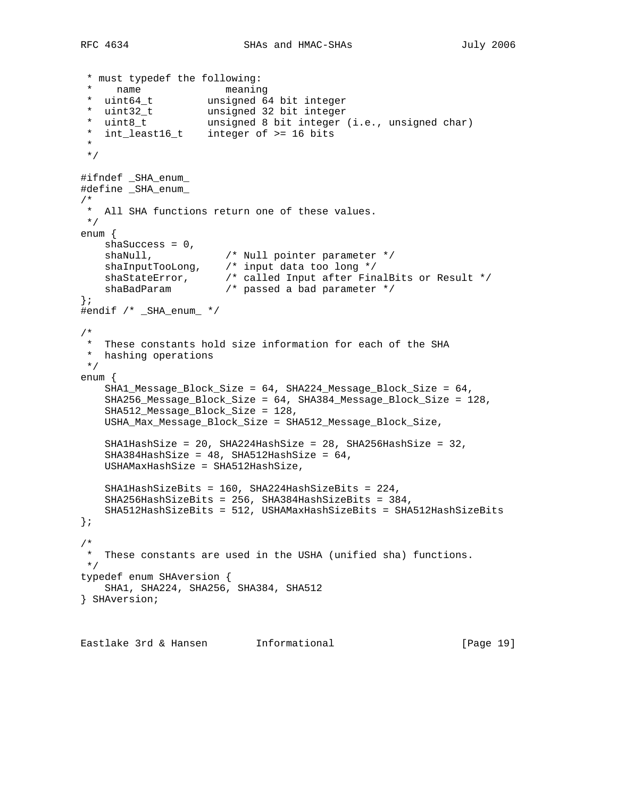```
 * must typedef the following:
 * name meaning
 * uint64_t unsigned 64 bit integer
 * uint32_t unsigned 32 bit integer
 * uint8_t unsigned 8 bit integer (i.e., unsigned char)
 * int_least16_t integer of >= 16 bits
  *
 */
#ifndef _SHA_enum_
#define _SHA_enum_
/*
 * All SHA functions return one of these values.
 */
enum {
    shaSuccess = 0,
shaNull, \frac{1}{1} /* Null pointer parameter */
 shaInputTooLong, /* input data too long */
 shaStateError, /* called Input after FinalBits or Result */
 shaBadParam /* passed a bad parameter */
};
#endif /* _SHA_enum_ */
/*
 * These constants hold size information for each of the SHA
 * hashing operations
 */
enum {
    SHA1_Message_Block_Size = 64, SHA224_Message_Block_Size = 64,
    SHA256_Message_Block_Size = 64, SHA384_Message_Block_Size = 128,
    SHA512_Message_Block_Size = 128,
    USHA_Max_Message_Block_Size = SHA512_Message_Block_Size,
    SHA1HashSize = 20, SHA224HashSize = 28, SHA256HashSize = 32,
    SHA384HashSize = 48, SHA512HashSize = 64,
    USHAMaxHashSize = SHA512HashSize,
    SHA1HashSizeBits = 160, SHA224HashSizeBits = 224,
    SHA256HashSizeBits = 256, SHA384HashSizeBits = 384,
    SHA512HashSizeBits = 512, USHAMaxHashSizeBits = SHA512HashSizeBits
};
/*
 * These constants are used in the USHA (unified sha) functions.
 */
typedef enum SHAversion {
    SHA1, SHA224, SHA256, SHA384, SHA512
} SHAversion;
```
Eastlake 3rd & Hansen Informational (Page 19)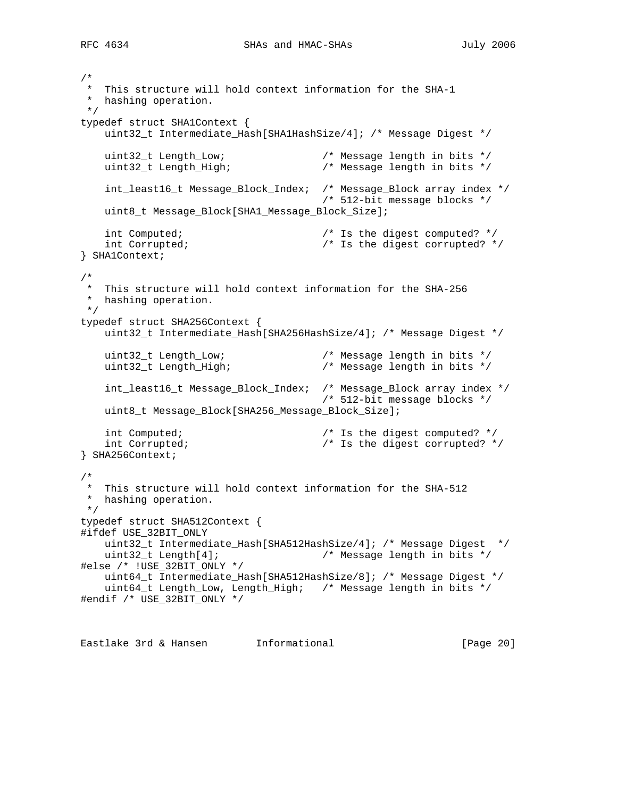```
/*
 * This structure will hold context information for the SHA-1
 * hashing operation.
 */
typedef struct SHA1Context {
    uint32_t Intermediate_Hash[SHA1HashSize/4]; /* Message Digest */
 uint32_t Length_Low; /* Message length in bits */
 uint32_t Length_High; /* Message length in bits */
    int_least16_t Message_Block_Index; /* Message_Block array index */
                                    /* 512-bit message blocks */
    uint8_t Message_Block[SHA1_Message_Block_Size];
    int Computed; /* Is the digest computed? */
    int Corrupted; /* Is the digest corrupted? */
} SHA1Context;
/*
 * This structure will hold context information for the SHA-256
 * hashing operation.
 */
typedef struct SHA256Context {
    uint32_t Intermediate_Hash[SHA256HashSize/4]; /* Message Digest */
 uint32_t Length_Low; /* Message length in bits */
 uint32_t Length_High; /* Message length in bits */
    int_least16_t Message_Block_Index; /* Message_Block array index */
                                     /* 512-bit message blocks */
   uint8 t Message Block[SHA256 Message Block Size];
    int Computed; /* Is the digest computed? */
    int Corrupted; /* Is the digest corrupted? */
} SHA256Context;
/*
 * This structure will hold context information for the SHA-512
 * hashing operation.
 */
typedef struct SHA512Context {
#ifdef USE_32BIT_ONLY
    uint32_t Intermediate_Hash[SHA512HashSize/4]; /* Message Digest */
    uint32_t Length[4]; /* Message length in bits */
#else /* !USE_32BIT_ONLY */
    uint64_t Intermediate_Hash[SHA512HashSize/8]; /* Message Digest */
    uint64_t Length_Low, Length_High; /* Message length in bits */
#endif /* USE_32BIT_ONLY */
```
Eastlake 3rd & Hansen Informational (Page 20)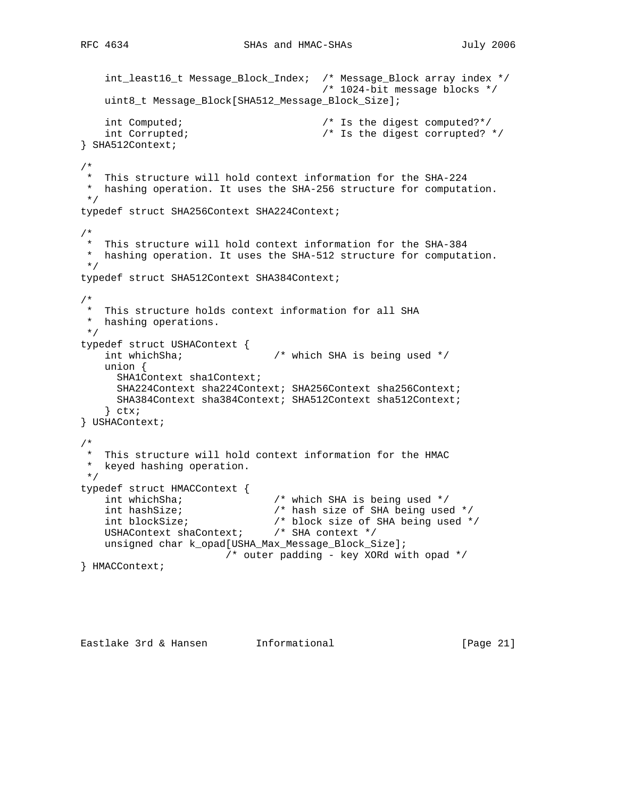```
 int_least16_t Message_Block_Index; /* Message_Block array index */
                                          /* 1024-bit message blocks */
     uint8_t Message_Block[SHA512_Message_Block_Size];
    int Computed; \overline{\phantom{a}} /* Is the digest computed?*/
     int Corrupted; /* Is the digest corrupted? */
} SHA512Context;
/*
 * This structure will hold context information for the SHA-224
 * hashing operation. It uses the SHA-256 structure for computation.
 */
typedef struct SHA256Context SHA224Context;
/*
 * This structure will hold context information for the SHA-384
 * hashing operation. It uses the SHA-512 structure for computation.
 */
typedef struct SHA512Context SHA384Context;
/*
 * This structure holds context information for all SHA
 * hashing operations.
 */
typedef struct USHAContext {
    int whichSha; \overline{\phantom{a}} /* which SHA is being used */
     union {
     SHA1Context sha1Context;
      SHA224Context sha224Context; SHA256Context sha256Context;
      SHA384Context sha384Context; SHA512Context sha512Context;
     } ctx;
} USHAContext;
/*
  * This structure will hold context information for the HMAC
 * keyed hashing operation.
 */
typedef struct HMACContext {
                                \frac{1}{x} which SHA is being used */
   int hashSize; <br> \rightarrow /* hash size of SHA being used */<br> \rightarrow /* block size of SHA being used *
 int blockSize; /* block size of SHA being used */
 USHAContext shaContext; /* SHA context */
     unsigned char k_opad[USHA_Max_Message_Block_Size];
                        /* outer padding - key XORd with opad */
} HMACContext;
```
Eastlake 3rd & Hansen Informational (Page 21)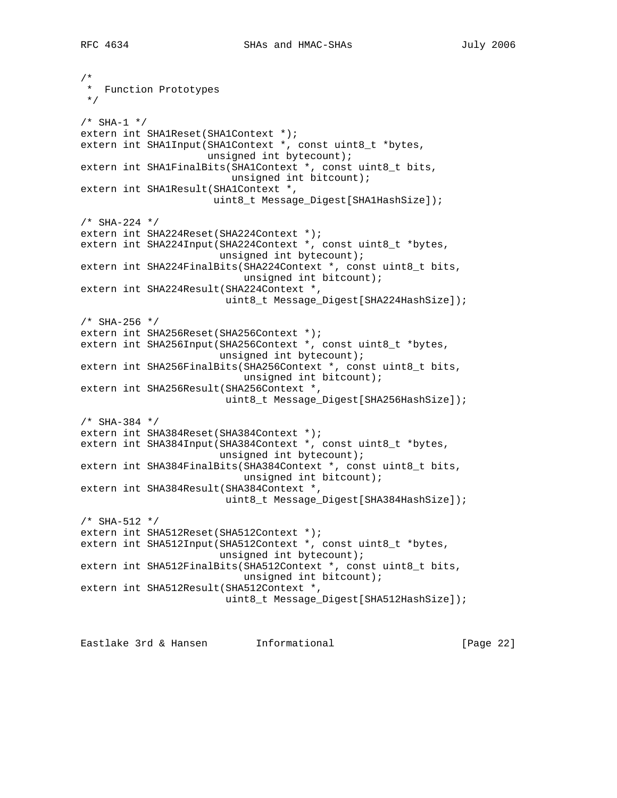```
/*
 * Function Prototypes
  */
/* SHA-1 */
extern int SHA1Reset(SHA1Context *);
extern int SHA1Input(SHA1Context *, const uint8_t *bytes,
                      unsigned int bytecount);
extern int SHA1FinalBits(SHA1Context *, const uint8_t bits,
                         unsigned int bitcount);
extern int SHA1Result(SHA1Context *,
                       uint8_t Message_Digest[SHA1HashSize]);
/* SHA-224 */
extern int SHA224Reset(SHA224Context *);
extern int SHA224Input(SHA224Context *, const uint8_t *bytes,
                       unsigned int bytecount);
extern int SHA224FinalBits(SHA224Context *, const uint8_t bits,
                           unsigned int bitcount);
extern int SHA224Result(SHA224Context *,
                         uint8_t Message_Digest[SHA224HashSize]);
/* SHA-256 */extern int SHA256Reset(SHA256Context *);
extern int SHA256Input(SHA256Context *, const uint8_t *bytes,
                        unsigned int bytecount);
extern int SHA256FinalBits(SHA256Context *, const uint8_t bits,
                            unsigned int bitcount);
extern int SHA256Result(SHA256Context *,
                        uint8_t Message_Digest[SHA256HashSize]);
/* SHA-384 */
extern int SHA384Reset(SHA384Context *);
extern int SHA384Input(SHA384Context *, const uint8_t *bytes,
                        unsigned int bytecount);
extern int SHA384FinalBits(SHA384Context *, const uint8_t bits,
                            unsigned int bitcount);
extern int SHA384Result(SHA384Context *,
                         uint8_t Message_Digest[SHA384HashSize]);
/* SHA-512 */
extern int SHA512Reset(SHA512Context *);
extern int SHA512Input(SHA512Context *, const uint8_t *bytes,
                        unsigned int bytecount);
extern int SHA512FinalBits(SHA512Context *, const uint8_t bits,
                            unsigned int bitcount);
extern int SHA512Result(SHA512Context *,
                         uint8_t Message_Digest[SHA512HashSize]);
```
Eastlake 3rd & Hansen Informational [Page 22]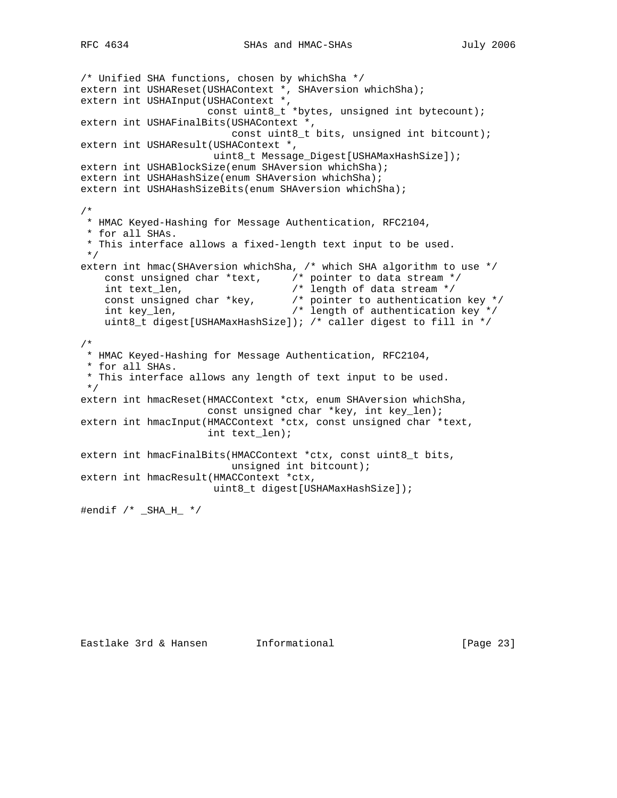```
/* Unified SHA functions, chosen by whichSha */
extern int USHAReset(USHAContext *, SHAversion whichSha);
extern int USHAInput(USHAContext *,
                     const uint8_t *bytes, unsigned int bytecount);
extern int USHAFinalBits(USHAContext *,
                         const uint8_t bits, unsigned int bitcount);
extern int USHAResult(USHAContext *,
                      uint8_t Message_Digest[USHAMaxHashSize]);
extern int USHABlockSize(enum SHAversion whichSha);
extern int USHAHashSize(enum SHAversion whichSha);
extern int USHAHashSizeBits(enum SHAversion whichSha);
/*
 * HMAC Keyed-Hashing for Message Authentication, RFC2104,
 * for all SHAs.
 * This interface allows a fixed-length text input to be used.
 */
extern int hmac(SHAversion whichSha, /* which SHA algorithm to use */
    const unsigned char *text, /* pointer to data stream */
 int text_len, /* length of data stream */
 const unsigned char *key, /* pointer to authentication key */
 int key_len, /* length of authentication key */
    uint8_t digest[USHAMaxHashSize]); /* caller digest to fill in */
/*
 * HMAC Keyed-Hashing for Message Authentication, RFC2104,
 * for all SHAs.
 * This interface allows any length of text input to be used.
 */
extern int hmacReset(HMACContext *ctx, enum SHAversion whichSha,
                     const unsigned char *key, int key_len);
extern int hmacInput(HMACContext *ctx, const unsigned char *text,
                     int text_len);
extern int hmacFinalBits(HMACContext *ctx, const uint8_t bits,
                         unsigned int bitcount);
extern int hmacResult(HMACContext *ctx,
                      uint8_t digest[USHAMaxHashSize]);
#endif /* _SHA_H_ */
```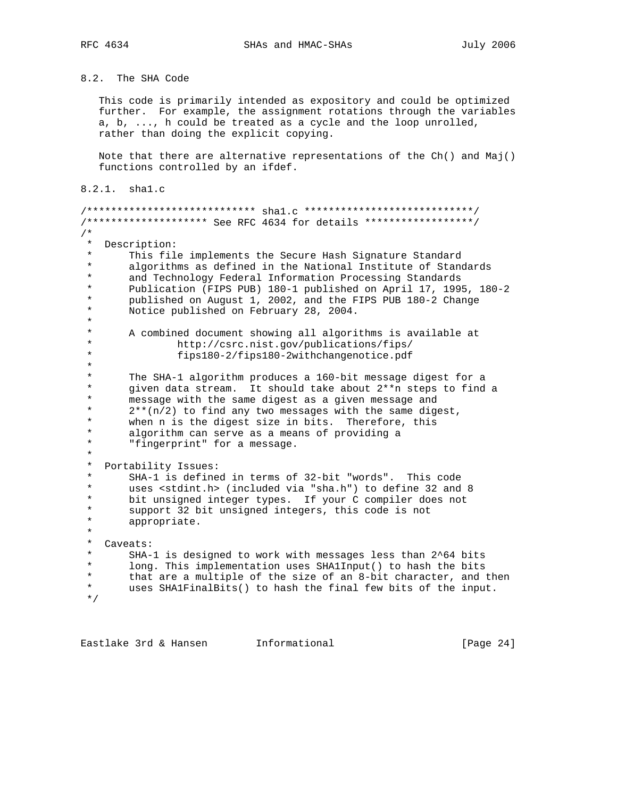8.2. The SHA Code

 This code is primarily intended as expository and could be optimized further. For example, the assignment rotations through the variables a, b, ..., h could be treated as a cycle and the loop unrolled, rather than doing the explicit copying.

 Note that there are alternative representations of the Ch() and Maj() functions controlled by an ifdef.

8.2.1. sha1.c

/\*\*\*\*\*\*\*\*\*\*\*\*\*\*\*\*\*\*\*\*\*\*\*\*\*\*\*\* sha1.c \*\*\*\*\*\*\*\*\*\*\*\*\*\*\*\*\*\*\*\*\*\*\*\*\*\*\*\*/ /\*\*\*\*\*\*\*\*\*\*\*\*\*\*\*\*\*\*\*\* See RFC 4634 for details \*\*\*\*\*\*\*\*\*\*\*\*\*\*\*\*\*\*/ /\* \* Description: \* This file implements the Secure Hash Signature Standard \* algorithms as defined in the National Institute of Standards<br>\* 3nd Technology Eederal Information Processing Standards \* and Technology Federal Information Processing Standards \* Publication (FIPS PUB) 180-1 published on April 17, 1995, 180-2 \* published on August 1, 2002, and the FIPS PUB 180-2 Change Notice published on February 28, 2004. \* \* A combined document showing all algorithms is available at<br>\* http://csrc.nist.gov/publications/fins/ \* http://csrc.nist.gov/publications/fips/ fips180-2/fips180-2withchangenotice.pdf \* \* The SHA-1 algorithm produces a 160-bit message digest for a \* given data stream. It should take about  $2^{**}$ n steps to find a<br>\* message with the same digest as a given message and \* message with the same digest as a given message and<br>\* 2\*\*(p(2) to find any two messages with the same dige \*  $2**(n/2)$  to find any two messages with the same digest,<br>\* when n is the digest size in hits Therefore this \* when n is the digest size in bits. Therefore, this \* algorithm can serve as a means of providing a "fingerprint" for a message. \* \* Portability Issues:<br>\* SHA-1 is defined \* SHA-1 is defined in terms of 32-bit "words". This code \* uses <stdint.h> (included via "sha.h") to define 32 and 8 bit unsigned integer types. If your C compiler does not \* support 32 bit unsigned integers, this code is not appropriate. \* \* Caveats:<br>\* SHA- \* SHA-1 is designed to work with messages less than 2^64 bits \* long. This implementation uses SHA1Input() to hash the bits \* that are a multiple of the size of an 8-bit character, and then<br>\* uses SHAlFinalBits() to bash the final few bits of the input uses SHA1FinalBits() to hash the final few bits of the input. \*/

Eastlake 3rd & Hansen Informational (Page 24)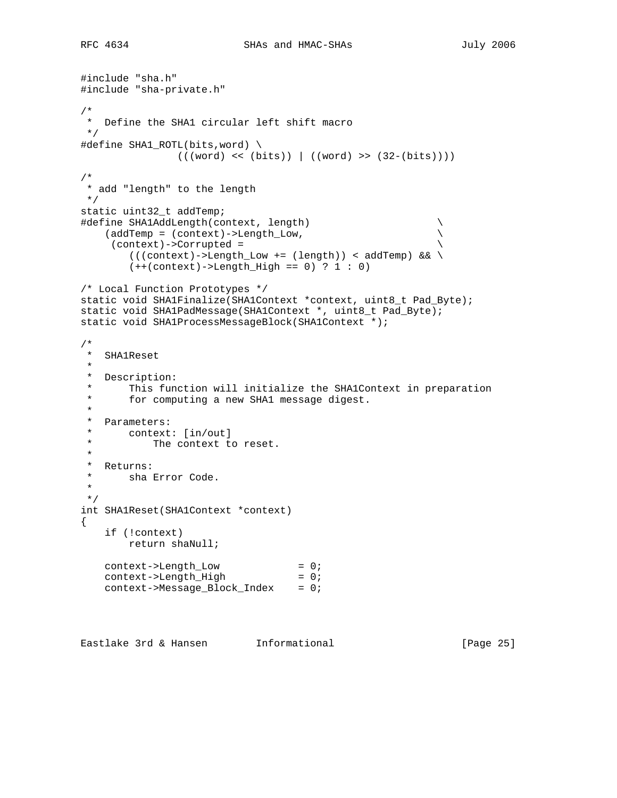```
#include "sha.h"
#include "sha-private.h"
/*
  * Define the SHA1 circular left shift macro
 */
#define SHA1_ROTL(bits,word) \
                (((word) << (bits)) | ((word) >> (32-(bits))))
/*
  * add "length" to the length
 */
static uint32_t addTemp;
#define SHA1AddLength(context, length) \
    (addTemp = (context)->Length_Low, \
      (context)->Corrupted = \
        ((\text{context})\rightarrow \text{Length\_Low} += (\text{length}) ) < \text{addTemp} && \
        (+((\text{context}) - \text{Length}_\text{High} == 0) ? 1 : 0)/* Local Function Prototypes */
static void SHA1Finalize(SHA1Context *context, uint8_t Pad_Byte);
static void SHA1PadMessage(SHA1Context *, uint8_t Pad_Byte);
static void SHA1ProcessMessageBlock(SHA1Context *);
/*
 * SHA1Reset
 *
  * Description:
        This function will initialize the SHA1Context in preparation
  * for computing a new SHA1 message digest.
  *
  * Parameters:
  * context: [in/out]
           The context to reset.
  *
 * Returns:<br>* sha E
     sha Error Code.
  *
  */
int SHA1Reset(SHA1Context *context)
{
     if (!context)
        return shaNull;
 context->Length_Low = 0;
context->Length_High = 0;
     context->Message_Block_Index = 0;
```
Eastlake 3rd & Hansen Informational [Page 25]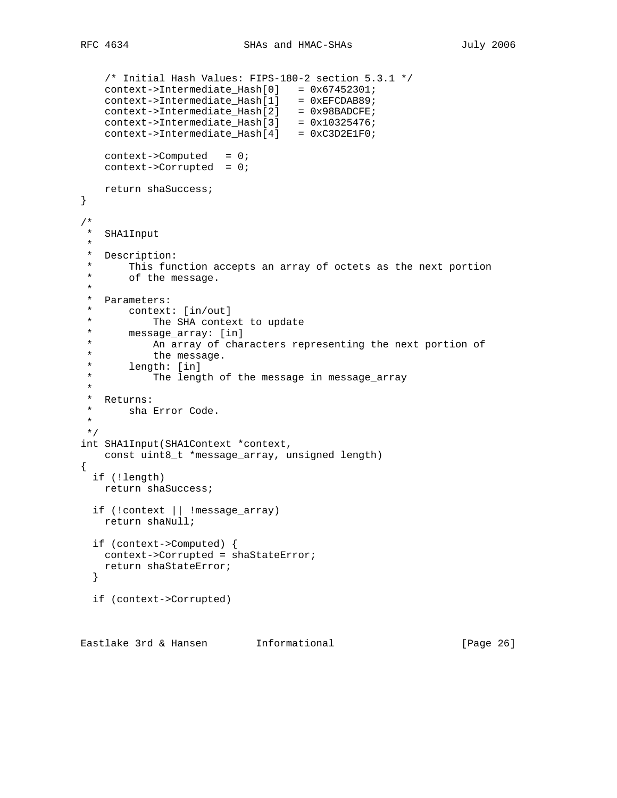```
 /* Initial Hash Values: FIPS-180-2 section 5.3.1 */
 context->Intermediate_Hash[0] = 0x67452301;
 context->Intermediate_Hash[1] = 0xEFCDAB89;
 context->Intermediate_Hash[2] = 0x98BADCFE;
     context->Intermediate_Hash[3] = 0x10325476;
     context->Intermediate_Hash[4] = 0xC3D2E1F0;
   context->Computed = 0;
    context->Corrupted = 0;
    return shaSuccess;
}
/*
 * SHA1Input
 *
 * Description:
  * This function accepts an array of octets as the next portion
       of the message.
  *
  * Parameters:
 * context: [in/out]<br>* The SHA conter
 * The SHA context to update<br>* message array: [in]
  * message_array: [in]
  * An array of characters representing the next portion of
 * the message.<br>* longth: [in]
        length: [in]
  * The length of the message in message_array
 *
 * Returns:<br>* shal
    sha Error Code.
 *
 */
int SHA1Input(SHA1Context *context,
    const uint8_t *message_array, unsigned length)
{
   if (!length)
    return shaSuccess;
   if (!context || !message_array)
    return shaNull;
   if (context->Computed) {
    context->Corrupted = shaStateError;
    return shaStateError;
   }
   if (context->Corrupted)
```
Eastlake 3rd & Hansen Informational (Page 26)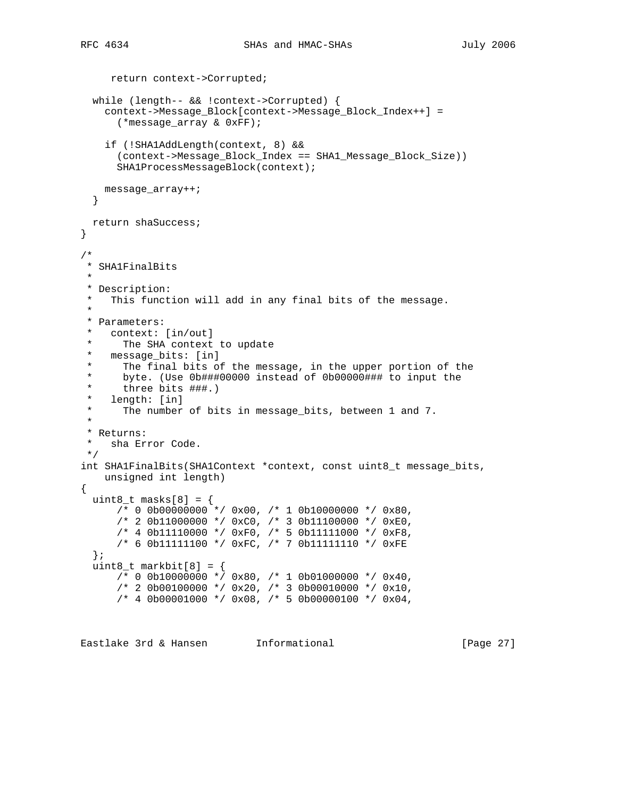```
 return context->Corrupted;
   while (length-- && !context->Corrupted) {
     context->Message_Block[context->Message_Block_Index++] =
       (*message_array & 0xFF);
     if (!SHA1AddLength(context, 8) &&
       (context->Message_Block_Index == SHA1_Message_Block_Size))
       SHA1ProcessMessageBlock(context);
    message_array++;
   }
  return shaSuccess;
}
/*
 * SHA1FinalBits
 *
 * Description:
 * This function will add in any final bits of the message.
 *
  * Parameters:
   context: [in/out]
      The SHA context to update
  * message_bits: [in]
      The final bits of the message, in the upper portion of the
  * byte. (Use 0b###00000 instead of 0b00000### to input the
      three bits ###.)
 * length: [in]<br>* The number
     The number of bits in message_bits, between 1 and 7.
 *
  * Returns:
 * sha Error Code.
 */
int SHA1FinalBits(SHA1Context *context, const uint8_t message_bits,
    unsigned int length)
{
 uint8_t masks[8] = {
      \frac{1}{2} 0 0b00000000<sup>\star</sup>/ 0x00, \frac{1}{2} 1 0b10000000 \star/ 0x80,
      /* 2 0b11000000 */ 0xC0, /* 3 0b11100000 */ 0xE0,
      /* 4 0b11110000 */ 0xF0, /* 5 0b11111000 */ 0xF8,
       /* 6 0b11111100 */ 0xFC, /* 7 0b11111110 */ 0xFE
   };
  uint8_t markbit[8] = \{/* 0 0b10000000 */ 0x80, /* 1 0b01000000 */ 0x40,
      /* 2 0b00100000 */ 0x20, /* 3 0b00010000 */ 0x10,
      /* 4 0b00001000 * / 0x08, /* 5 0b00000100 * / 0x04,
```
Eastlake 3rd & Hansen Informational (Page 27)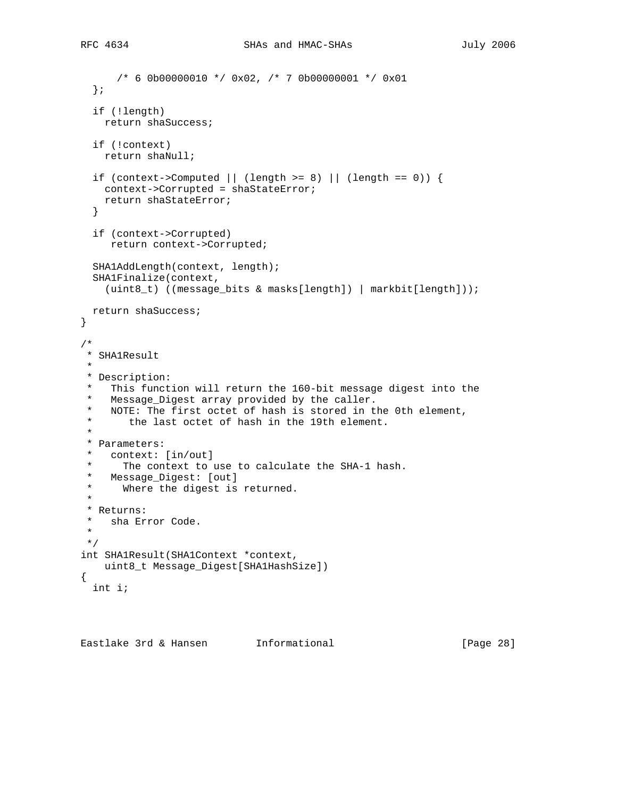```
 /* 6 0b00000010 */ 0x02, /* 7 0b00000001 */ 0x01
   };
   if (!length)
    return shaSuccess;
   if (!context)
    return shaNull;
  if (context->Computed || (length >= 8) || (length == 0)) {
    context->Corrupted = shaStateError;
    return shaStateError;
   }
   if (context->Corrupted)
     return context->Corrupted;
   SHA1AddLength(context, length);
   SHA1Finalize(context,
    (uint8_t) ((message_bits & masks[length]) | markbit[length]));
  return shaSuccess;
}
/*
 * SHA1Result
 *
 * Description:
   This function will return the 160-bit message digest into the
  * Message_Digest array provided by the caller.
  * NOTE: The first octet of hash is stored in the 0th element,
       the last octet of hash in the 19th element.
  *
  * Parameters:
  * context: [in/out]
 * The context to use to calculate the SHA-1 hash.<br>* Message Digest: [out]
   Message_Digest: [out]
  * Where the digest is returned.
  *
  * Returns:
  * sha Error Code.
 *
 */
int SHA1Result(SHA1Context *context,
    uint8_t Message_Digest[SHA1HashSize])
{
  int i;
```
Eastlake 3rd & Hansen Informational (Page 28)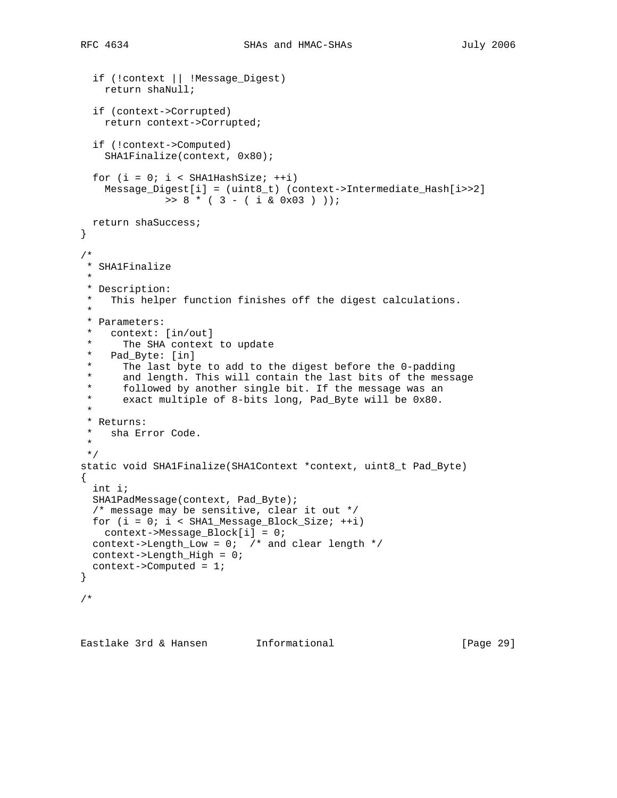```
 if (!context || !Message_Digest)
     return shaNull;
   if (context->Corrupted)
    return context->Corrupted;
   if (!context->Computed)
     SHA1Finalize(context, 0x80);
  for (i = 0; i < SHAlHashSize; ++i)
     Message_Digest[i] = (uint8_t) (context->Intermediate_Hash[i>>2]
             \Rightarrow 8 * ( 3 - ( i & 0x03 ) ));
  return shaSuccess;
}
/*
 * SHA1Finalize
 *
  * Description:
  * This helper function finishes off the digest calculations.
  *
  * Parameters:
  * context: [in/out]
      The SHA context to update
  * Pad_Byte: [in]
  * The last byte to add to the digest before the 0-padding
  * and length. This will contain the last bits of the message
  * followed by another single bit. If the message was an
  * exact multiple of 8-bits long, Pad_Byte will be 0x80.
 *
  * Returns:
  * sha Error Code.
  *
  */
static void SHA1Finalize(SHA1Context *context, uint8_t Pad_Byte)
{
   int i;
   SHA1PadMessage(context, Pad_Byte);
   /* message may be sensitive, clear it out */
 for (i = 0; i < SHAI_Message_Block_Size; ++i) context->Message_Block[i] = 0;
  context->Length_Low = 0; /* and clear length */
  context->Length_High = 0;
  context->Computed = 1;
}
/*
```
Eastlake 3rd & Hansen Informational (Page 29)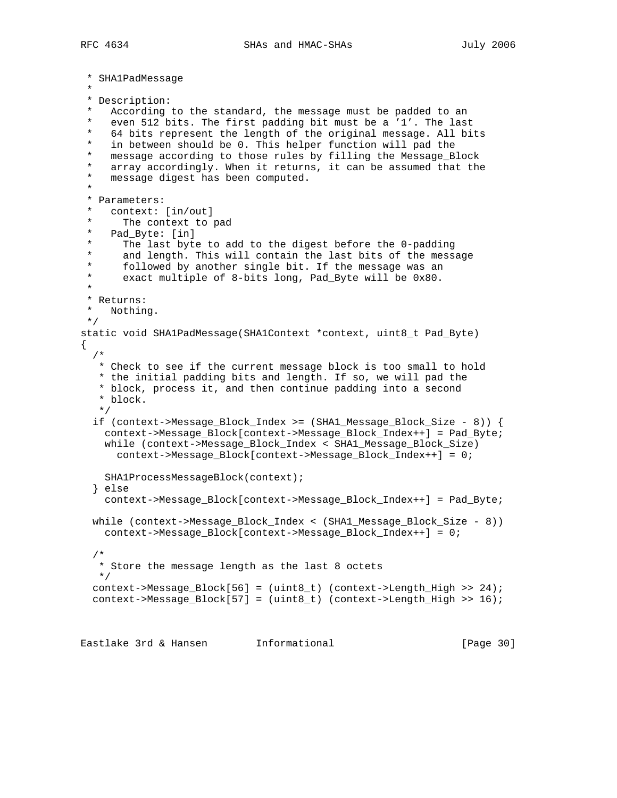```
 * SHA1PadMessage
 *
  * Description:
   According to the standard, the message must be padded to an
    even 512 bits. The first padding bit must be a '1'. The last
  * 64 bits represent the length of the original message. All bits
 * in between should be 0. This helper function will pad the<br>* measage aggerding to these rules by filling the Measage P
   message according to those rules by filling the Message_Block
   array accordingly. When it returns, it can be assumed that the
  * message digest has been computed.
 *
  * Parameters:
    context: [in/out]
      The context to pad
  * Pad_Byte: [in]
  * The last byte to add to the digest before the 0-padding
  * and length. This will contain the last bits of the message
 * followed by another single bit. If the message was an<br>* axact multiple of 8-bits long pad Byte will be 0x80
      exact multiple of 8-bits long, Pad_Byte will be 0x80.
 *
  * Returns:
  * Nothing.
  */
static void SHA1PadMessage(SHA1Context *context, uint8_t Pad_Byte)
{
 /*
   * Check to see if the current message block is too small to hold
   * the initial padding bits and length. If so, we will pad the
    * block, process it, and then continue padding into a second
    * block.
    */
   if (context->Message_Block_Index >= (SHA1_Message_Block_Size - 8)) {
     context->Message_Block[context->Message_Block_Index++] = Pad_Byte;
     while (context->Message_Block_Index < SHA1_Message_Block_Size)
       context->Message_Block[context->Message_Block_Index++] = 0;
    SHA1ProcessMessageBlock(context);
   } else
     context->Message_Block[context->Message_Block_Index++] = Pad_Byte;
   while (context->Message_Block_Index < (SHA1_Message_Block_Size - 8))
    context->Message_Block[context->Message_Block_Index++] = 0;
   /*
   * Store the message length as the last 8 octets
   */
   context->Message_Block[56] = (uint8_t) (context->Length_High >> 24);
   context->Message_Block[57] = (uint8_t) (context->Length_High >> 16);
```
Eastlake 3rd & Hansen Informational (Page 30)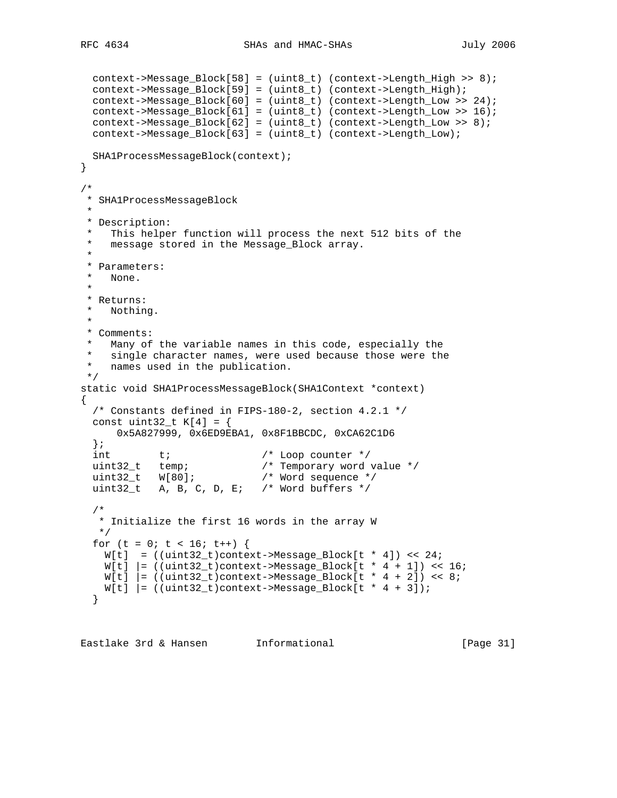```
 context->Message_Block[58] = (uint8_t) (context->Length_High >> 8);
  context->Message_Block[59] = (uint8_t) (context->Length_High);
  context->Message_Block[60] = (uint8_t) (context->Length_Low >> 24);
  context->Message_Block[61] = (uint8_t) (context->Length_Low >> 16);
  context->Message_Block[62] = (uint8_t) (context->Length_Low >> 8);
  context->Message_Block[63] = (uint8_t) (context->Length_Low);
  SHA1ProcessMessageBlock(context);
}
/*
 * SHA1ProcessMessageBlock
 *
 * Description:
   This helper function will process the next 512 bits of the
  * message stored in the Message_Block array.
 *
  * Parameters:
   None.
  *
  * Returns:
  * Nothing.
 *
  * Comments:
   Many of the variable names in this code, especially the
  * single character names, were used because those were the
  * names used in the publication.
  */
static void SHA1ProcessMessageBlock(SHA1Context *context)
{
  /* Constants defined in FIPS-180-2, section 4.2.1 */
  const uint32_t K[4] = \{ 0x5A827999, 0x6ED9EBA1, 0x8F1BBCDC, 0xCA62C1D6
   };
  int t; \qquad t /* Loop counter */
                              /* Temporary word value */<br>/* Word sequence */
 uint32_t temp;<br>uint32_t W[80];<br>uint32
 uint32_t A, B, C, D, E; /* Word buffers */
   /*
    * Initialize the first 16 words in the array W
    */
  for (t = 0; t < 16; t++) {
   W[t] = ((uint32_t)context-Message_Block[t * 4]) << 24iW[t] |= ((uint32_t)context->Message_Block[t * 4 + 1]) << 16;
    W[t] = ((uint32_t)context->Message_Block[t * 4 + 2]) << 8;
    W[t] = ((uint32_t) \cdot \text{context} - \text{Message\_Block}[t * 4 + 3]); }
```
Eastlake 3rd & Hansen Informational [Page 31]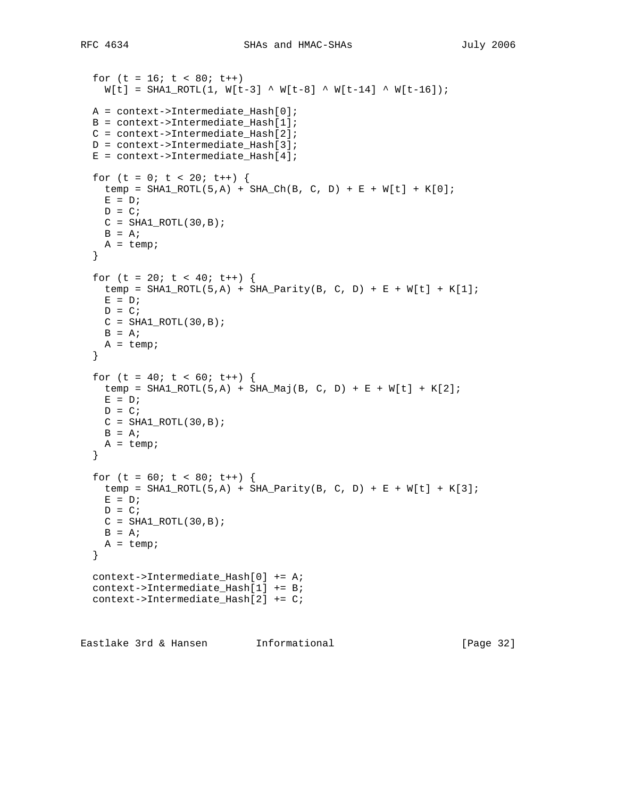```
for (t = 16; t < 80; t++)W[t] = SHA1_ROTL(1, W[t-3] \wedge W[t-8] \wedge W[t-14] \wedge W[t-16]);A = context->Intermediate Hash[0]; B = context->Intermediate_Hash[1];
 C = context->Internetmodelate_Hash[2]; D = context->Intermediate_Hash[3];
 E = context->Intermediate_Hash[4];for (t = 0; t < 20; t++) {
   temp = SHA1_ROTL(5, A) + SHA_CCh(B, C, D) + E + W[t] + K[0];E = D;
   D = C;C = SHA1_ROTL(30,B);B = A;
   A = temp; }
  for (t = 20; t < 40; t++) {
   temp = SHAI_ROTL(5, A) + SHA_Parity(B, C, D) + E + W[t] + K[1];
   E = D;
   D = C;C = SHA1 ROTL(30, B);
   B = A;
   A = temp; }
  for (t = 40; t < 60; t++) {
   temp = SHA1_ROTL(5, A) + SHA_Maj(B, C, D) + E + W[t] + K[2];E = D;
   D = C;C = SHA1_ROTL(30,B);B = A;A = temp; }
  for (t = 60; t < 80; t++) {
   temp = SHA1_ROTL(5,A) + SHA_Parity(B, C, D) + E + W[t] + K[3];
   E = D;
   D = C;C = SHA1 ROTL(30, B);
   B = A;A = temp; }
  context->Intermediate_Hash[0] += A;
  context->Intermediate_Hash[1] += B;
  context->Intermediate_Hash[2] += C;
Eastlake 3rd & Hansen Informational [Page 32]
```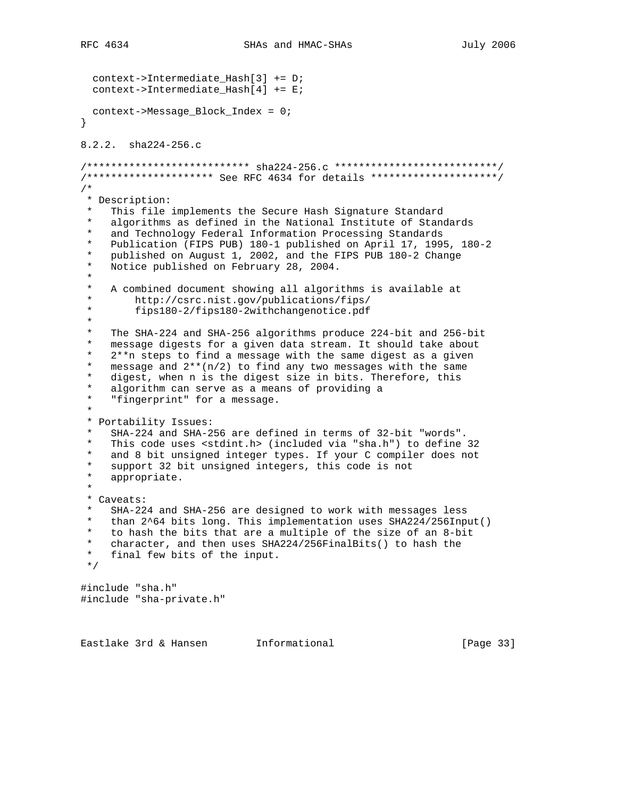```
 context->Intermediate_Hash[3] += D;
   context->Intermediate_Hash[4] += E;
  context->Message_Block_Index = 0;
}
8.2.2. sha224-256.c
/*************************** sha224-256.c ***************************/
/********************* See RFC 4634 for details *********************/
/*
  * Description:
    This file implements the Secure Hash Signature Standard
    algorithms as defined in the National Institute of Standards
    and Technology Federal Information Processing Standards
  * Publication (FIPS PUB) 180-1 published on April 17, 1995, 180-2
    published on August 1, 2002, and the FIPS PUB 180-2 Change
  * Notice published on February 28, 2004.
 *
 * A combined document showing all algorithms is available at<br>* http://csrc.nist.gov/publications/fins/
  * http://csrc.nist.gov/publications/fips/
          * fips180-2/fips180-2withchangenotice.pdf
 *
  * The SHA-224 and SHA-256 algorithms produce 224-bit and 256-bit
   message digests for a given data stream. It should take about
    2***n steps to find a message with the same digest as a given
    message and 2**(n/2) to find any two messages with the same
  * digest, when n is the digest size in bits. Therefore, this
    algorithm can serve as a means of providing a
    "fingerprint" for a message.
 *
  * Portability Issues:
    SHA-224 and SHA-256 are defined in terms of 32-bit "words".
  * This code uses <stdint.h> (included via "sha.h") to define 32
   and 8 bit unsigned integer types. If your C compiler does not
  * support 32 bit unsigned integers, this code is not
    appropriate.
 *
  * Caveats:
  * SHA-224 and SHA-256 are designed to work with messages less
    than 2^64 bits long. This implementation uses SHA224/256Input()
 * to hash the bits that are a multiple of the size of an 8-bit<br>* character, and then uses SHA224/256FinalBits() to hash the
 * character, and then uses SHA224/256FinalBits() to hash the<br>* final fow hits of the input
   final few bits of the input.
  */
#include "sha.h"
#include "sha-private.h"
```
Eastlake 3rd & Hansen Informational [Page 33]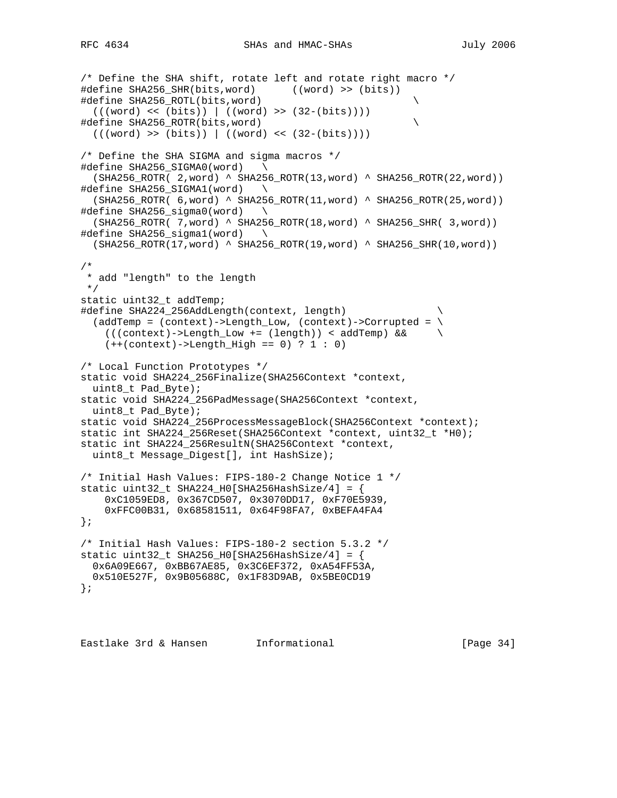```
/* Define the SHA shift, rotate left and rotate right macro */
#define SHA256_SHR(bits,word) ((word) >> (bits))
#define SHA256_ROTL(bits,word) \
   (((word) << (bits)) | ((word) >> (32-(bits))))
#define SHA256_ROTR(bits,word) \
 (((word) >> (bits)) | ((word) << (32-(bits))))/* Define the SHA SIGMA and sigma macros */
#define SHA256_SIGMA0(word) \
  (SHA256_ROTR( 2,word) ^ SHA256_ROTR(13,word) ^ SHA256_ROTR(22,word))
#define SHA256_SIGMA1(word) \
  (SHA256_ROTR( 6,word) ^ SHA256_ROTR(11,word) ^ SHA256_ROTR(25,word))
#define SHA256_sigma0(word) \
 (SHA256_ROTR( 7, word) (SHA256_ROTR(18, word) (SHA256_SHR( 3,word))#define SHA256_sigma1(word) \
  (SHA256_ROTR(17,word) ^ SHA256_ROTR(19,word) ^ SHA256_SHR(10,word))
/*
 * add "length" to the length
 */
static uint32_t addTemp;
#define SHA224_256AddLength(context, length) \
  (addTemp = (context) ->Length\_Low, (context) ->Corrupted = \n (((context)->Length_Low += (length)) < addTemp) && \
    (+(constant)-\text{Length}_High == 0) ? 1 : 0)/* Local Function Prototypes */
static void SHA224_256Finalize(SHA256Context *context,
   uint8_t Pad_Byte);
static void SHA224_256PadMessage(SHA256Context *context,
 uint8 t Pad Byte);
static void SHA224_256ProcessMessageBlock(SHA256Context *context);
static int SHA224_256Reset(SHA256Context *context, uint32_t *H0);
static int SHA224_256ResultN(SHA256Context *context,
  uint8_t Message_Digest[], int HashSize);
/* Initial Hash Values: FIPS-180-2 Change Notice 1 */
static uint32_t SHA224_H0[SHA256HashSize/4] = {
     0xC1059ED8, 0x367CD507, 0x3070DD17, 0xF70E5939,
    0xFFC00B31, 0x68581511, 0x64F98FA7, 0xBEFA4FA4
};
/* Initial Hash Values: FIPS-180-2 section 5.3.2 */
static uint32_t SHA256_H0[SHA256HashSize/4] = \{ 0x6A09E667, 0xBB67AE85, 0x3C6EF372, 0xA54FF53A,
  0x510E527F, 0x9B05688C, 0x1F83D9AB, 0x5BE0CD19
};
```
Eastlake 3rd & Hansen Informational [Page 34]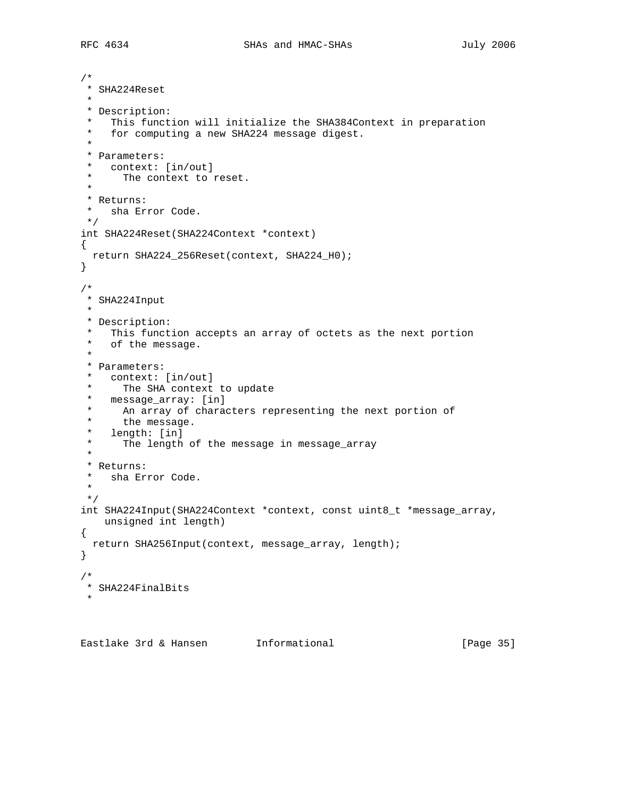```
/*
 * SHA224Reset
 *
 * Description:
 * This function will initialize the SHA384Context in preparation<br>* for computing a now SHA224 message digest
    for computing a new SHA224 message digest.
 *
  * Parameters:
 * context: [in/out]
      The context to reset.
  *
  * Returns:
  * sha Error Code.
  */
int SHA224Reset(SHA224Context *context)
{
  return SHA224_256Reset(context, SHA224_H0);
}
/*
 * SHA224Input
 *
  * Description:
  * This function accepts an array of octets as the next portion
    of the message.
 *
  * Parameters:
  * context: [in/out]
 * The SHA context to update<br>* mossage array: [in]
 * message_array: [in]<br>* An array of charac
     An array of characters representing the next portion of
 * the message.<br>* longth: [in]
   length: [in]
  * The length of the message in message_array
 *
 * Returns:<br>* sha Eri
    sha Error Code.
  *
  */
int SHA224Input(SHA224Context *context, const uint8_t *message_array,
    unsigned int length)
{
  return SHA256Input(context, message_array, length);
}
/*
  * SHA224FinalBits
 *
```
Eastlake 3rd & Hansen Informational [Page 35]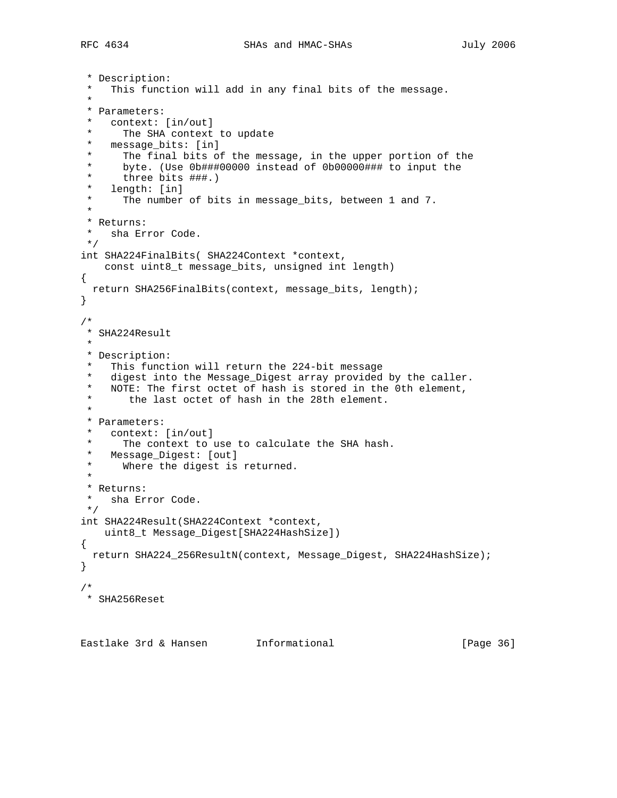```
 * Description:
   This function will add in any final bits of the message.
 *
  * Parameters:
    context: [in/out]
 * The SHA context to update<br>* message bits: [in]
   message_bits: [in]
 * The final bits of the message, in the upper portion of the<br>* bute (Use Ob###00000 instead of Ob00000### to input the
      byte. (Use 0b###00000 instead of 0b00000### to input the
  * three bits ###.)
  * length: [in]
  * The number of bits in message_bits, between 1 and 7.
 *
  * Returns:
 * sha Error Code.
 */
int SHA224FinalBits( SHA224Context *context,
    const uint8_t message_bits, unsigned int length)
{
  return SHA256FinalBits(context, message_bits, length);
}
/*
 * SHA224Result
 *
 * Description:
    This function will return the 224-bit message
  * digest into the Message_Digest array provided by the caller.
  * NOTE: The first octet of hash is stored in the 0th element,
  * the last octet of hash in the 28th element.
 *
  * Parameters:
  * context: [in/out]
 * The context to use to calculate the SHA hash.<br>* Message Digest: [out]
   Message_Digest: [out]
  * Where the digest is returned.
 *
  * Returns:
  * sha Error Code.
 */
int SHA224Result(SHA224Context *context,
    uint8_t Message_Digest[SHA224HashSize])
{
  return SHA224_256ResultN(context, Message_Digest, SHA224HashSize);
}
/*
 * SHA256Reset
```
Eastlake 3rd & Hansen Informational [Page 36]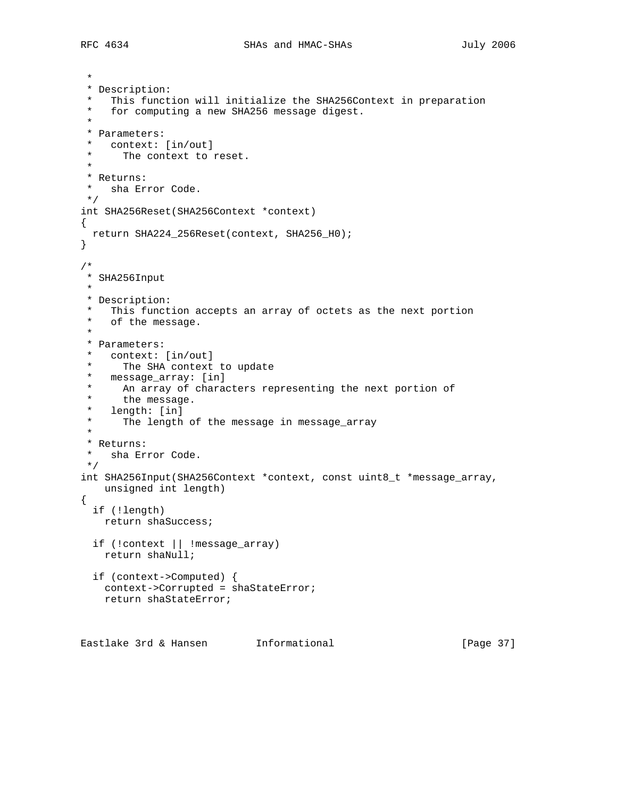```
 *
  * Description:
    This function will initialize the SHA256Context in preparation
  * for computing a new SHA256 message digest.
 *
 * Parameters:
 * context: [in/out]<br>* The context to
     The context to reset.
  *
 * Returns:<br>* sha Fr
   sha Error Code.
 */
int SHA256Reset(SHA256Context *context)
{
  return SHA224_256Reset(context, SHA256_H0);
}
/*
 * SHA256Input
 *
 * Description:
  * This function accepts an array of octets as the next portion
   of the message.
 \ddot{\phantom{a}} * Parameters:
   context: [in/out]
  * The SHA context to update
  * message_array: [in]
  * An array of characters representing the next portion of
 * the message.<br>* length: [in]
 * length: [in]<br>* The length
     The length of the message in message_array
  *
 * Returns:<br>* sha Fri
    sha Error Code.
 */
int SHA256Input(SHA256Context *context, const uint8_t *message_array,
    unsigned int length)
{
  if (!length)
    return shaSuccess;
   if (!context || !message_array)
    return shaNull;
   if (context->Computed) {
     context->Corrupted = shaStateError;
     return shaStateError;
```
Eastlake 3rd & Hansen Informational (Page 37)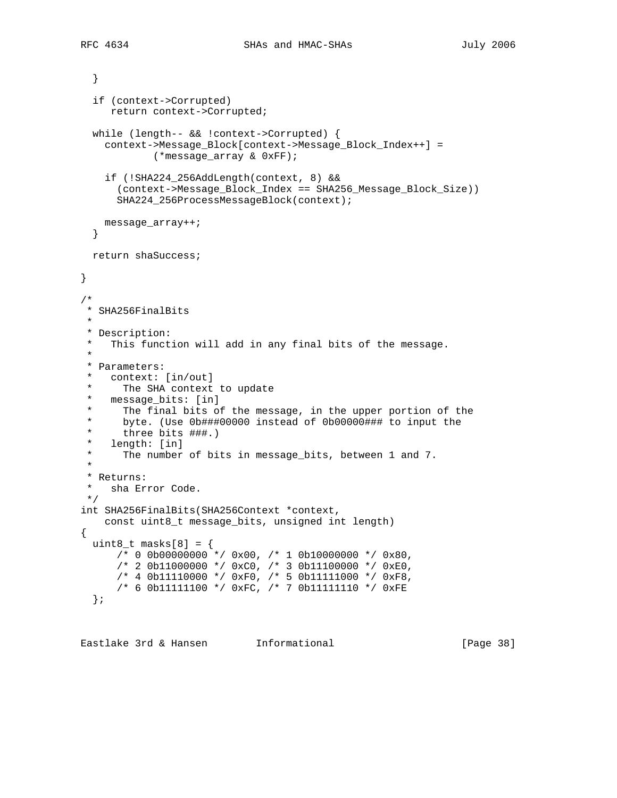```
 }
   if (context->Corrupted)
      return context->Corrupted;
   while (length-- && !context->Corrupted) {
     context->Message_Block[context->Message_Block_Index++] =
             (*message_array & 0xFF);
     if (!SHA224_256AddLength(context, 8) &&
       (context->Message_Block_Index == SHA256_Message_Block_Size))
       SHA224_256ProcessMessageBlock(context);
    message_array++;
   }
  return shaSuccess;
}
/*
 * SHA256FinalBits
 *
 * Description:
   This function will add in any final bits of the message.
 *
  * Parameters:
  * context: [in/out]
  * The SHA context to update
  * message_bits: [in]
 * The final bits of the message, in the upper portion of the<br>* byte (Use 0b###00000 instead of 0b00000### to input the
  * byte. (Use 0b###00000 instead of 0b00000### to input the
      three bits ###.)
  * length: [in]
  * The number of bits in message_bits, between 1 and 7.
 *
  * Returns:
  * sha Error Code.
 */
int SHA256FinalBits(SHA256Context *context,
    const uint8_t message_bits, unsigned int length)
{
 uint8_t masks[8] = {
      /* 0 0b00000000 */ 0x00, /* 1 0b10000000 */ 0x80,
       /* 2 0b11000000 */ 0xC0, /* 3 0b11100000 */ 0xE0,
       /* 4 0b11110000 */ 0xF0, /* 5 0b11111000 */ 0xF8,
       /* 6 0b11111100 */ 0xFC, /* 7 0b11111110 */ 0xFE
   };
```
Eastlake 3rd & Hansen Informational [Page 38]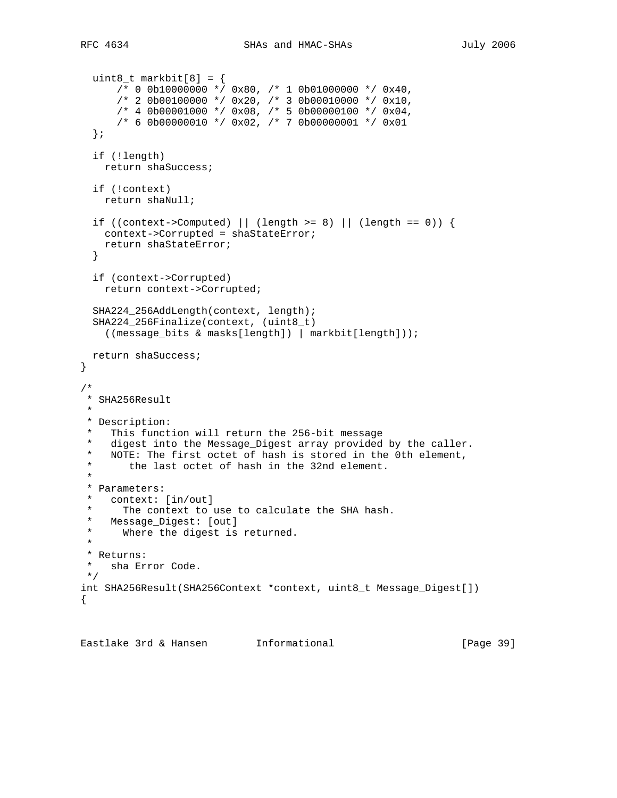```
uint8_t markbit[8] = \{/* 0 0b10000000 * 0x80, /* 1 0b01000000 * 0x40, /* 2 0b00100000 */ 0x20, /* 3 0b00010000 */ 0x10,
      /* 4 0b00001000 */ 0x08, /* 5 0b00000100 */ 0x04,
       /* 6 0b00000010 */ 0x02, /* 7 0b00000001 */ 0x01
   };
   if (!length)
    return shaSuccess;
   if (!context)
    return shaNull;
  if ((context->Computed) || (length >= 8) || (length == 0)) {
    context->Corrupted = shaStateError;
     return shaStateError;
   }
   if (context->Corrupted)
    return context->Corrupted;
   SHA224_256AddLength(context, length);
   SHA224_256Finalize(context, (uint8_t)
     ((message_bits & masks[length]) | markbit[length]));
  return shaSuccess;
}
/*
  * SHA256Result
 *
 * Description:
  * This function will return the 256-bit message
 * digest into the Message_Digest array provided by the caller.<br>* NOTE: The first octet of bash is stored in the 0th element
   NOTE: The first octet of hash is stored in the 0th element,
  * the last octet of hash in the 32nd element.
 *
  * Parameters:
    context: [in/out]
  * The context to use to calculate the SHA hash.
  * Message_Digest: [out]
  * Where the digest is returned.
 *
 * Returns:
    sha Error Code.
 */
int SHA256Result(SHA256Context *context, uint8_t Message_Digest[])
{
```
Eastlake 3rd & Hansen Informational [Page 39]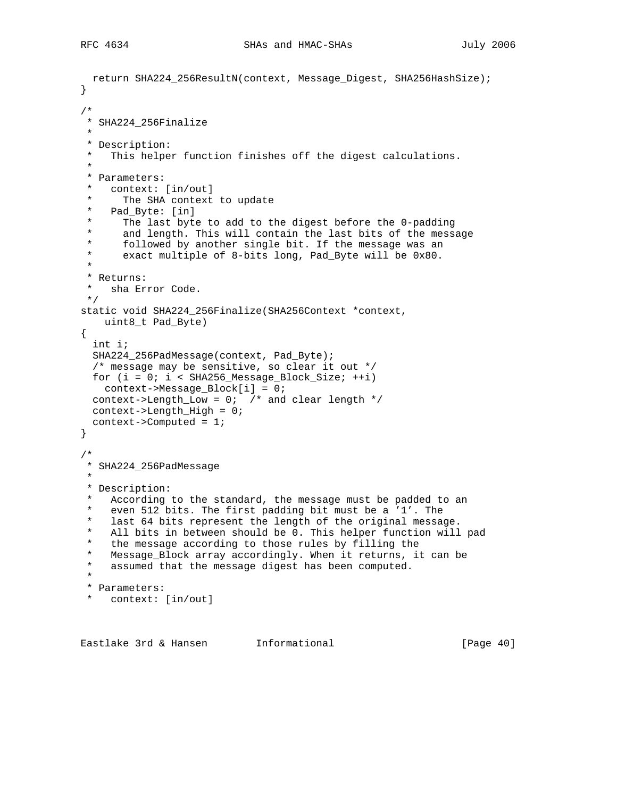```
 return SHA224_256ResultN(context, Message_Digest, SHA256HashSize);
}
/*
  * SHA224_256Finalize
 *
 * Description:
  * This helper function finishes off the digest calculations.
 *
  * Parameters:
    context: [in/out]
  * The SHA context to update
   Pad_Byte: [in]
      The last byte to add to the digest before the 0-padding
  * and length. This will contain the last bits of the message
  * followed by another single bit. If the message was an
      exact multiple of 8-bits long, Pad_Byte will be 0x80.
 *
  * Returns:
   sha Error Code.
 */
static void SHA224_256Finalize(SHA256Context *context,
    uint8_t Pad_Byte)
{
   int i;
   SHA224_256PadMessage(context, Pad_Byte);
   /* message may be sensitive, so clear it out */
 for (i = 0; i < SHA256_Mesage_Block_Size; ++i) context->Message_Block[i] = 0;
 context->Length_Low = 0; /* and clear length */
  context->Length_High = 0;
  context->Computed = 1;
}
/*
  * SHA224_256PadMessage
 *
  * Description:
   According to the standard, the message must be padded to an
  * even 512 bits. The first padding bit must be a '1'. The
  * last 64 bits represent the length of the original message.
  * All bits in between should be 0. This helper function will pad
    the message according to those rules by filling the
  * Message_Block array accordingly. When it returns, it can be
   assumed that the message digest has been computed.
 *
  * Parameters:
   context: [in/out]
```
Eastlake 3rd & Hansen Informational (Page 40)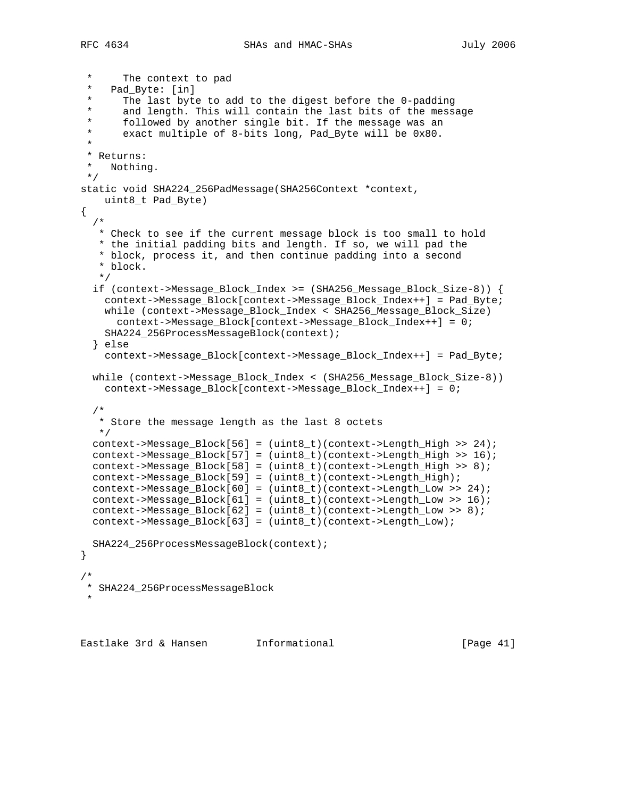RFC 4634 SHAs and HMAC-SHAs SHAS July 2006

```
The context to pad
  * Pad_Byte: [in]
  * The last byte to add to the digest before the 0-padding
  * and length. This will contain the last bits of the message
      followed by another single bit. If the message was an
  * exact multiple of 8-bits long, Pad_Byte will be 0x80.
 *
  * Returns:
 * Nothing.
 */
static void SHA224_256PadMessage(SHA256Context *context,
    uint8_t Pad_Byte)
{
   /*
   * Check to see if the current message block is too small to hold
   * the initial padding bits and length. If so, we will pad the
    * block, process it, and then continue padding into a second
    * block.
   */
   if (context->Message_Block_Index >= (SHA256_Message_Block_Size-8)) {
    context->Message_Block[context->Message_Block_Index++] = Pad_Byte;
    while (context->Message_Block_Index < SHA256_Message_Block_Size)
      context->Message_Block[context->Message_Block_Index++] = 0;
    SHA224_256ProcessMessageBlock(context);
   } else
    context->Message_Block[context->Message_Block_Index++] = Pad_Byte;
   while (context->Message_Block_Index < (SHA256_Message_Block_Size-8))
    context->Message_Block[context->Message_Block_Index++] = 0;
   /*
    * Store the message length as the last 8 octets
   */
 context->Message Block[56] = (uint8 t)(context->Length High >> 24);
  context->Message_Block[57] = (uint8_t)(context->Length_High >> 16);
  context->Message_Block[58] = (uint8_t)(context->Length_High >> 8);
  context->Message_Block[59] = (uint8_t)(context->Length_High);
  context->Message_Block[60] = (uint8_t)(context->Length_Low >> 24);
  context->Message_Block[61] = (uint8_t)(context->Length_Low >> 16);
  context->Message_Block[62] = (uint8_t)(context->Length_Low >> 8);
  context->Message_Block[63] = (uint8_t)(context->Length_Low);
  SHA224_256ProcessMessageBlock(context);
}
/*
 * SHA224_256ProcessMessageBlock
 *
```
Eastlake 3rd & Hansen Informational [Page 41]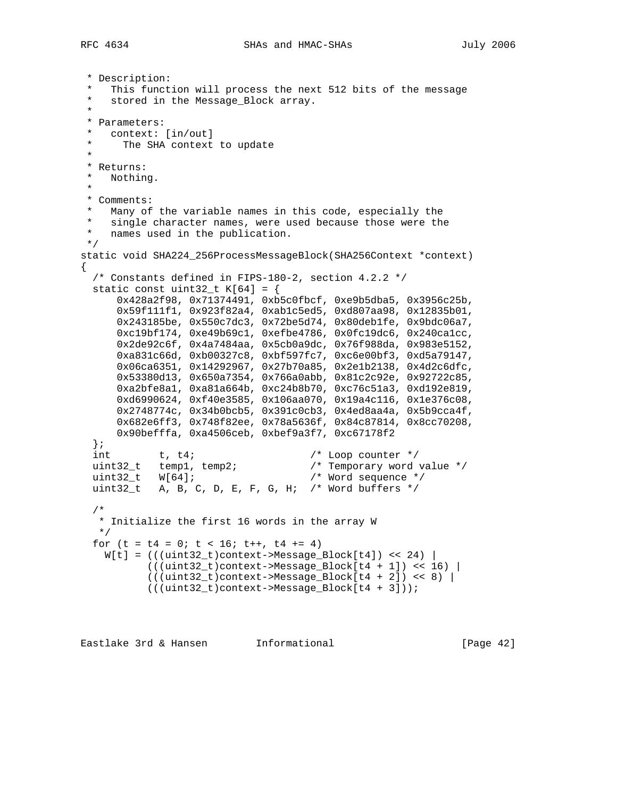```
 * Description:
    This function will process the next 512 bits of the message
    stored in the Message_Block array.
 *
  * Parameters:
 * context: [in/out]<br>* The SHA context
     The SHA context to update
  *
  * Returns:
  * Nothing.
 *
  * Comments:
   Many of the variable names in this code, especially the
  * single character names, were used because those were the
  * names used in the publication.
 */
static void SHA224_256ProcessMessageBlock(SHA256Context *context)
{
  /* Constants defined in FIPS-180-2, section 4.2.2 */
  static const uint32_t K[64] = \{ 0x428a2f98, 0x71374491, 0xb5c0fbcf, 0xe9b5dba5, 0x3956c25b,
       0x59f111f1, 0x923f82a4, 0xab1c5ed5, 0xd807aa98, 0x12835b01,
       0x243185be, 0x550c7dc3, 0x72be5d74, 0x80deb1fe, 0x9bdc06a7,
       0xc19bf174, 0xe49b69c1, 0xefbe4786, 0x0fc19dc6, 0x240ca1cc,
       0x2de92c6f, 0x4a7484aa, 0x5cb0a9dc, 0x76f988da, 0x983e5152,
 0xa831c66d, 0xb00327c8, 0xbf597fc7, 0xc6e00bf3, 0xd5a79147,
 0x06ca6351, 0x14292967, 0x27b70a85, 0x2e1b2138, 0x4d2c6dfc,
       0x53380d13, 0x650a7354, 0x766a0abb, 0x81c2c92e, 0x92722c85,
       0xa2bfe8a1, 0xa81a664b, 0xc24b8b70, 0xc76c51a3, 0xd192e819,
       0xd6990624, 0xf40e3585, 0x106aa070, 0x19a4c116, 0x1e376c08,
       0x2748774c, 0x34b0bcb5, 0x391c0cb3, 0x4ed8aa4a, 0x5b9cca4f,
       0x682e6ff3, 0x748f82ee, 0x78a5636f, 0x84c87814, 0x8cc70208,
       0x90befffa, 0xa4506ceb, 0xbef9a3f7, 0xc67178f2
   };
  int t, t4;<br>
uint32_t temp1, temp2; <br>
/* Temporary word value */
 uint32_t temp1, temp2; /* Temporary word value */
 uint32_t W[64]; /* Word sequence */
  uint32_t A, B, C, D, E, F, G, H; /* Word buffers */
   /*
    * Initialize the first 16 words in the array W
   */
  for (t = t4 = 0; t < 16; t++), t4 += 4)
   W[t] = ((uint32_t) context - Message_Block[t4]) << 24)((\text{uint32}_t)\text{context}->Message_Block[t4 + 1]) << 16) |
            (((uint32_t)context->Message_Block[t4 + 2]) << 8) |
            (((uint32_t)context->Message_Block[t4 + 3]));
```
Eastlake 3rd & Hansen Informational [Page 42]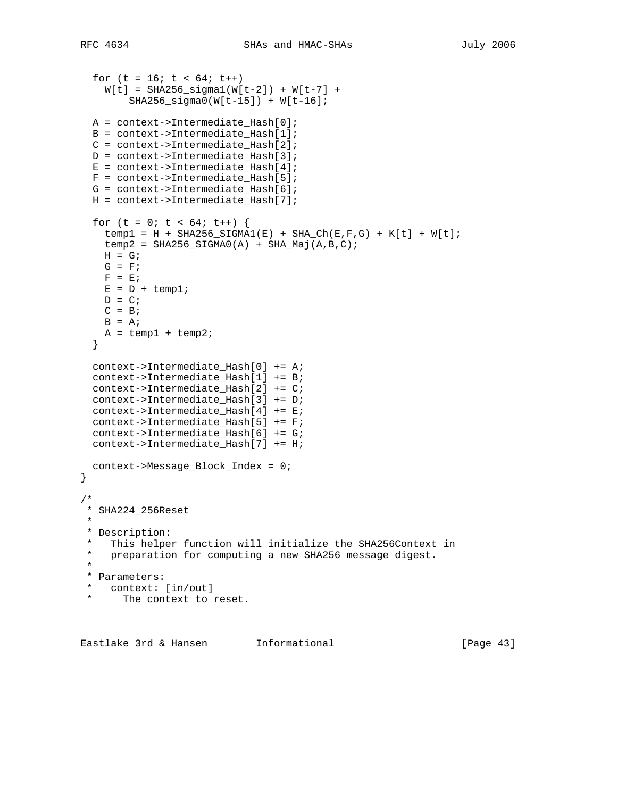```
for (t = 16; t < 64; t++)W[t] = SHA256_sigmal(W[t-2]) + W[t-7] +
         SHA256_sigma0(W[t-15]) + W[t-16];
  A = context->Intermediate_Hash[0];
  B = context->Intermediate_Hash[1];
  C = context->Intermediate_Hash[2];
  D = context->Intermediate_Hash[3];
 E = context->Internetmediate\_Hash[4];F = context->Internetmodelate\_Hash[5]; G = context->Intermediate_Hash[6];
  H = context->Intermediate_Hash[7];
 for (t = 0; t < 64; t++) {
    temp1 = H + SHA256_SIGMA1(E) + SHA Ch(E,F,G) + K[t] + W[t];temp2 = SHA256_SIGMA0(A) + SHA_Maj(A,B,C);H = G;
    G = F;
   F = E;
   E = D + temp1;D = C;
   C = BB = A;
   A = temp1 + temp2; }
  context->Intermediate_Hash[0] += A;
  context->Intermediate_Hash[1] += B;
  context->Intermediate_Hash[2] += C;
  context->Intermediate_Hash[3] += D;
  context->Intermediate_Hash[4] += E;
  context->Intermediate_Hash[5] += F;
  context->Intermediate_Hash[6] += G;
 context->Intermediate Hash[7] += Hi;
  context->Message_Block_Index = 0;
}
/*
 * SHA224_256Reset
 *
 * Description:
 * This helper function will initialize the SHA256Context in
   preparation for computing a new SHA256 message digest.
  *
  * Parameters:
  * context: [in/out]
      The context to reset.
```
Eastlake 3rd & Hansen Informational [Page 43]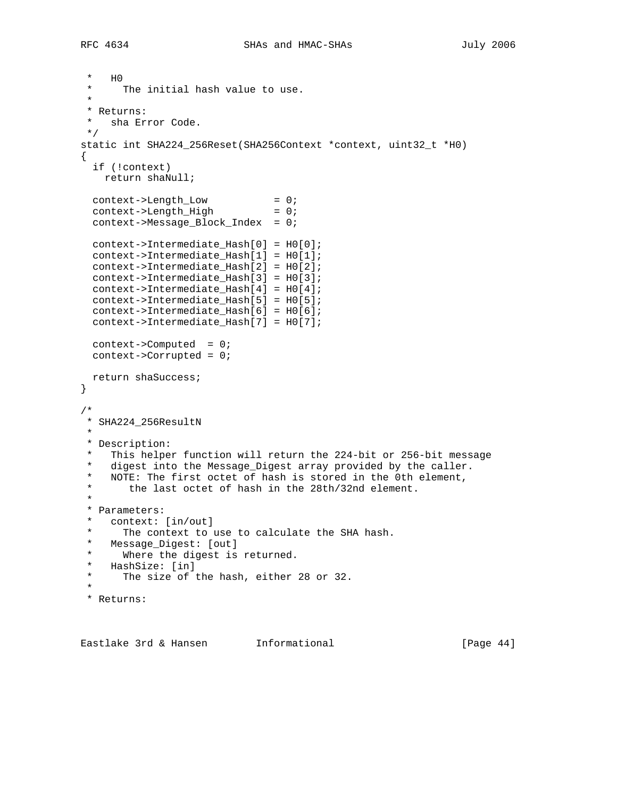```
* H<sub>0</sub>
    The initial hash value to use.
 *
  * Returns:
   sha Error Code.
  */
static int SHA224_256Reset(SHA256Context *context, uint32_t *H0)
{
   if (!context)
    return shaNull;
 context->Length_Low = 0;
context->Length_High = 0;
  context->Message_Block_Index = 0;
  context->Intermediate_Hash[0] = H0[0];
  context->Intermediate_Hash[1] = H0[1];
  context->Intermediate_Hash[2] = H0[2];
  context->Intermediate_Hash[3] = H0[3];
  context->Intermediate_Hash[4] = H0[4];
  context->Intermediate_Hash[5] = H0[5];
  context->Intermediate_Hash[6] = H0[6];
  context->Intermediate_Hash[7] = H0[7];
  context->Computed = 0;
  context->Corrupted = 0;
  return shaSuccess;
}
/*
 * SHA224_256ResultN
 *
 * Description:
   This helper function will return the 224-bit or 256-bit message
 * digest into the Message_Digest array provided by the caller.<br>* NOTE: The first oftet of bash is stored in the 0th element
   NOTE: The first octet of hash is stored in the 0th element,
        the last octet of hash in the 28th/32nd element.
 *
  * Parameters:
    context: [in/out]
 * The context to use to calculate the SHA hash.<br>* Message Digest: [out]
   Message_Digest: [out]
 * Where the digest is returned.<br>* HachSize: [in]
  * HashSize: [in]
     The size of the hash, either 28 or 32.
 *
  * Returns:
```
Eastlake 3rd & Hansen Informational (Page 44)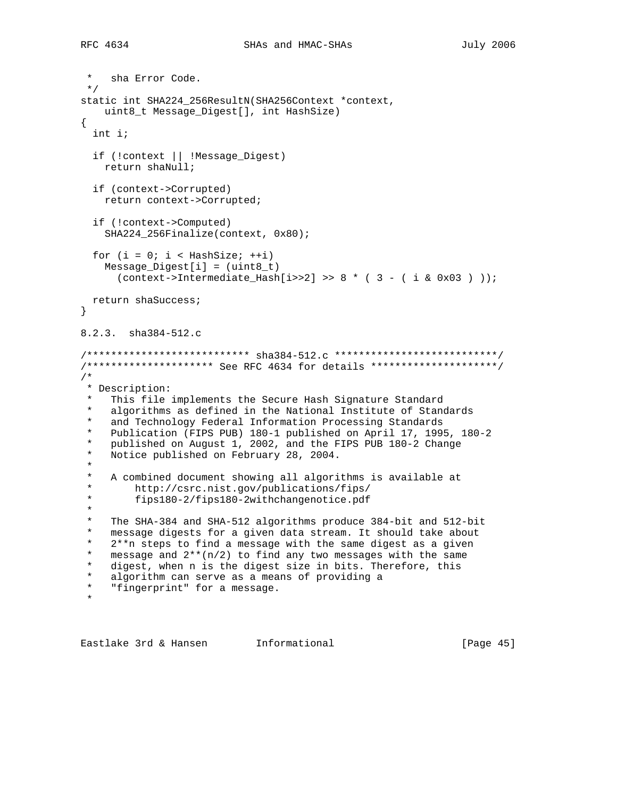```
 * sha Error Code.
 */
static int SHA224_256ResultN(SHA256Context *context,
   uint8_t Message_Digest[], int HashSize)
{
   int i;
   if (!context || !Message_Digest)
    return shaNull;
   if (context->Corrupted)
    return context->Corrupted;
   if (!context->Computed)
     SHA224_256Finalize(context, 0x80);
  for (i = 0; i < HashSize; ++i)
     Message_Digest[i] = (uint8_t)
      (context->Intermediate_Hash[i>2] > 8 * (3 - (i & 0x03) ));
  return shaSuccess;
}
8.2.3. sha384-512.c
/*************************** sha384-512.c ***************************/
/********************* See RFC 4634 for details *********************/
/*
 * Description:
    This file implements the Secure Hash Signature Standard
    algorithms as defined in the National Institute of Standards
  * and Technology Federal Information Processing Standards
    * Publication (FIPS PUB) 180-1 published on April 17, 1995, 180-2
  * published on August 1, 2002, and the FIPS PUB 180-2 Change
    Notice published on February 28, 2004.
 *
   A combined document showing all algorithms is available at
  * http://csrc.nist.gov/publications/fips/
          * fips180-2/fips180-2withchangenotice.pdf
  *
    The SHA-384 and SHA-512 algorithms produce 384-bit and 512-bit
  * message digests for a given data stream. It should take about
  * 2**n steps to find a message with the same digest as a given
 * message and 2**(n/2) to find any two messages with the same<br>* digast then n is the digast size in hits wherefore this
    digest, when n is the digest size in bits. Therefore, this
 * algorithm can serve as a means of providing a<br>* "fingernrint" for a measage
    "fingerprint" for a message.
 *
```
Eastlake 3rd & Hansen Informational [Page 45]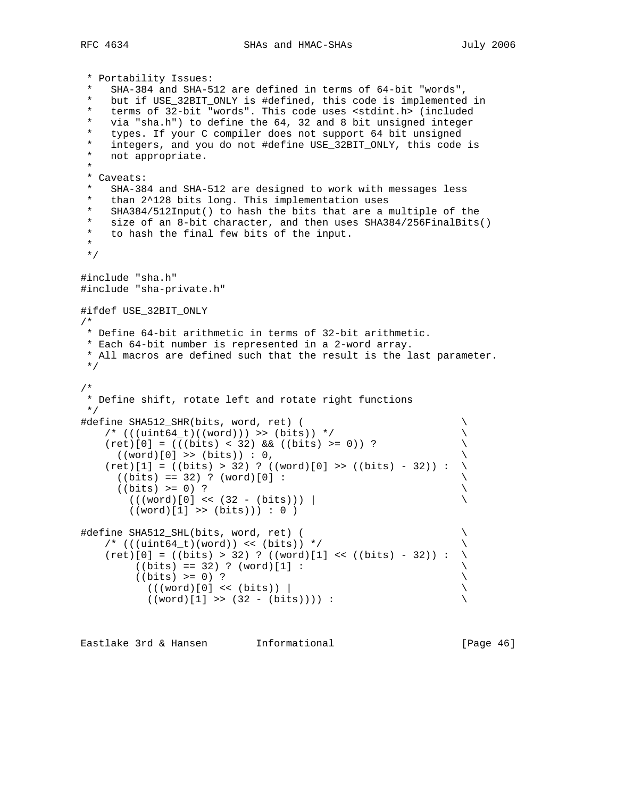RFC 4634 SHAs and HMAC-SHAs July 2006

```
 * Portability Issues:
   SHA-384 and SHA-512 are defined in terms of 64-bit "words",
    but if USE_32BIT_ONLY is #defined, this code is implemented in
  * terms of 32-bit "words". This code uses <stdint.h> (included
   via "sha.h") to define the 64, 32 and 8 bit unsigned integer
  * types. If your C compiler does not support 64 bit unsigned
  * integers, and you do not #define USE_32BIT_ONLY, this code is
   not appropriate.
 *
  * Caveats:
   SHA-384 and SHA-512 are designed to work with messages less
   than 2^128 bits long. This implementation uses
   SHA384/512Input() to hash the bits that are a multiple of the
  * size of an 8-bit character, and then uses SHA384/256FinalBits()
  * to hash the final few bits of the input.
  *
 */
#include "sha.h"
#include "sha-private.h"
#ifdef USE_32BIT_ONLY
/*
 * Define 64-bit arithmetic in terms of 32-bit arithmetic.
 * Each 64-bit number is represented in a 2-word array.
 * All macros are defined such that the result is the last parameter.
 */
/*
  * Define shift, rotate left and rotate right functions
 */
#define SHA512_SHR(bits, word, ret) ( \
    /* (((uint64_t)((word))) >> (bits)) */ \
   (ret)[0] = (((bits) < 32) & & (bibts) > = 0)) ?
     ((word) [0] \rightarrow (bits)) : 0,(ret)[1] = ((bits) > 32) ? ((word)[0] >> ((bits) - 32)) :
     ((bits) == 32) ? (word)[0] :((bits) > = 0) ?
       (((word)[0] << (32 - (bits)))((word)[1] \gg (bits)) : 0)
#define SHA512_SHL(bits, word, ret) ( \
    /* (((uint64_t)(word)) << (bits)) */
    (ret)[0] = ((bits) > 32) ? ((word)[1] < (ibits) - 32) :
         ((bits) == 32) ? (word)[1] :
         ((bits) >= 0) ?((word)[0] << (bits))((word)[1] \rightarrow (32 - (bits)))):
```
Eastlake 3rd & Hansen Informational [Page 46]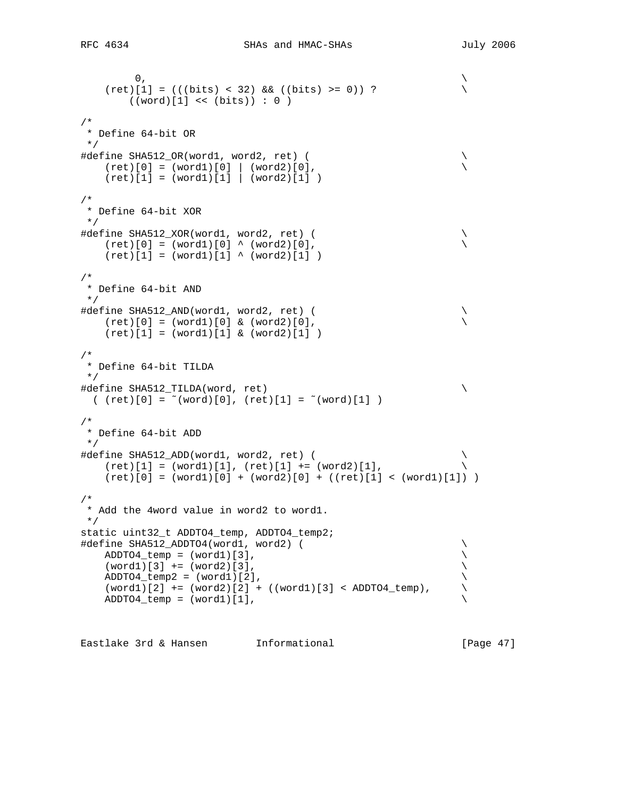```
\sim 0,
   (ret)[1] = (((bits) < 32) & & ((bits) > = 0)) ?((word)[1] << (bits)) : 0)/*
 * Define 64-bit OR
 */
#define SHA512_OR(word1, word2, ret) ( \
  (ret) [0] = (word1) [0] \mid (word2) [0],(ret)[1] = (word1)[1] | (word2)[1])/*
 * Define 64-bit XOR
 */
#define SHA512_XOR(word1, word2, ret) ( \
  (ret)[0] = (word1)[0] ^ (word2)[0],
   (ret)[1] = (word1)[1] \land (word2)[1])/*
 * Define 64-bit AND
 */
#define SHA512_AND(word1, word2, ret) ( \
  (ret)[0] = (word1)[0] & (word2)[0],(ret)[1] = (word1)[1] & (word2)[1])/*
 * Define 64-bit TILDA
 */
#define SHA512_TILDA(word, ret) \
(\text{ret})[0] = \text{``(word)}[0], (\text{ret})[1] = \text{``(word)}[1])/*
 * Define 64-bit ADD
 */
#define SHA512_ADD(word1, word2, ret) ( \
  (ret)[1] = (word1)[1], (ret)[1] += (word2)[1],(ret)[0] = (word1)[0] + (word2)[0] + ((ret)[1] < (word1)[1]) )/*
 * Add the 4word value in word2 to word1.
 */
static uint32_t ADDTO4_temp, ADDTO4_temp2;
#define SHA512_ADDTO4(word1, word2) ( \
  ADDTO4_temp = (word1)[3],(word1)[3] += (word2)[3],ADDTO4_temp2 = (word1)[2],(word1)[2] += (word2)[2] + ((word1)[3] < ADDTO4_temp),ADDTO4_temp = (word1)[1],
```
Eastlake 3rd & Hansen Informational [Page 47]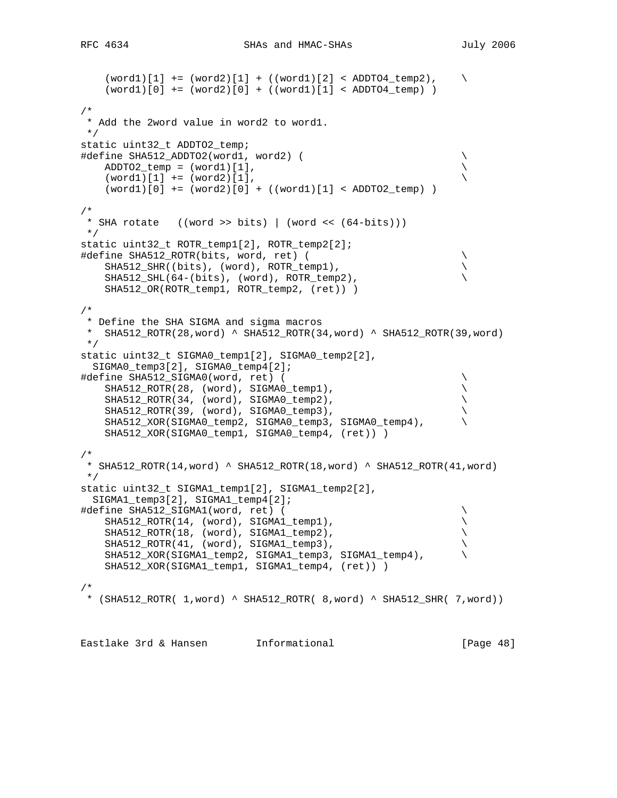```
(word1)[1] += (word2)[1] + ((word1)[2] < ADDT04_ttemp2), \ \ \ \ \ \ \ \ \ \(word1) [0] += (word2) [0] + ((word1) [1] < ADDTO4_temp) )/*
  * Add the 2word value in word2 to word1.
 */
static uint32_t ADDTO2_temp;
#define SHA512_ADDTO2(word1, word2) ( \
   ADDTO2_temp = (word1)[1],(word1)[1] += (word2)[1], (word1)[0] += (word2)[0] + ((word1)[1] < ADDTO2_temp) )
/*
 * SHA rotate ((word >> bits) | (word << (64-bits)))
 */
static uint32_t ROTR_temp1[2], ROTR_temp2[2];
#define SHA512_ROTR(bits, word, ret) ( \
   SHA512_SHR((bits), (word), ROTR_temp1),
    SHA512_SHL(64-(bits), (word), ROTR_temp2), \
    SHA512_OR(ROTR_temp1, ROTR_temp2, (ret)) )
/*
  * Define the SHA SIGMA and sigma macros
  * SHA512_ROTR(28,word) ^ SHA512_ROTR(34,word) ^ SHA512_ROTR(39,word)
 */
static uint32_t SIGMA0_temp1[2], SIGMA0_temp2[2],
  SIGMA0_temp3[2], SIGMA0_temp4[2];
#define SHA512_SIGMA0(word, ret) ( \
     SHA512_ROTR(28, (word), SIGMA0_temp1), \
     SHA512_ROTR(34, (word), SIGMA0_temp2), \
    SHA512_ROTR(39, (word), SIGMA0_temp3), \
     SHA512_XOR(SIGMA0_temp2, SIGMA0_temp3, SIGMA0_temp4), \
     SHA512_XOR(SIGMA0_temp1, SIGMA0_temp4, (ret)) )
/*
  * SHA512_ROTR(14,word) ^ SHA512_ROTR(18,word) ^ SHA512_ROTR(41,word)
 */
static uint32_t SIGMA1_temp1[2], SIGMA1_temp2[2],
  SIGMA1_temp3[2], SIGMA1_temp4[2];
#define SHA512_SIGMA1(word, ret) ( \
    SHA512_ROTR(14, (word), SIGMA1_temp1), \
    SHA512_ROTR(18, (word), SIGMA1_temp2), \
    SHA512_ROTR(41, (word), SIGMA1_temp3), \
    SHA512_XOR(SIGMA1_temp2, SIGMA1_temp3, SIGMA1_temp4), \
     SHA512_XOR(SIGMA1_temp1, SIGMA1_temp4, (ret)) )
/*
 * (SHA512_ROTR( 1, word) ^ SHA512_ROTR( 8, word) ^ SHA512_SHR( 7, word))
```
Eastlake 3rd & Hansen Informational (Page 48)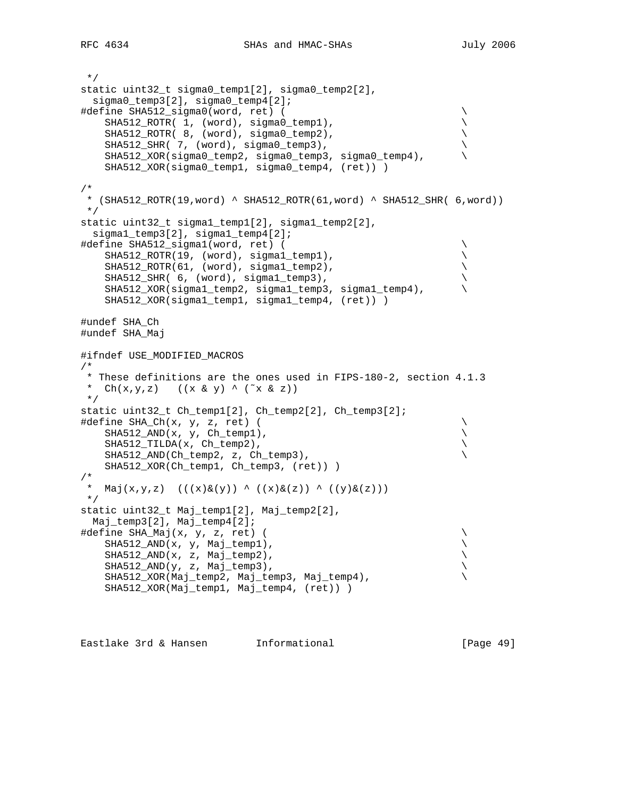```
 */
static uint32_t sigma0_temp1[2], sigma0_temp2[2],
   sigma0_temp3[2], sigma0_temp4[2];
#define SHA512_sigma0(word, ret) ( \
    SHA512_ROTR( 1, (word), sigma0_temp1),
    SHA512_ROTR( 8, (word), sigma0_temp2), \
    SHA512_SHR( 7, (word), sigma0_temp3), \
    SHA512_XOR(sigma0_temp2, sigma0_temp3, sigma0_temp4), \
     SHA512_XOR(sigma0_temp1, sigma0_temp4, (ret)) )
/*
 * (SHA512_ROTR(19,word) ^ SHA512_ROTR(61,word) ^ SHA512_SHR( 6,word))
 */
static uint32_t sigma1_temp1[2], sigma1_temp2[2],
  sigma1_temp3[2], sigma1_temp4[2];
#define SHA512_sigma1(word, ret) ( \
    SHA512_ROTR(19, (word), sigma1_temp1), \
    SHA512_ROTR(61, (word), sigma1_temp2), \
    SHA512_SHR( 6, (word), sigma1_temp3), \
     SHA512_XOR(sigma1_temp2, sigma1_temp3, sigma1_temp4), \
    SHA512_XOR(sigma1_temp1, sigma1_temp4, (ret)) )
#undef SHA_Ch
#undef SHA_Maj
#ifndef USE_MODIFIED_MACROS
/*
 * These definitions are the ones used in FIPS-180-2, section 4.1.3
 * Ch(x,y,z) ((x \& y) ^ (\tilde{c}x \& z)) */
static uint32_t Ch_temp1[2], Ch_temp2[2], Ch_temp3[2];
#define SHA_Ch(x, y, z, ret) ( \
   SHA512_AND(x, y, Ch_temp1),
    SHA512_TILDA(x, Ch_temp2), \
    SHA512_AND(Ch_temp2, z, Ch_temp3), \
    SHA512_XOR(Ch_temp1, Ch_temp3, (ret)) )
/*
* Maj(x,y,z) (((x)&(y)) ^ ((x)&(z)) ^ ((y)&(z)))
 */
static uint32_t Maj_temp1[2], Maj_temp2[2],
  Maj_temp3[2], Maj_temp4[2];
#define SHA_Maj(x, y, z, ret) ( \
   SHA512_AND(x, y, Maj_temp1),SHA512_AND(x, z, Maj_ttemp2),
   SHA512_AND(y, z, Maj_temp3),
    SHA512_XOR(Maj_temp2, Maj_temp3, Maj_temp4), \
    SHA512_XOR(Maj_temp1, Maj_temp4, (ret)) )
```
Eastlake 3rd & Hansen Informational (Page 49)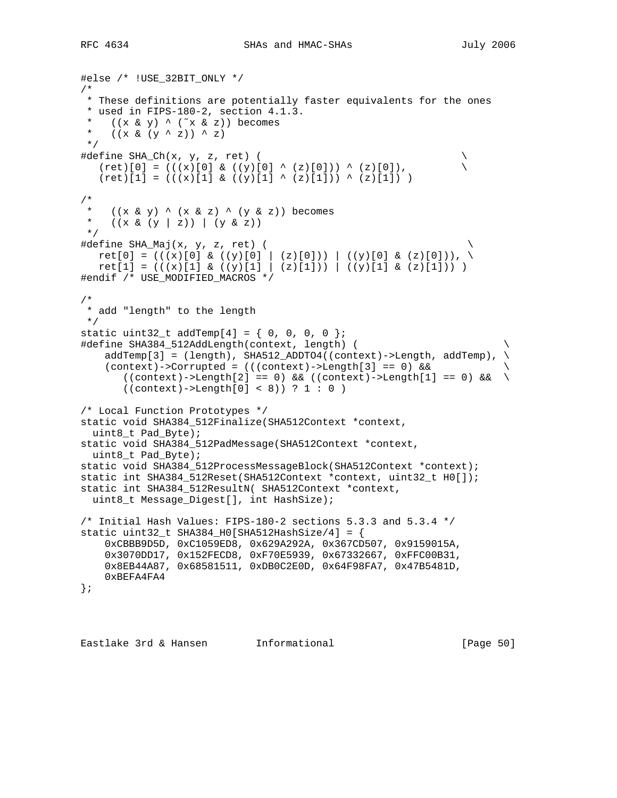```
#else /* !USE_32BIT_ONLY */
/*
 * These definitions are potentially faster equivalents for the ones
 * used in FIPS-180-2, section 4.1.3.
   ((x \& y) \wedge (\tilde{x} \& z)) becomes
 * ((x \& (y \land z)) \land z) */
\#\text{define SHA\_Ch}(x, y, z, ret) (
  (ret)[0] = (((x)[0] & ((y)[0] ^ (z)[0])) ^ (z)[0]),(ret)[1] = (((x)[1] & (y)[1] ^ (z)[1])) ^ (z)[1]) )/*
   ((x \& y) \land (x \& z) \land (y \& z)) becomes
  * ((x & (y | z)) | (y & z))
 */
#define SHA_Maj(x, y, z, ret) ( \
ret[0] = ((x)[0] & (y)[0] | (z)[0])) ( (y)[0] & (z)[0]))ret[1] = (((x)[1] \& ((y)[1] \mid (z)[1])) ) ((y)[1] \& (z)[1])))
#endif /* USE_MODIFIED_MACROS */
/*
 * add "length" to the length
 */
static uint32_t addTemp[4] = \{ 0, 0, 0, 0 \};
#define SHA384_512AddLength(context, length) ( \
     addTemp[3] = (length), SHA512_ADDTO4((context)->Length, addTemp), \
   (context)->Corrupted = (((context)->Length[3] == 0) &&
       ((context) - \text{length}[2] == 0) & & (countext) - \text{length}[1] == 0) & & \((context)-\text{Length}[0] < 8)) ? 1 : 0)
/* Local Function Prototypes */
static void SHA384_512Finalize(SHA512Context *context,
  uint8_t Pad_Byte);
static void SHA384_512PadMessage(SHA512Context *context,
  uint8_t Pad_Byte);
static void SHA384_512ProcessMessageBlock(SHA512Context *context);
static int SHA384_512Reset(SHA512Context *context, uint32_t H0[]);
static int SHA384_512ResultN( SHA512Context *context,
  uint8_t Message_Digest[], int HashSize);
/* Initial Hash Values: FIPS-180-2 sections 5.3.3 and 5.3.4 */
static uint32_t SHA384_H0[SHA512HashSize/4] = {
    0xCBBB9D5D, 0xC1059ED8, 0x629A292A, 0x367CD507, 0x9159015A,
    0x3070DD17, 0x152FECD8, 0xF70E5939, 0x67332667, 0xFFC00B31,
    0x8EB44A87, 0x68581511, 0xDB0C2E0D, 0x64F98FA7, 0x47B5481D,
    0xBEFA4FA4
};
```
Eastlake 3rd & Hansen Informational [Page 50]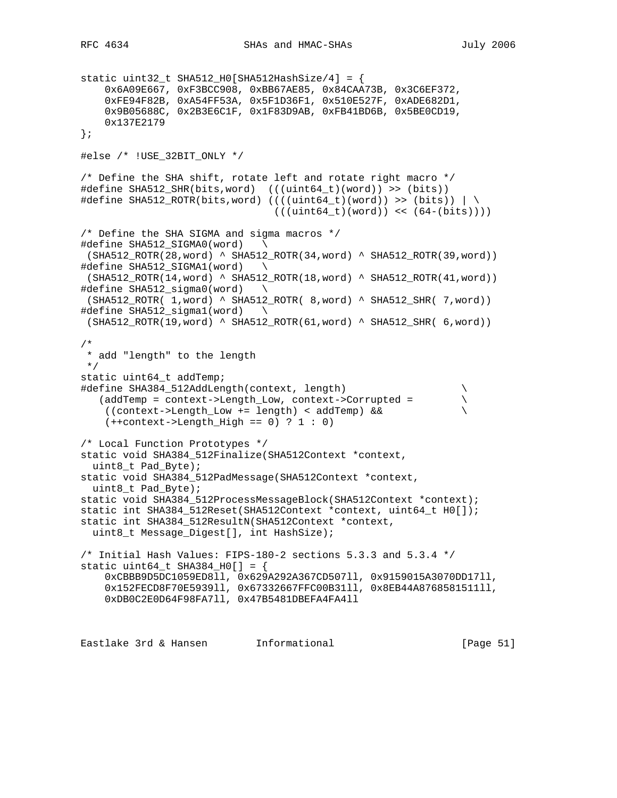```
static uint32_t SHA512_H0[SHA512HashSize/4] = {
     0x6A09E667, 0xF3BCC908, 0xBB67AE85, 0x84CAA73B, 0x3C6EF372,
     0xFE94F82B, 0xA54FF53A, 0x5F1D36F1, 0x510E527F, 0xADE682D1,
     0x9B05688C, 0x2B3E6C1F, 0x1F83D9AB, 0xFB41BD6B, 0x5BE0CD19,
     0x137E2179
};
#else /* !USE_32BIT_ONLY */
/* Define the SHA shift, rotate left and rotate right macro */#define SHA512_SHR(bits,word) (((uint64_t)(word)) >> (bits))
#define SHA512_ROTR(bits,word) ((((uint64_t)(word)) >> (bits)) \vert \ \rangle((uint64 t)(word)) \leq (64-(bits))/* Define the SHA SIGMA and sigma macros */
#define SHA512_SIGMA0(word) \
 (SHA512_ROTR(28,word) ^ SHA512_ROTR(34,word) ^ SHA512_ROTR(39,word))
#define SHA512_SIGMA1(word) \
 (SHA512_ROTR(14,word) ^ SHA512_ROTR(18,word) ^ SHA512_ROTR(41,word))
#define SHA512_sigma0(word) \
 (SHA512_ROTR( 1,word) ^ SHA512_ROTR( 8,word) ^ SHA512_SHR( 7,word))
#define SHA512_sigma1(word) \
 (SHA512_ROTR(19,word) ^ SHA512_ROTR(61,word) ^ SHA512_SHR( 6,word))
/*
 * add "length" to the length
 */
static uint64_t addTemp;
#define SHA384_512AddLength(context, length) \
    (addTemp = context->Length_Low, context->Corrupted = \
   ((context-)Length Low += length) < addTemp) &
    (++context->Length_High == 0) ? 1 : 0)
/* Local Function Prototypes */
static void SHA384_512Finalize(SHA512Context *context,
  uint8_t Pad_Byte);
static void SHA384_512PadMessage(SHA512Context *context,
  uint8_t Pad_Byte);
static void SHA384_512ProcessMessageBlock(SHA512Context *context);
static int SHA384 512Reset(SHA512Context *context, uint64 t H0[]);
static int SHA384_512ResultN(SHA512Context *context,
  uint8_t Message_Digest[], int HashSize);
/* Initial Hash Values: FIPS-180-2 sections 5.3.3 and 5.3.4 */
static uint64_t SHA384_H0[] = \{ 0xCBBB9D5DC1059ED8ll, 0x629A292A367CD507ll, 0x9159015A3070DD17ll,
     0x152FECD8F70E5939ll, 0x67332667FFC00B31ll, 0x8EB44A8768581511ll,
     0xDB0C2E0D64F98FA7ll, 0x47B5481DBEFA4FA4ll
```
Eastlake 3rd & Hansen Informational [Page 51]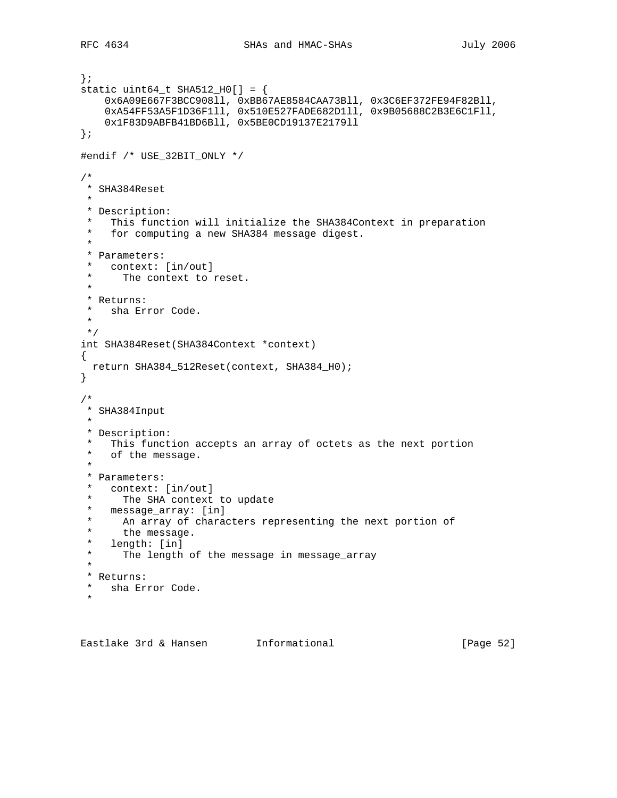```
};
static uint64_t SHA512_H0[] = {
     0x6A09E667F3BCC908ll, 0xBB67AE8584CAA73Bll, 0x3C6EF372FE94F82Bll,
     0xA54FF53A5F1D36F1ll, 0x510E527FADE682D1ll, 0x9B05688C2B3E6C1Fll,
     0x1F83D9ABFB41BD6Bll, 0x5BE0CD19137E2179ll
};
#endif /* USE_32BIT_ONLY */
/*
 * SHA384Reset
 *
 * Description:
  * This function will initialize the SHA384Context in preparation
  * for computing a new SHA384 message digest.
  *
  * Parameters:
 * context: [in/out]<br>* The context to
      The context to reset.
  *
  * Returns:
  * sha Error Code.
  *
 */
int SHA384Reset(SHA384Context *context)
{
  return SHA384_512Reset(context, SHA384_H0);
}
/*
 * SHA384Input
 *
 * Description:
  * This function accepts an array of octets as the next portion
   of the message.
 *
  * Parameters:
  * context: [in/out]
  * The SHA context to update
  * message_array: [in]
  * An array of characters representing the next portion of
 * the message.<br>* length: [in]
   length: [in]
  * The length of the message in message_array
 *
  * Returns:
  * sha Error Code.
 \mathbf{r}
```
Eastlake 3rd & Hansen Informational (Page 52)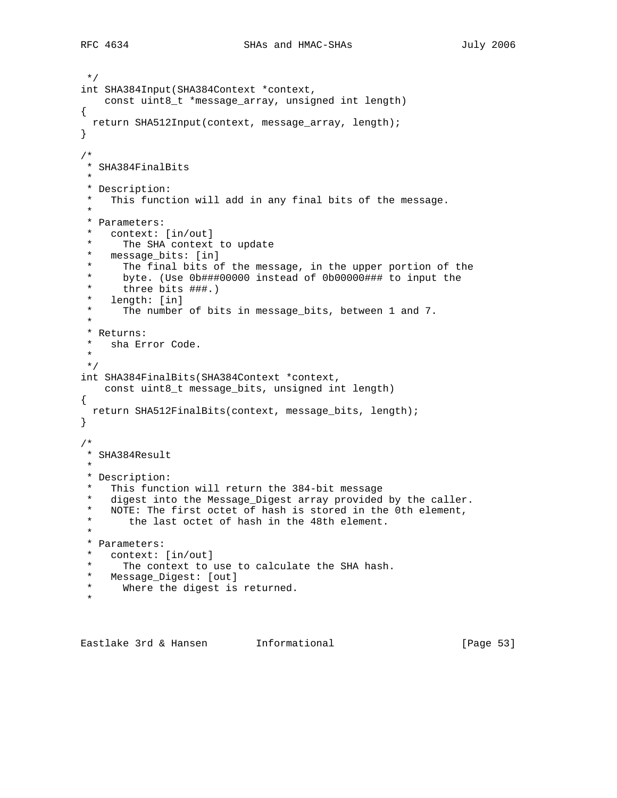```
 */
int SHA384Input(SHA384Context *context,
    const uint8_t *message_array, unsigned int length)
{
  return SHA512Input(context, message_array, length);
}
/*
  * SHA384FinalBits
 *
 * Description:
  * This function will add in any final bits of the message.
 *
  * Parameters:
  * context: [in/out]
  * The SHA context to update
  * message_bits: [in]
 * The final bits of the message, in the upper portion of the<br>* byte (Use 0b###00000 instead of 0b00000### to input the
      byte. (Use 0b###00000 instead of 0b00000### to input the
 * three bits \##.)
   length: [in]
  * The number of bits in message_bits, between 1 and 7.
 *
  * Returns:
  * sha Error Code.
 *
 */
int SHA384FinalBits(SHA384Context *context,
   const uint8_t message_bits, unsigned int length)
{
  return SHA512FinalBits(context, message_bits, length);
}
/*
 * SHA384Result
 *
  * Description:
  * This function will return the 384-bit message
  * digest into the Message_Digest array provided by the caller.
  * NOTE: The first octet of hash is stored in the 0th element,
       the last octet of hash in the 48th element.
 *
  * Parameters:
  * context: [in/out]
  * The context to use to calculate the SHA hash.
  * Message_Digest: [out]
      Where the digest is returned.
 *
```
Eastlake 3rd & Hansen Informational (Page 53)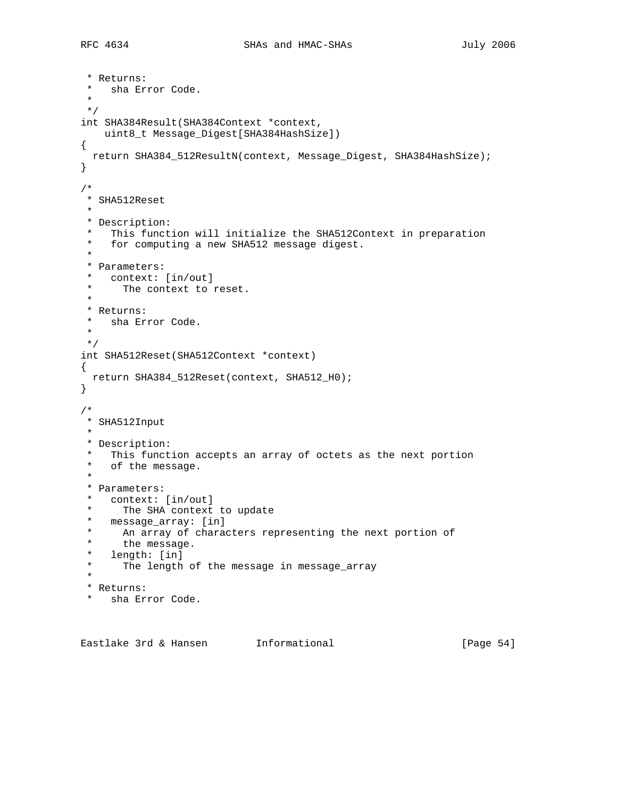```
 * Returns:
 * sha Error Code.
 *
 */
int SHA384Result(SHA384Context *context,
   uint8_t Message_Digest[SHA384HashSize])
{
  return SHA384_512ResultN(context, Message_Digest, SHA384HashSize);
}
/*
 * SHA512Reset
 *
 * Description:
 * This function will initialize the SHA512Context in preparation
  * for computing a new SHA512 message digest.
 *
  * Parameters:
 * context: [in/out]<br>* The context to
      The context to reset.
  *
  * Returns:
  * sha Error Code.
 \ddot{r} */
int SHA512Reset(SHA512Context *context)
{
  return SHA384_512Reset(context, SHA512_H0);
}
/*
 * SHA512Input
 *
 * Description:
  * This function accepts an array of octets as the next portion
   of the message.
 *
  * Parameters:
  * context: [in/out]
 * The SHA context to update<br>* message array: [in]
  * message_array: [in]
 * An array of characters representing the next portion of
      the message.
  * length: [in]
       The length of the message in message_array
  *
  * Returns:
  * sha Error Code.
```
Eastlake 3rd & Hansen Informational (Page 54)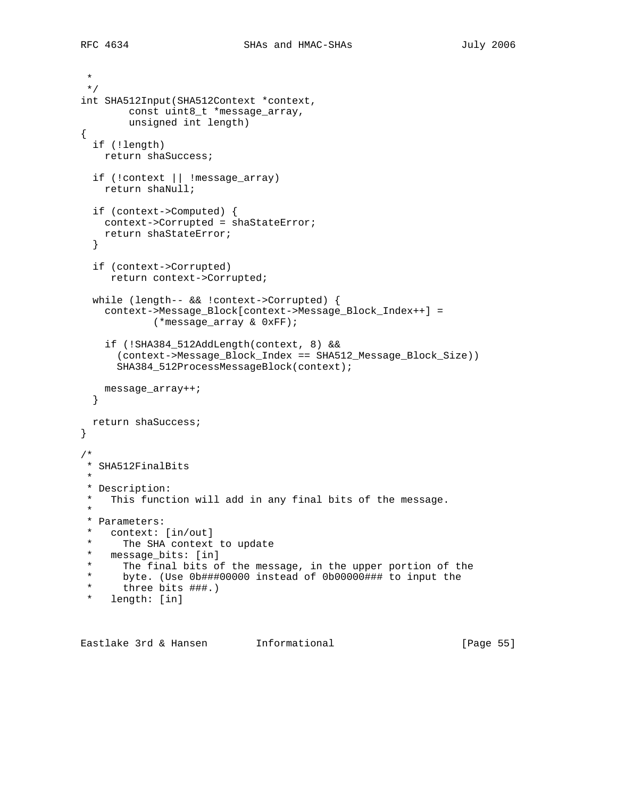\* \*/ int SHA512Input(SHA512Context \*context, const uint8\_t \*message\_array, unsigned int length) { if (!length) return shaSuccess; if (!context || !message\_array) return shaNull; if (context->Computed) { context->Corrupted = shaStateError; return shaStateError; } if (context->Corrupted) return context->Corrupted; while (length-- && !context->Corrupted) { context->Message\_Block[context->Message\_Block\_Index++] = (\*message\_array & 0xFF); if (!SHA384\_512AddLength(context, 8) && (context->Message\_Block\_Index == SHA512\_Message\_Block\_Size)) SHA384\_512ProcessMessageBlock(context); message\_array++; } return shaSuccess; } /\* \* SHA512FinalBits \* \* Description: \* This function will add in any final bits of the message. \* \* Parameters: \* context: [in/out]<br>\* The SHA context \* The SHA context to update<br>\* message hits: [in] \* message\_bits: [in] \* The final bits of the message, in the upper portion of the<br>\* byte (Use 0b###00000 instead of 0b00000### to input the \* byte. (Use 0b###00000 instead of 0b00000### to input the three bits ###.) \* length: [in]

Eastlake 3rd & Hansen Informational (Page 55)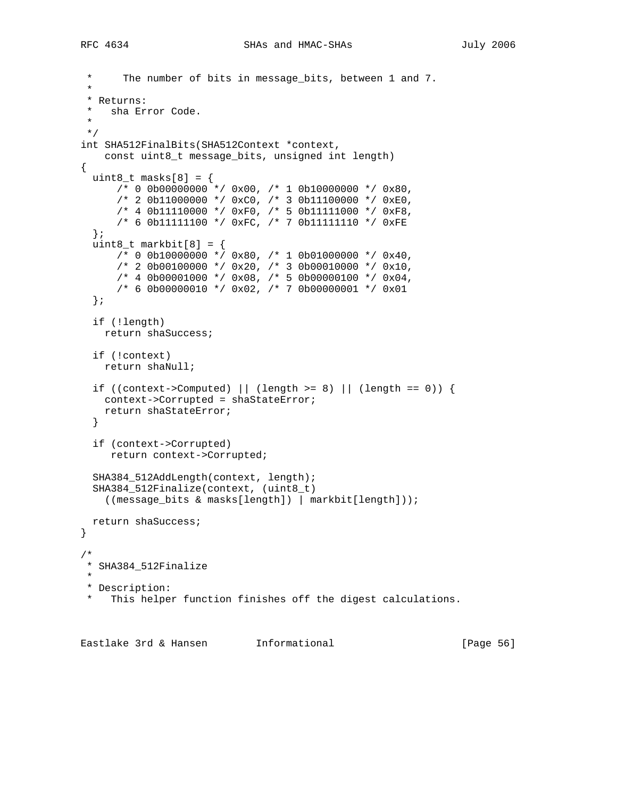```
The number of bits in message_bits, between 1 and 7.
 *
  * Returns:
  * sha Error Code.
  *
 */
int SHA512FinalBits(SHA512Context *context,
    const uint8_t message_bits, unsigned int length)
{
 uint8_t masks[8] = {
     /* 0 0b00000000 */ 0x00, /* 1 0b10000000 */ 0x80,
       /* 2 0b11000000 */ 0xC0, /* 3 0b11100000 */ 0xE0,
       /* 4 0b11110000 */ 0xF0, /* 5 0b11111000 */ 0xF8,
       /* 6 0b11111100 */ 0xFC, /* 7 0b11111110 */ 0xFE
   };
  uint8_t markbit[8] = \{/* 0 0b10000000 */ 0x80, /* 1 0b01000000 */ 0x40,
      /* 2 0b00100000 */ 0x20, /* 3 0b00010000 */ 0x10,
      /* 4 0b00001000 */ 0x08, /* 5 0b00000100 */ 0x04,
      /* 6 0b00000010 */ 0x02, /* 7 0b00000001 */ 0x01
   };
   if (!length)
    return shaSuccess;
   if (!context)
    return shaNull;
  if ((context->Computed) || (length >= 8) || (length == 0)) {
    context->Corrupted = shaStateError;
    return shaStateError;
   }
   if (context->Corrupted)
     return context->Corrupted;
   SHA384_512AddLength(context, length);
   SHA384_512Finalize(context, (uint8_t)
    ((message_bits & masks[length]) | markbit[length]));
  return shaSuccess;
}
/*
 * SHA384_512Finalize
 *
 * Description:
  This helper function finishes off the digest calculations.
```
Eastlake 3rd & Hansen Informational [Page 56]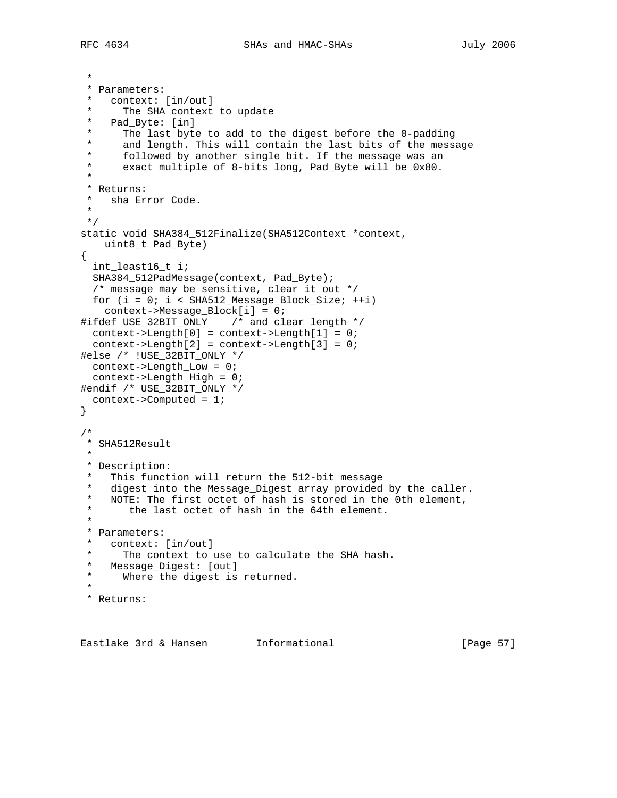```
 *
  * Parameters:
    context: [in/out]
  * The SHA context to update
  * Pad_Byte: [in]
 * The last byte to add to the digest before the 0-padding<br>* and length This will contain the last bits of the mess:
 * and length. This will contain the last bits of the message<br>* followed by another single bit. If the message was an
 * followed by another single bit. If the message was an<br>* 0xest multiple of 8 bits long Dod Buts will be 0x80
      exact multiple of 8-bits long, Pad_Byte will be 0x80.
  *
  * Returns:
  * sha Error Code.
 *
  */
static void SHA384_512Finalize(SHA512Context *context,
    uint8_t Pad_Byte)
{
   int_least16_t i;
  SHA384_512PadMessage(context, Pad_Byte);
   /* message may be sensitive, clear it out */
  for (i = 0; i < SHA512 Message Block Size; ++i)
     context->Message_Block[i] = 0;
#ifdef USE_32BIT_ONLY /* and clear length */
   context->Length[0] = context->Length[1] = 0;
   context->Length[2] = context->Length[3] = 0;
#else /* !USE_32BIT_ONLY */
  context->Length_Low = 0;
   context->Length_High = 0;
#endif /* USE_32BIT_ONLY */
  context->Computed = 1;
}
/*
  * SHA512Result
 *
  * Description:
  * This function will return the 512-bit message
  * digest into the Message_Digest array provided by the caller.
  * NOTE: The first octet of hash is stored in the 0th element,
  * the last octet of hash in the 64th element.
 *
  * Parameters:
  * context: [in/out]
 * The context to use to calculate the SHA hash.<br>* Mossage Digest: [out]
  * Message_Digest: [out]
     Where the digest is returned.
 *
  * Returns:
```
Eastlake 3rd & Hansen Informational (Page 57)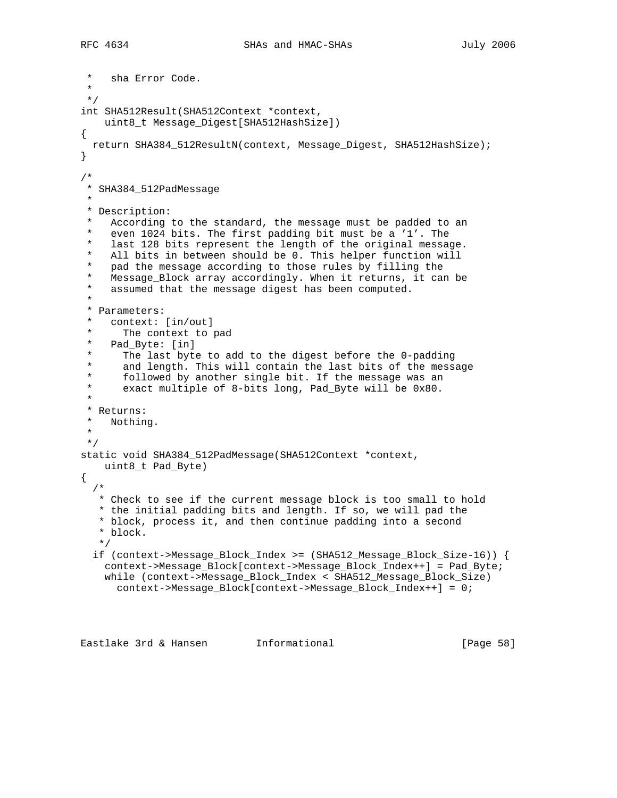```
sha Error Code.
 *
 */
int SHA512Result(SHA512Context *context,
    uint8_t Message_Digest[SHA512HashSize])
{
  return SHA384_512ResultN(context, Message_Digest, SHA512HashSize);
}
/*
 * SHA384_512PadMessage
 *
 * Description:
   According to the standard, the message must be padded to an
    even 1024 bits. The first padding bit must be a '1'. The
  * last 128 bits represent the length of the original message.
   All bits in between should be 0. This helper function will
  * pad the message according to those rules by filling the
   Message_Block array accordingly. When it returns, it can be
  * assumed that the message digest has been computed.
 *
  * Parameters:
   context: [in/out]
 * The context to pad<br>* Pad Byte: [in]
   Pad_Byte: [in]
  * The last byte to add to the digest before the 0-padding
  * and length. This will contain the last bits of the message
  * followed by another single bit. If the message was an
  * exact multiple of 8-bits long, Pad_Byte will be 0x80.
 *
  * Returns:
  * Nothing.
  *
 */
static void SHA384_512PadMessage(SHA512Context *context,
    uint8_t Pad_Byte)
{
   /*
   * Check to see if the current message block is too small to hold
   * the initial padding bits and length. If so, we will pad the
    * block, process it, and then continue padding into a second
    * block.
    */
   if (context->Message_Block_Index >= (SHA512_Message_Block_Size-16)) {
    context->Message_Block[context->Message_Block_Index++] = Pad_Byte;
    while (context->Message_Block_Index < SHA512_Message_Block_Size)
       context->Message_Block[context->Message_Block_Index++] = 0;
```
Eastlake 3rd & Hansen Informational [Page 58]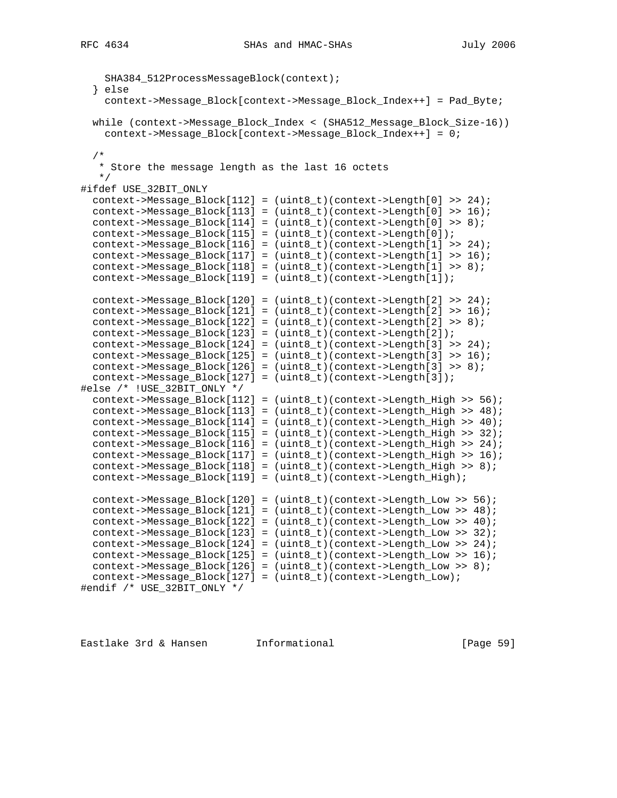```
 SHA384_512ProcessMessageBlock(context);
   } else
    context->Message_Block[context->Message_Block_Index++] = Pad_Byte;
   while (context->Message_Block_Index < (SHA512_Message_Block_Size-16))
    context->Message_Block[context->Message_Block_Index++] = 0;
   /*
    * Store the message length as the last 16 octets
   */
#ifdef USE_32BIT_ONLY
   context->Message_Block[112] = (uint8_t)(context->Length[0] >> 24);
   context->Message_Block[113] = (uint8_t)(context->Length[0] >> 16);
  context->Message_Block[114] = (uint8_t)(context->Length[0] >> 8);
  context->Message_Block[115] = (uint8_t)(context->Length[0]);
  context->Message_Block[116] = (uint8_t)(context->Length[1] >> 24);
  context->Message_Block[117] = (uint8_t)(context->Length[1] >> 16);
 context->Message_Block[118] = (uint8_t)(context->Length[1] >> 8);
  context->Message_Block[119] = (uint8_t)(context->Length[1]);
 context->Message_Block[120] = (uint8_t)(context->Length[2] >> 24);
  context->Message_Block[121] = (uint8_t)(context->Length[2] >> 16);
  context->Message_Block[122] = (uint8_t)(context->Length[2] >> 8);
  context->Message_Block[123] = (uint8_t)(context->Length[2]);
  context->Message_Block[124] = (uint8_t)(context->Length[3] >> 24);
  context->Message_Block[125] = (uint8_t)(context->Length[3] >> 16);
  context->Message_Block[126] = (uint8_t)(context->Length[3] >> 8);
   context->Message_Block[127] = (uint8_t)(context->Length[3]);
#else /* !USE_32BIT_ONLY */
  context->Message_Block[112] = (uint8_t)(context->Length_High >> 56);
  context->Message_Block[113] = (uint8_t)(context->Length_High >> 48);
 context->Message_Block[114] = (uint8_t)(context-)Length_High \t>> 40);
  context->Message_Block[115] = (uint8_t)(context->Length_High >> 32);
  context->Message_Block[116] = (uint8_t)(context->Length_High >> 24);
  context->Message_Block[117] = (uint8_t)(context->Length_High >> 16);
 context->Message_Block[118] = (uint8_t)(context->Length High >> 8); context->Message_Block[119] = (uint8_t)(context->Length_High);
  context->Message_Block[120] = (uint8_t)(context->Length_Low >> 56);
  context->Message_Block[121] = (uint8_t)(context->Length_Low >> 48);
  context->Message_Block[122] = (uint8_t)(context->Length_Low >> 40);
  context->Message_Block[123] = (uint8_t)(context->Length_Low >> 32);
  context->Message_Block[124] = (uint8_t)(context->Length_Low >> 24);
 context->Message_Block[125] = (uint8_t)(context-5Length_low >> 16);
  context->Message_Block[126] = (uint8_t)(context->Length_Low >> 8);
  context->Message_Block[127] = (uint8_t)(context->Length_Low);
#endif /* USE_32BIT_ONLY */
```
Eastlake 3rd & Hansen Informational [Page 59]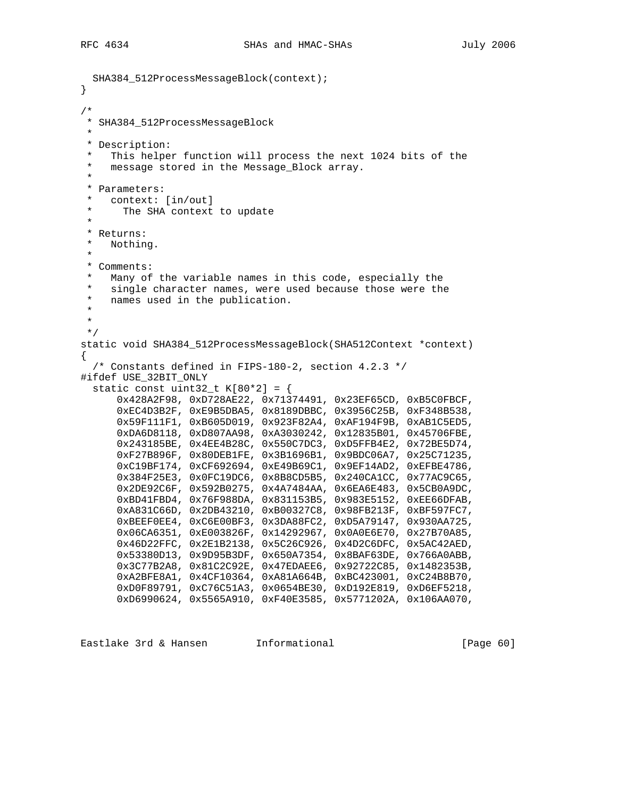```
 SHA384_512ProcessMessageBlock(context);
}
/*
  * SHA384_512ProcessMessageBlock
 *
 * Description:
   This helper function will process the next 1024 bits of the
   message stored in the Message_Block array.
 *
  * Parameters:
   context: [in/out]
      The SHA context to update
 *
  * Returns:
  * Nothing.
 *
  * Comments:
  * Many of the variable names in this code, especially the
 * single character names, were used because those were the<br>* sames used in the publication
   names used in the publication.
  *
  *
 */
static void SHA384_512ProcessMessageBlock(SHA512Context *context)
{
   /* Constants defined in FIPS-180-2, section 4.2.3 */
#ifdef USE_32BIT_ONLY
  static const uint32_t K[80*2] = \{ 0x428A2F98, 0xD728AE22, 0x71374491, 0x23EF65CD, 0xB5C0FBCF,
       0xEC4D3B2F, 0xE9B5DBA5, 0x8189DBBC, 0x3956C25B, 0xF348B538,
       0x59F111F1, 0xB605D019, 0x923F82A4, 0xAF194F9B, 0xAB1C5ED5,
       0xDA6D8118, 0xD807AA98, 0xA3030242, 0x12835B01, 0x45706FBE,
       0x243185BE, 0x4EE4B28C, 0x550C7DC3, 0xD5FFB4E2, 0x72BE5D74,
       0xF27B896F, 0x80DEB1FE, 0x3B1696B1, 0x9BDC06A7, 0x25C71235,
       0xC19BF174, 0xCF692694, 0xE49B69C1, 0x9EF14AD2, 0xEFBE4786,
       0x384F25E3, 0x0FC19DC6, 0x8B8CD5B5, 0x240CA1CC, 0x77AC9C65,
       0x2DE92C6F, 0x592B0275, 0x4A7484AA, 0x6EA6E483, 0x5CB0A9DC,
       0xBD41FBD4, 0x76F988DA, 0x831153B5, 0x983E5152, 0xEE66DFAB,
       0xA831C66D, 0x2DB43210, 0xB00327C8, 0x98FB213F, 0xBF597FC7,
       0xBEEF0EE4, 0xC6E00BF3, 0x3DA88FC2, 0xD5A79147, 0x930AA725,
       0x06CA6351, 0xE003826F, 0x14292967, 0x0A0E6E70, 0x27B70A85,
       0x46D22FFC, 0x2E1B2138, 0x5C26C926, 0x4D2C6DFC, 0x5AC42AED,
       0x53380D13, 0x9D95B3DF, 0x650A7354, 0x8BAF63DE, 0x766A0ABB,
       0x3C77B2A8, 0x81C2C92E, 0x47EDAEE6, 0x92722C85, 0x1482353B,
       0xA2BFE8A1, 0x4CF10364, 0xA81A664B, 0xBC423001, 0xC24B8B70,
       0xD0F89791, 0xC76C51A3, 0x0654BE30, 0xD192E819, 0xD6EF5218,
       0xD6990624, 0x5565A910, 0xF40E3585, 0x5771202A, 0x106AA070,
```
Eastlake 3rd & Hansen Informational [Page 60]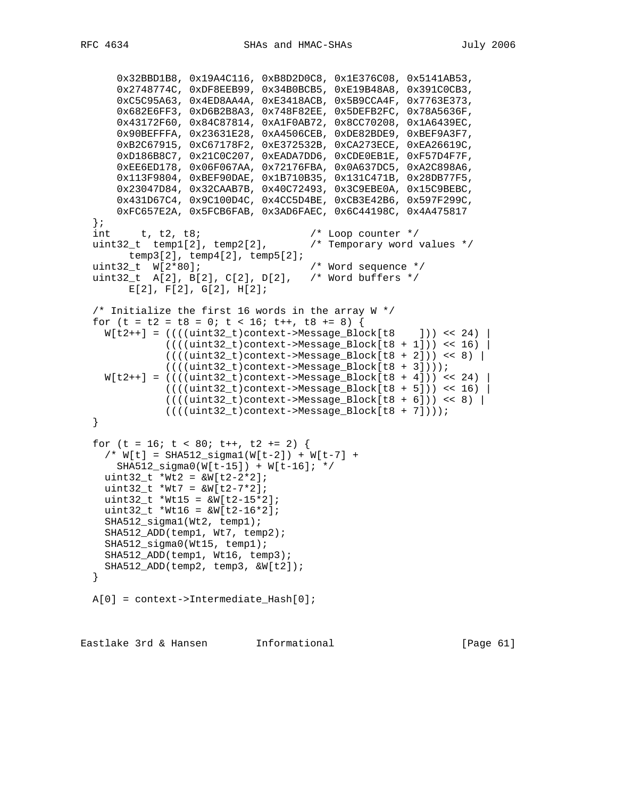```
 0x32BBD1B8, 0x19A4C116, 0xB8D2D0C8, 0x1E376C08, 0x5141AB53,
 0x2748774C, 0xDF8EEB99, 0x34B0BCB5, 0xE19B48A8, 0x391C0CB3,
 0xC5C95A63, 0x4ED8AA4A, 0xE3418ACB, 0x5B9CCA4F, 0x7763E373,
      0x682E6FF3, 0xD6B2B8A3, 0x748F82EE, 0x5DEFB2FC, 0x78A5636F,
      0x43172F60, 0x84C87814, 0xA1F0AB72, 0x8CC70208, 0x1A6439EC,
      0x90BEFFFA, 0x23631E28, 0xA4506CEB, 0xDE82BDE9, 0xBEF9A3F7,
      0xB2C67915, 0xC67178F2, 0xE372532B, 0xCA273ECE, 0xEA26619C,
      0xD186B8C7, 0x21C0C207, 0xEADA7DD6, 0xCDE0EB1E, 0xF57D4F7F,
      0xEE6ED178, 0x06F067AA, 0x72176FBA, 0x0A637DC5, 0xA2C898A6,
      0x113F9804, 0xBEF90DAE, 0x1B710B35, 0x131C471B, 0x28DB77F5,
      0x23047D84, 0x32CAAB7B, 0x40C72493, 0x3C9EBE0A, 0x15C9BEBC,
      0x431D67C4, 0x9C100D4C, 0x4CC5D4BE, 0xCB3E42B6, 0x597F299C,
      0xFC657E2A, 0x5FCB6FAB, 0x3AD6FAEC, 0x6C44198C, 0x4A475817
  };
 int t, t2, t8;<br>uint32_t temp1[2], temp2[2], /* Temporary word values */
 uint32_t temp1[2], temp2[2],
        temp3[2], temp4[2], temp5[2];
  uint32_t W[2*80]; /* Word sequence */
  uint32_t A[2], B[2], C[2], D[2], /* Word buffers */
       E[2], F[2], G[2], H[2];
 /* Initialize the first 16 words in the array W */for (t = t2 = t8 = 0; t < 16; t++), t8 == 8 {
   W[t2++] = (((unit32_t) context - Message_Block[t8 ])) << 24)(((uint32_t)context->Message_Block[t8 + 1])) < 16)(((\text{uint32}_t)\text{context->Message_Block[t8 + 2])) << 8) ((((uint32_t)context->Message_Block[t8 + 3])));
   W[t2++] = ((( (uint32_t) context->Message_Block[t8 + 4])) < 24)((((uint32_t) \cdot \text{context->Message_Block[t8 + 5])) << 16)(((uint32_t)context->Message_Block[t8 + 6])) << 8) |
               ((((uint32_t)context->Message_Block[t8 + 7])));
  }
 for (t = 16; t < 80; t++), t2 += 2 {
    /* W[t] = SHA512_sigma1(W[t-2]) + W[t-7] +
      SHA512_sigma0(W[t-15]) + W[t-16]; */
   uint32 t *Wt2 = &W[t2-2*2];uint32_t * Wt7 = w[(t2-7*2];uint32_t *Wt15 = wN[t2-15*2];uint32_t *Wt16 = wN[t2-16*2]; SHA512_sigma1(Wt2, temp1);
    SHA512_ADD(temp1, Wt7, temp2);
    SHA512_sigma0(Wt15, temp1);
    SHA512_ADD(temp1, Wt16, temp3);
    SHA512_ADD(temp2, temp3, &W[t2]);
  }
  A[0] = context->Intermediate_Hash[0];
```
Eastlake 3rd & Hansen Informational [Page 61]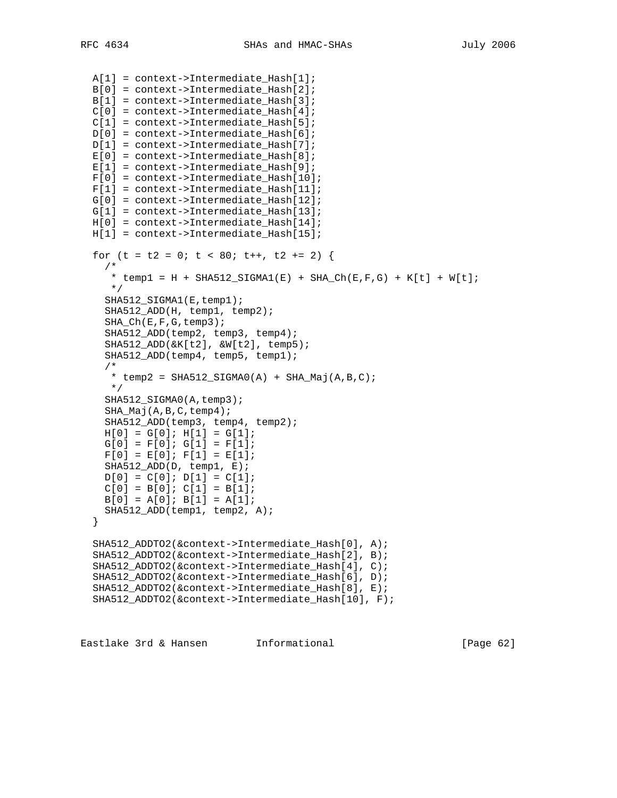```
 A[1] = context->Intermediate_Hash[1];
 B[0] = context->Intermediate_Hash[2];
 B[1] = context->Intermediate_Hash[3];
C[0] = context->Intermediate Hash[4];C[1] = context->Intermediate\_Hash[5];D[0] = context->Intermediate\_Hash[6]; D[1] = context->Intermediate_Hash[7];
E[0] = context->Intermediate_Hash[8];E[1] = context->Intermediate\_Hash[9];F[0] = context->Intermediate Hash[10];F[1] = context->Intermediate\_Hash[11]; G[0] = context->Intermediate_Hash[12];
G[1] = context->Intermediate\_Hash[13];H[0] = context->Intermediate\_Hash[14]; H[1] = context->Intermediate_Hash[15];
for (t = t2 = 0; t < 80; t++), t2 += 2 {
  /*
  * temp1 = H + SHA512_SIGMA1(E) + SHA_Ch(E,F,G) + K[t] + W[t];
    */
  SHA512_SIGMA1(E,temp1);
   SHA512_ADD(H, temp1, temp2);
   SHA_Ch(E,F,G,temp3);
   SHA512_ADD(temp2, temp3, temp4);
   SHA512_ADD(&K[t2], &W[t2], temp5);
   SHA512_ADD(temp4, temp5, temp1);
   /*
  * temp2 = SHA512_SIGMAO(A) + SHA_Maj(A,B,C); */
  SHA512_SIGMA0(A,temp3);
  SHA Maj(A,B,C,temp4);
   SHA512_ADD(temp3, temp4, temp2);
  H[0] = G[0]; H[1] = G[1];G[0] = F[0]; G[1] = F[1];F[0] = E[0]; F[1] = E[1]; SHA512_ADD(D, temp1, E);
  D[0] = C[0]; D[1] = C[1];C[0] = B[0]; C[1] = B[1];B[0] = A[0]; B[1] = A[1]; SHA512_ADD(temp1, temp2, A);
 }
 SHA512_ADDTO2(&context->Intermediate_Hash[0], A);
 SHA512_ADDTO2(&context->Intermediate_Hash[2], B);
 SHA512_ADDTO2(&context->Intermediate_Hash[4], C);
 SHA512_ADDTO2(&context->Intermediate_Hash[6], D);
 SHA512_ADDTO2(&context->Intermediate_Hash[8], E);
 SHA512_ADDTO2(&context->Intermediate_Hash[10], F);
```
Eastlake 3rd & Hansen Informational [Page 62]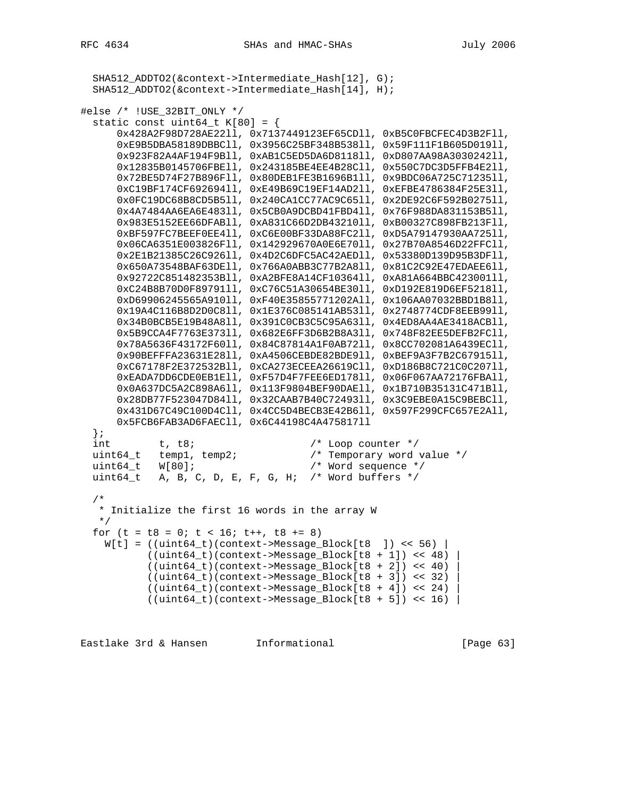```
 SHA512_ADDTO2(&context->Intermediate_Hash[12], G);
   SHA512_ADDTO2(&context->Intermediate_Hash[14], H);
#else /* !USE_32BIT_ONLY */
  static const uint64_t K[80] = \{ 0x428A2F98D728AE22ll, 0x7137449123EF65CDll, 0xB5C0FBCFEC4D3B2Fll,
       0xE9B5DBA58189DBBCll, 0x3956C25BF348B538ll, 0x59F111F1B605D019ll,
       0x923F82A4AF194F9Bll, 0xAB1C5ED5DA6D8118ll, 0xD807AA98A3030242ll,
       0x12835B0145706FBEll, 0x243185BE4EE4B28Cll, 0x550C7DC3D5FFB4E2ll,
       0x72BE5D74F27B896Fll, 0x80DEB1FE3B1696B1ll, 0x9BDC06A725C71235ll,
       0xC19BF174CF692694ll, 0xE49B69C19EF14AD2ll, 0xEFBE4786384F25E3ll,
       0x0FC19DC68B8CD5B5ll, 0x240CA1CC77AC9C65ll, 0x2DE92C6F592B0275ll,
       0x4A7484AA6EA6E483ll, 0x5CB0A9DCBD41FBD4ll, 0x76F988DA831153B5ll,
       0x983E5152EE66DFABll, 0xA831C66D2DB43210ll, 0xB00327C898FB213Fll,
       0xBF597FC7BEEF0EE4ll, 0xC6E00BF33DA88FC2ll, 0xD5A79147930AA725ll,
       0x06CA6351E003826Fll, 0x142929670A0E6E70ll, 0x27B70A8546D22FFCll,
       0x2E1B21385C26C926ll, 0x4D2C6DFC5AC42AEDll, 0x53380D139D95B3DFll,
       0x650A73548BAF63DEll, 0x766A0ABB3C77B2A8ll, 0x81C2C92E47EDAEE6ll,
       0x92722C851482353Bll, 0xA2BFE8A14CF10364ll, 0xA81A664BBC423001ll,
       0xC24B8B70D0F89791ll, 0xC76C51A30654BE30ll, 0xD192E819D6EF5218ll,
       0xD69906245565A910ll, 0xF40E35855771202All, 0x106AA07032BBD1B8ll,
       0x19A4C116B8D2D0C8ll, 0x1E376C085141AB53ll, 0x2748774CDF8EEB99ll,
       0x34B0BCB5E19B48A8ll, 0x391C0CB3C5C95A63ll, 0x4ED8AA4AE3418ACBll,
       0x5B9CCA4F7763E373ll, 0x682E6FF3D6B2B8A3ll, 0x748F82EE5DEFB2FCll,
       0x78A5636F43172F60ll, 0x84C87814A1F0AB72ll, 0x8CC702081A6439ECll,
       0x90BEFFFA23631E28ll, 0xA4506CEBDE82BDE9ll, 0xBEF9A3F7B2C67915ll,
       0xC67178F2E372532Bll, 0xCA273ECEEA26619Cll, 0xD186B8C721C0C207ll,
       0xEADA7DD6CDE0EB1Ell, 0xF57D4F7FEE6ED178ll, 0x06F067AA72176FBAll,
       0x0A637DC5A2C898A6ll, 0x113F9804BEF90DAEll, 0x1B710B35131C471Bll,
       0x28DB77F523047D84ll, 0x32CAAB7B40C72493ll, 0x3C9EBE0A15C9BEBCll,
       0x431D67C49C100D4Cll, 0x4CC5D4BECB3E42B6ll, 0x597F299CFC657E2All,
       0x5FCB6FAB3AD6FAECll, 0x6C44198C4A475817ll
   };
int t, t8; \frac{1}{2} \frac{1}{2} \frac{1}{2} \frac{1}{2} \frac{1}{2} \frac{1}{2} \frac{1}{2} \frac{1}{2} \frac{1}{2} \frac{1}{2} \frac{1}{2} \frac{1}{2} \frac{1}{2} \frac{1}{2} \frac{1}{2} \frac{1}{2} \frac{1}{2} \frac{1}{2} \frac{1}{2} \frac{1}{2} \frac{1}{2} uint64_t temp1, temp2; /* Temporary word value */
   uint64_t W[80]; /* Word sequence */
  uint64_t A, B, C, D, E, F, G, H; /* Word buffers */
   /*
   * Initialize the first 16 words in the array W
    */
  for (t = t8 = 0; t < 16; t++), t8 += 8)
   W[t] = ((uint64_t)(context > Message_Block[t8]) << 56)((uint64_t)(context->Message_Block[t8 + 1]) < 48)((uint64_t)(context->Message_Block[ts + 2]) << 40)((uint64_t)(context->Message_Block[ts + 3]) << 32)((uint64_t)(context->Message_Block[ts + 4]) < 24)((uint64_t)(context-)Message_Block[t8 + 5]) << 16)
```
Eastlake 3rd & Hansen Informational (Page 63)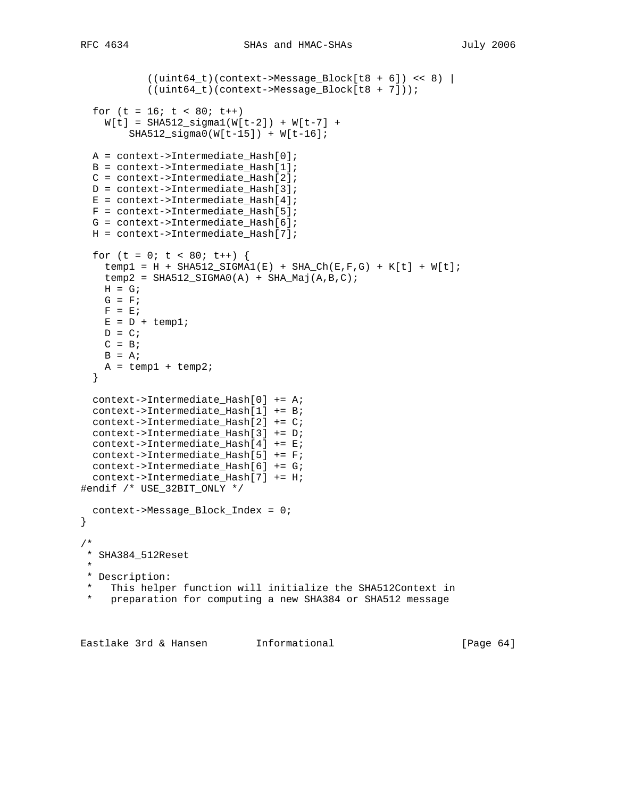```
 ((uint64_t)(context->Message_Block[t8 + 6]) << 8) |
           ((uint64_t)(context->Message_Block[ts + 7]));
  for (t = 16; t < 80; t++)W[t] = SHA512_sigma1(W[t-2]) + W[t-7] +
         SHA512_sigma0(W[t-15]) + W[t-16];
  A = context->Intermediate_Hash[0];
  B = context->Intermediate_Hash[1];
 C = context->Internetmodelate Hash[2]; D = context->Intermediate_Hash[3];
 E = context->Internetmodelate\_Hash[4]; F = context->Intermediate_Hash[5];
   G = context->Intermediate_Hash[6];
  H = context->Intermediate_Hash[7];
  for (t = 0; t < 80; t++) {
   temp1 = H + SHA512_SIGMA1(E) + SHA_Ch(E,F,G) + K[t] + W[t];temp2 = SHA512_SIGMA0(A) + SHA_Maj(A,B,C);H = G;
   G = FF = E;
   E = D + temp1;
   D = C;C = BB = A;
   A = temp1 + temp2; }
  context->Intermediate_Hash[0] += A;
  context->Intermediate_Hash[1] += B;
  context->Intermediate_Hash[2] += C;
  context->Intermediate_Hash[3] += D;
 context->Intermediate Hash[4] += E;
  context->Intermediate_Hash[5] += F;
  context->Intermediate_Hash[6] += G;
  context->Intermediate_Hash[7] += H;
#endif /* USE_32BIT_ONLY */
  context->Message_Block_Index = 0;
}
/*
 * SHA384_512Reset
 *
 * Description:
    This helper function will initialize the SHA512Context in
    preparation for computing a new SHA384 or SHA512 message
```
Eastlake 3rd & Hansen Informational [Page 64]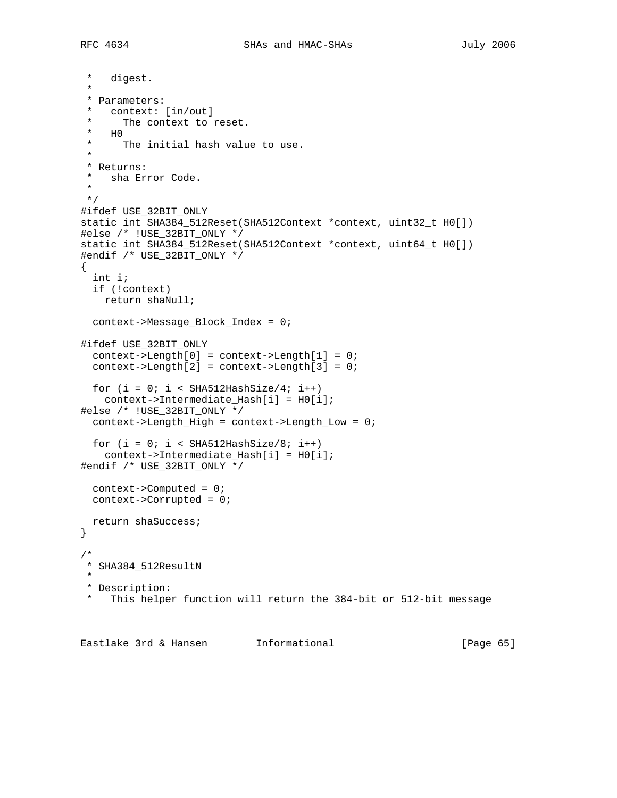\* digest. \* \* Parameters: \* context: [in/out] \* The context to reset.  $*$  HO<sub>\*</sub> The initial hash value to use. \* \* Returns:<br>\* sha Fru sha Error Code. \* \*/ #ifdef USE\_32BIT\_ONLY static int SHA384\_512Reset(SHA512Context \*context, uint32\_t H0[]) #else /\* !USE\_32BIT\_ONLY \*/ static int SHA384\_512Reset(SHA512Context \*context, uint64\_t H0[]) #endif /\* USE\_32BIT\_ONLY \*/ { int i; if (!context) return shaNull; context->Message\_Block\_Index = 0; #ifdef USE\_32BIT\_ONLY  $context->Length[0] = context->Length[1] = 0;$  context->Length[2] = context->Length[3] = 0; for  $(i = 0; i < SHA512HashSize/4; i++)$  context->Intermediate\_Hash[i] = H0[i]; #else /\* !USE\_32BIT\_ONLY \*/  $context$ ->Length\_High = context->Length\_Low = 0; for  $(i = 0; i < SHA512HashSize/8; i++)$  context->Intermediate\_Hash[i] = H0[i]; #endif /\* USE\_32BIT\_ONLY \*/ context->Computed = 0; context->Corrupted = 0; return shaSuccess; } /\* \* SHA384\_512ResultN \* \* Description: \* This helper function will return the 384-bit or 512-bit message

Eastlake 3rd & Hansen Informational [Page 65]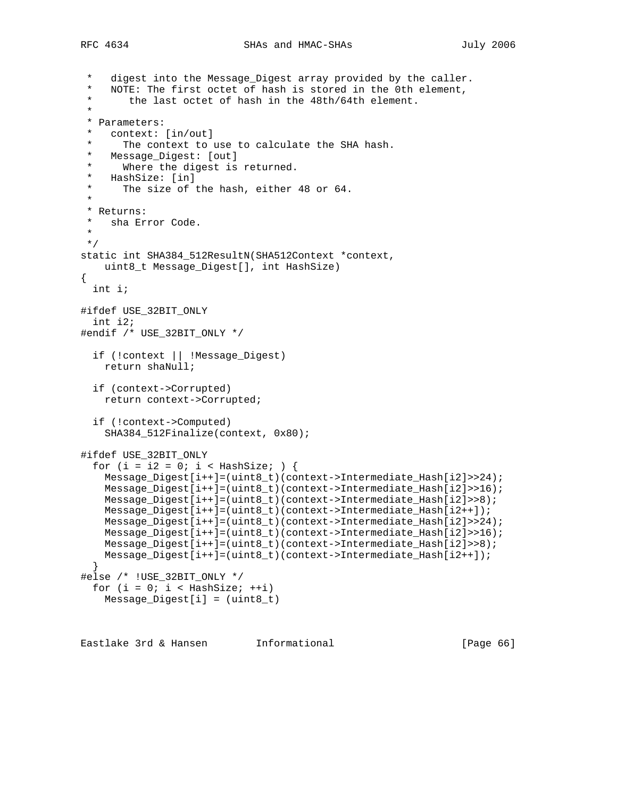```
digest into the Message_Digest array provided by the caller.
     NOTE: The first octet of hash is stored in the 0th element,
        the last octet of hash in the 48th/64th element.
 *
  * Parameters:
   context: [in/out]
 * The context to use to calculate the SHA hash.<br>* Message Digest: [out]
  * Message_Digest: [out]
     Where the digest is returned.
  * HashSize: [in]
      The size of the hash, either 48 or 64.
 *
  * Returns:
   sha Error Code.
 *
 */
static int SHA384_512ResultN(SHA512Context *context,
    uint8_t Message_Digest[], int HashSize)
{
  int i;
#ifdef USE_32BIT_ONLY
   int i2;
#endif /* USE_32BIT_ONLY */
   if (!context || !Message_Digest)
     return shaNull;
   if (context->Corrupted)
    return context->Corrupted;
   if (!context->Computed)
     SHA384_512Finalize(context, 0x80);
#ifdef USE_32BIT_ONLY
  for (i = i2 = 0; i < HashSize; ) {
    Message_Digest[i++]=(uint8_t)(context->Intermediate_Hash[i2]>>24);
     Message_Digest[i++]=(uint8_t)(context->Intermediate_Hash[i2]>>16);
     Message_Digest[i++]=(uint8_t)(context->Intermediate_Hash[i2]>>8);
    Message_Digest[i++]=(uint8_t)(context->Intermediate_Hash[i2++]);
     Message_Digest[i++]=(uint8_t)(context->Intermediate_Hash[i2]>>24);
    Message_Digest[i++]=(uint8_t)(context->Intermediate_Hash[i2]>>16);
    Message_Digest[i++]=(uint8_t)(context->Intermediate_Hash[i2]>>8);
    Message_Digest[i++]=(uint8_t)(context->Intermediate_Hash[i2++]);
   }
#else /* !USE_32BIT_ONLY */
  for (i = 0; i < HashSize; ++i)
    Message_Digest[i] = (uint8_t)
```
Eastlake 3rd & Hansen Informational [Page 66]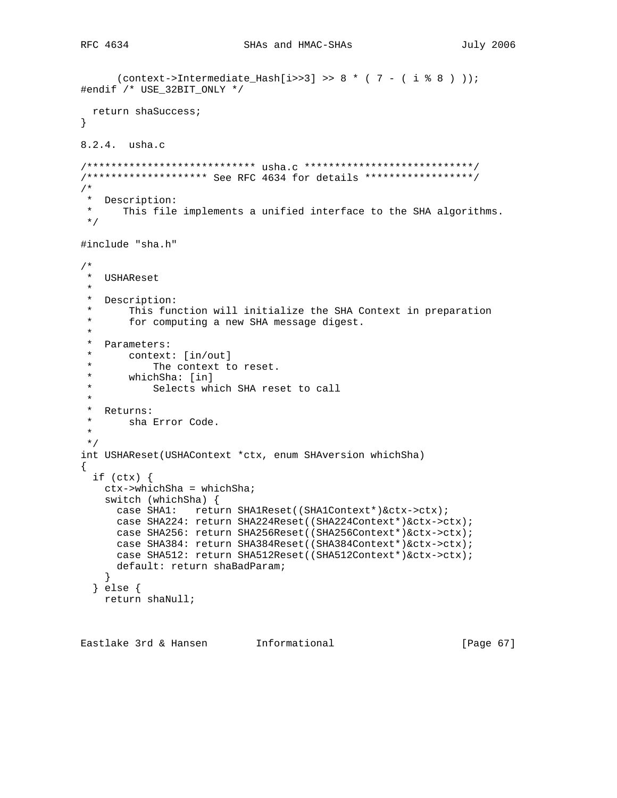```
(context->Internet=4ash[i>>3] >> 8 * (7 - (i * 8)));#endif /* USE_32BIT_ONLY */
  return shaSuccess;
}
8.2.4. usha.c
/**************************** usha.c ****************************/
/******************** See RFC 4634 for details ******************/
/*
* Description:<br>* This file
       This file implements a unified interface to the SHA algorithms.
 */
#include "sha.h"
/*
 * USHAReset
 *
 * Description:
 * This function will initialize the SHA Context in preparation<br>* 600 Computing a new SHA message digest
        for computing a new SHA message digest.
  *
  * Parameters:
      context: [in/out]
 * The context to reset.<br>* whichSha: [in]
 * whichSha: [in]<br>* Selects wh
            Selects which SHA reset to call
 *
 * Returns:<br>* shall
    sha Error Code.
  *
 */
int USHAReset(USHAContext *ctx, enum SHAversion whichSha)
{
   if (ctx) {
    ctx->whichSha = whichSha;
     switch (whichSha) {
      case SHA1: return SHA1Reset((SHA1Context*)&ctx->ctx);
       case SHA224: return SHA224Reset((SHA224Context*)&ctx->ctx);
       case SHA256: return SHA256Reset((SHA256Context*)&ctx->ctx);
       case SHA384: return SHA384Reset((SHA384Context*)&ctx->ctx);
       case SHA512: return SHA512Reset((SHA512Context*)&ctx->ctx);
       default: return shaBadParam;
     }
   } else {
    return shaNull;
```
Eastlake 3rd & Hansen Informational [Page 67]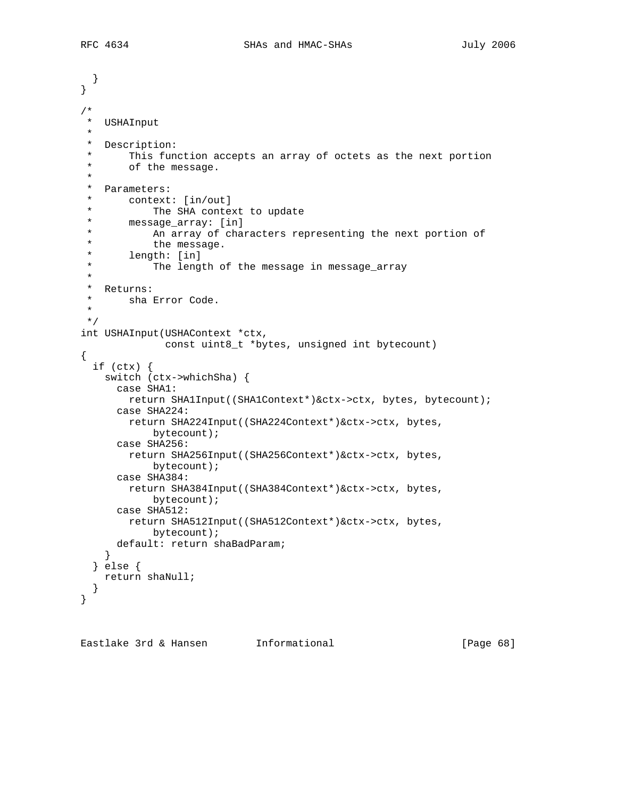```
 }
}
/*
  * USHAInput
 *
 * Description:
  * This function accepts an array of octets as the next portion
       of the message.
  *
  * Parameters:
 * context: [in/out]<br>* The SHA conter
  * The SHA context to update
  * message_array: [in]
            An array of characters representing the next portion of
 * the message.<br>* length: [in]
  * length: [in]
            The length of the message in message_array
  *
 * Returns:<br>* sha
      sha Error Code.
 *
 */
int USHAInput(USHAContext *ctx,
               const uint8_t *bytes, unsigned int bytecount)
\{ if (ctx) {
     switch (ctx->whichSha) {
       case SHA1:
        return SHA1Input((SHA1Context*)&ctx->ctx, bytes, bytecount);
       case SHA224:
        return SHA224Input((SHA224Context*)&ctx->ctx, bytes,
             bytecount);
       case SHA256:
         return SHA256Input((SHA256Context*)&ctx->ctx, bytes,
             bytecount);
       case SHA384:
         return SHA384Input((SHA384Context*)&ctx->ctx, bytes,
             bytecount);
       case SHA512:
        return SHA512Input((SHA512Context*)&ctx->ctx, bytes,
            bytecount);
       default: return shaBadParam;
     }
   } else {
    return shaNull;
   }
}
```
Eastlake 3rd & Hansen Informational [Page 68]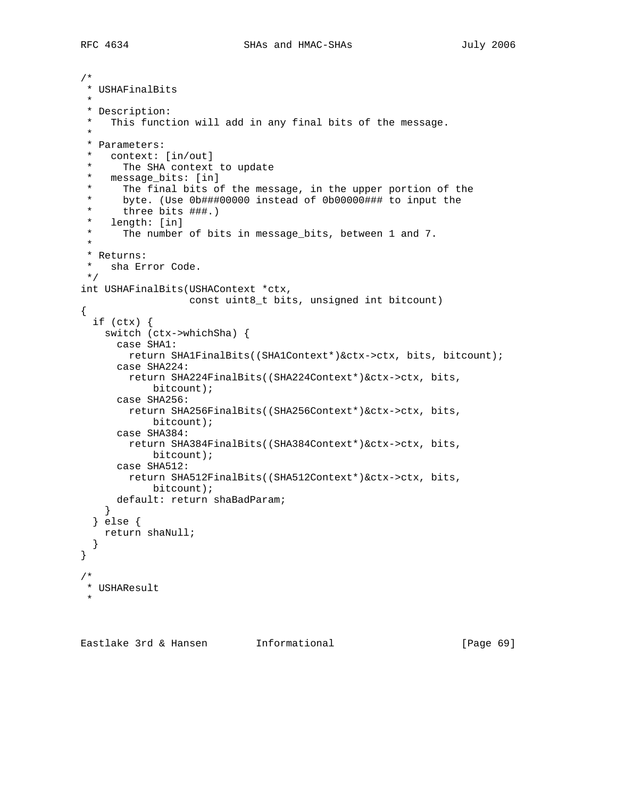```
/*
 * USHAFinalBits
 *
 * Description:
    This function will add in any final bits of the message.
 *
  * Parameters:
  * context: [in/out]
  * The SHA context to update
  * message_bits: [in]
 * The final bits of the message, in the upper portion of the<br>* bute (Use Ob###00000 instead of Ob00000### to input the
      byte. (Use 0b###00000 instead of 0b00000### to input the
      three bits ###.)
  * length: [in]
      The number of bits in message_bits, between 1 and 7.
 *
  * Returns:
 * sha Error Code.
 */
int USHAFinalBits(USHAContext *ctx,
                    const uint8_t bits, unsigned int bitcount)
{
   if (ctx) {
     switch (ctx->whichSha) {
       case SHA1:
         return SHA1FinalBits((SHA1Context*)&ctx->ctx, bits, bitcount);
       case SHA224:
         return SHA224FinalBits((SHA224Context*)&ctx->ctx, bits,
             bitcount);
       case SHA256:
        return SHA256FinalBits((SHA256Context*)&ctx->ctx, bits,
             bitcount);
       case SHA384:
        return SHA384FinalBits((SHA384Context*)&ctx->ctx, bits,
             bitcount);
       case SHA512:
        return SHA512FinalBits((SHA512Context*)&ctx->ctx, bits,
             bitcount);
       default: return shaBadParam;
     }
   } else {
    return shaNull;
   }
}
/*
 * USHAResult
 *
```
Eastlake 3rd & Hansen Informational (Page 69)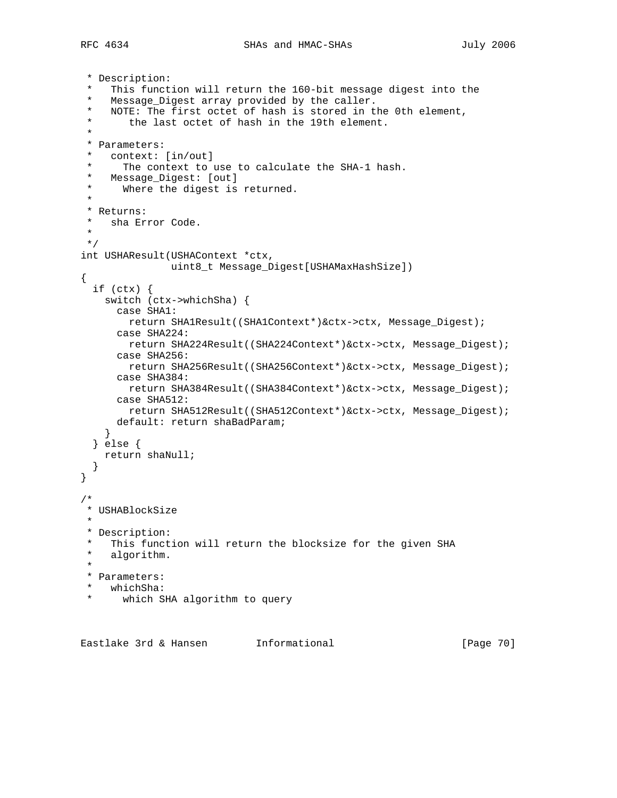```
 * Description:
    This function will return the 160-bit message digest into the
    Message_Digest array provided by the caller.
  * NOTE: The first octet of hash is stored in the 0th element,
        the last octet of hash in the 19th element.
 *
  * Parameters:
  * context: [in/out]
  * The context to use to calculate the SHA-1 hash.
  * Message_Digest: [out]
  * Where the digest is returned.
 *
  * Returns:
  * sha Error Code.
  *
 */
int USHAResult(USHAContext *ctx,
               uint8_t Message_Digest[USHAMaxHashSize])
{
   if (ctx) {
    switch (ctx->whichSha) {
       case SHA1:
        return SHA1Result((SHA1Context*)&ctx->ctx, Message_Digest);
       case SHA224:
        return SHA224Result((SHA224Context*)&ctx->ctx, Message_Digest);
       case SHA256:
         return SHA256Result((SHA256Context*)&ctx->ctx, Message_Digest);
       case SHA384:
        return SHA384Result((SHA384Context*)&ctx->ctx, Message_Digest);
       case SHA512:
        return SHA512Result((SHA512Context*)&ctx->ctx, Message_Digest);
      default: return shaBadParam;
     }
  } else {
    return shaNull;
   }
}
/*
 * USHABlockSize
 *
 * Description:
 * This function will return the blocksize for the given SHA<br>* algorithm
   algorithm.
  *
 * Parameters:
  * whichSha:
      which SHA algorithm to query
```
Eastlake 3rd & Hansen Informational (Page 70)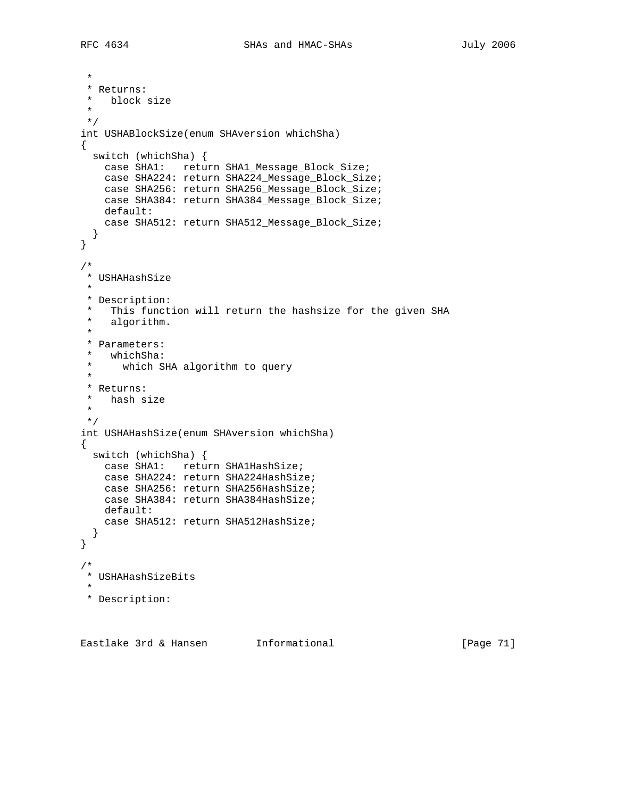\* \* Returns: \* block size \* \*/ int USHABlockSize(enum SHAversion whichSha) { switch (whichSha) { case SHA1: return SHA1\_Message\_Block\_Size; case SHA224: return SHA224\_Message\_Block\_Size; case SHA256: return SHA256\_Message\_Block\_Size; case SHA384: return SHA384\_Message\_Block\_Size; default: case SHA512: return SHA512\_Message\_Block\_Size; } } /\* \* USHAHashSize \* \* Description: \* This function will return the hashsize for the given SHA algorithm.  $\ddot{\phantom{a}}$  \* Parameters: whichSha: \* which SHA algorithm to query \* \* Returns: \* hash size \* \*/ int USHAHashSize(enum SHAversion whichSha) { switch (whichSha) { case SHA1: return SHA1HashSize; case SHA224: return SHA224HashSize; case SHA256: return SHA256HashSize; case SHA384: return SHA384HashSize; default: case SHA512: return SHA512HashSize; } } /\* \* USHAHashSizeBits \* \* Description:

Eastlake 3rd & Hansen Informational (Page 71)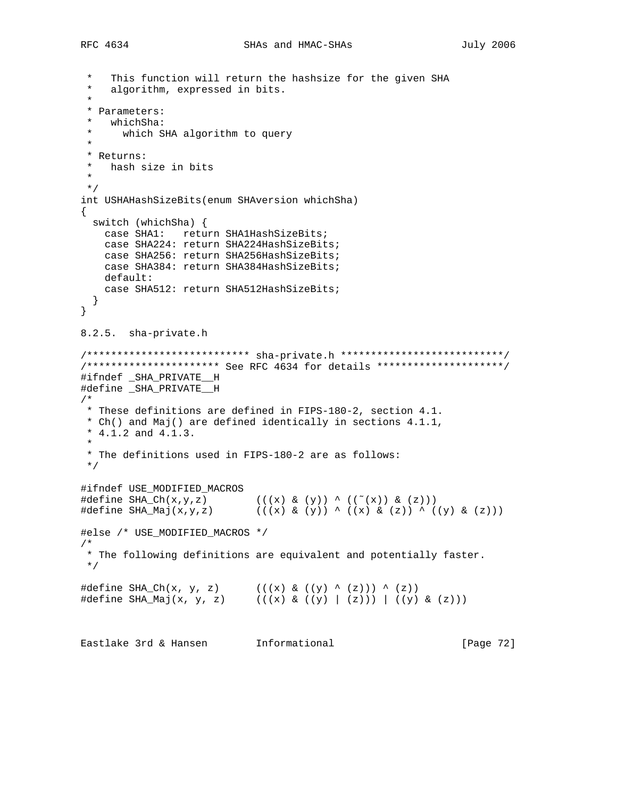```
This function will return the hashsize for the given SHA
    algorithm, expressed in bits.
 *
 * Parameters:
   whichSha:
  * which SHA algorithm to query
 *
 * Returns:
   hash size in bits
 *
 */
int USHAHashSizeBits(enum SHAversion whichSha)
{
  switch (whichSha) {
   case SHA1: return SHA1HashSizeBits;
    case SHA224: return SHA224HashSizeBits;
    case SHA256: return SHA256HashSizeBits;
    case SHA384: return SHA384HashSizeBits;
    default:
    case SHA512: return SHA512HashSizeBits;
   }
}
8.2.5. sha-private.h
/*************************** sha-private.h ***************************/
/********************** See RFC 4634 for details *********************/
#ifndef _SHA_PRIVATE__H
#define _SHA_PRIVATE__H
/*
 * These definitions are defined in FIPS-180-2, section 4.1.
 * Ch() and Maj() are defined identically in sections 4.1.1,
 * 4.1.2 and 4.1.3.
 *
  * The definitions used in FIPS-180-2 are as follows:
 */
#ifndef USE_MODIFIED_MACROS
\#\text{define SHA\_Ch}(x,y,z) ((x) \& (y)) \wedge ((^*(x)) \& (z)))#define SHA_Maj(x,y,z) (((x) & (y)) ^ ((x) & (z)) ^ ((y) & (z)))
#else /* USE_MODIFIED_MACROS */
/*
 * The following definitions are equivalent and potentially faster.
 */
\#\text{define SHA\_Ch(x, y, z)} ((x) \& ((y) \land (z))) \land (z))#define SHA_Maj(x, y, z) (((x) & ((y) | (z))) | ((y) & (z)))
Eastlake 3rd & Hansen Informational (Page 72)
```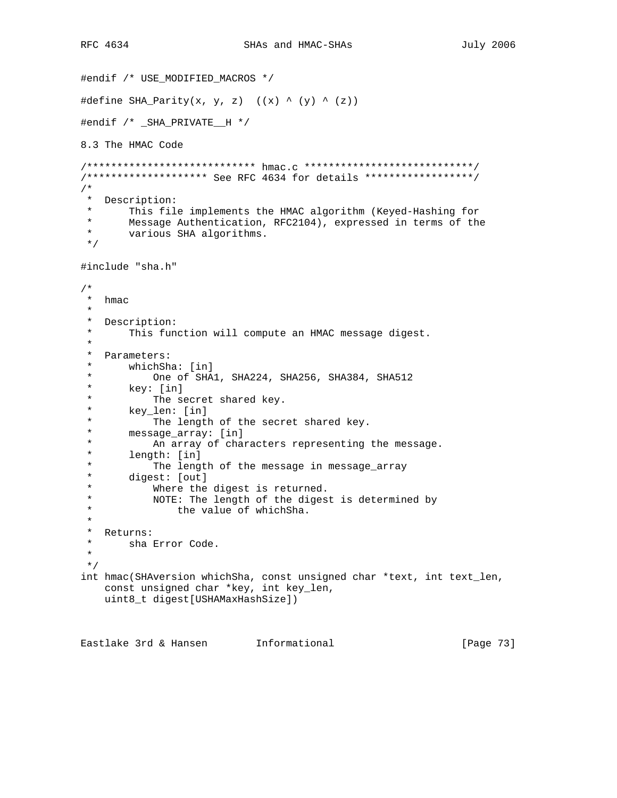```
#endif /* USE_MODIFIED_MACROS */
#define SHA_Parity(x, y, z) ((x) \land (y) \land (z))#endif /* _SHA_PRIVATE__H */
8.3 The HMAC Code
/**************************** hmac.c ****************************/
/******************** See RFC 4634 for details ******************/
/*
 * Description:
       This file implements the HMAC algorithm (Keyed-Hashing for
 * Message Authentication, RFC2104), expressed in terms of the
  * various SHA algorithms.
 */
#include "sha.h"
/*
 * hmac
 *
  * Description:
  * This function will compute an HMAC message digest.
 *
  * Parameters:
      whichSha: [in]
 * One of SHA1, SHA224, SHA256, SHA384, SHA512<br>* key: [in]
  * key: [in]
 * The secret shared key.<br>* key len: [in]
 * key_len: [in]<br>* The lengtl
 * The length of the secret shared key.<br>* message array: [in]
 * message_array: [in]<br>* An array of chai
 * An array of characters representing the message.<br>* length: [in]
 * length: [in]<br>* The leng
 * The length of the message in message_array<br>* digest: [out]
  * digest: [out]
            Where the digest is returned.
  * NOTE: The length of the digest is determined by
  * the value of whichSha.
 *
 * Returns:<br>* sha B
      sha Error Code.
  *
 */
int hmac(SHAversion whichSha, const unsigned char *text, int text_len,
     const unsigned char *key, int key_len,
     uint8_t digest[USHAMaxHashSize])
```
Eastlake 3rd & Hansen Informational [Page 73]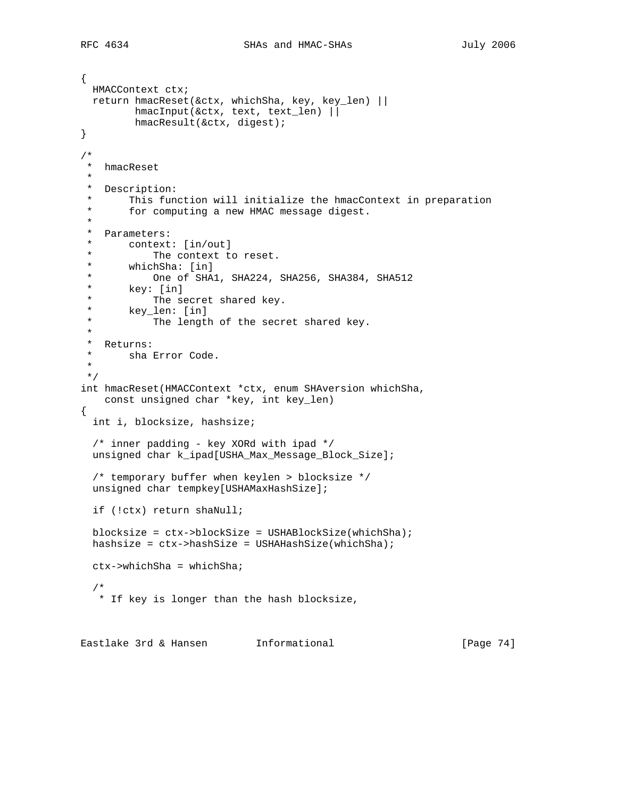```
{
  HMACContext ctx;
  return hmacReset(&ctx, whichSha, key, key_len) ||
          hmacInput(&ctx, text, text_len) ||
          hmacResult(&ctx, digest);
}
/*
  * hmacReset
  *
 * Description:
  * This function will initialize the hmacContext in preparation
        for computing a new HMAC message digest.
  *
  * Parameters:
  * context: [in/out]
 * The context to reset.<br>* whichSha: [in]
 * whichSha: [in]<br>* One of SHA
 * One of SHA1, SHA224, SHA256, SHA384, SHA512<br>* key: [in]
  * key: [in]
 * The secret shared key.<br>* key len: [in]
 * key_len: [in]<br>* The lengti
            The length of the secret shared key.
  *
  * Returns:
  * sha Error Code.
  *
 */
int hmacReset(HMACContext *ctx, enum SHAversion whichSha,
    const unsigned char *key, int key_len)
{
  int i, blocksize, hashsize;
   /* inner padding - key XORd with ipad */
   unsigned char k_ipad[USHA_Max_Message_Block_Size];
   /* temporary buffer when keylen > blocksize */
  unsigned char tempkey[USHAMaxHashSize];
  if (!ctx) return shaNull;
  blocksize = ctx->blockSize = USHABlockSize(whichSha);
  hashsize = ctx->hashSize = USHAHashSize(whichSha);
   ctx->whichSha = whichSha;
 /*
   * If key is longer than the hash blocksize,
Eastlake 3rd & Hansen Informational [Page 74]
```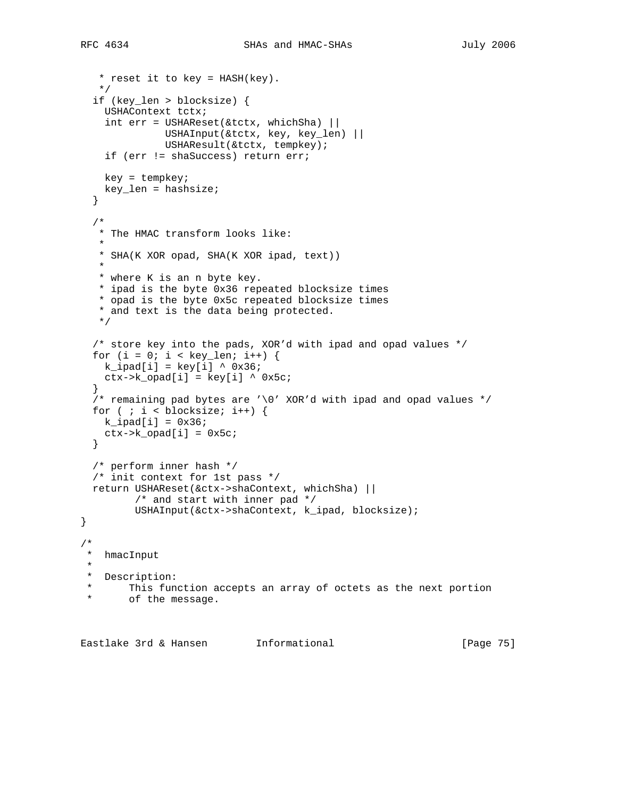```
 * reset it to key = HASH(key).
    */
  if (key_len > blocksize) {
    USHAContext tctx;
    int err = USHAREset(\&\text{tctx}, whichSha) ||
               USHAInput(&tctx, key, key_len) ||
               USHAResult(&tctx, tempkey);
     if (err != shaSuccess) return err;
    key = tempkey;
    key_len = hashsize;
  }
   /*
   * The HMAC transform looks like:
\star * SHA(K XOR opad, SHA(K XOR ipad, text))
\star * where K is an n byte key.
    * ipad is the byte 0x36 repeated blocksize times
    * opad is the byte 0x5c repeated blocksize times
    * and text is the data being protected.
    */
  /* store key into the pads, XOR'd with ipad and opad values */
 for (i = 0; i < key_{len}; i++) {
   k_ipad[i] = key[i] ^ 0x36;
   ctx->k\_opad[i] = key[i] \land 0x5c; }
 /* remaining pad bytes are '\0' XOR'd with ipad and opad values */
 for ( ; i < blocksize; i++) {
  kipad[i] = 0x36;
   ctx->k\_opad[i] = 0x5c; }
  /* perform inner hash */
  /* init context for 1st pass */
  return USHAReset(&ctx->shaContext, whichSha) ||
         /* and start with inner pad */
         USHAInput(&ctx->shaContext, k_ipad, blocksize);
}
/*
 * hmacInput
 *
 * Description:
 * This function accepts an array of octets as the next portion
       of the message.
```
Eastlake 3rd & Hansen Informational [Page 75]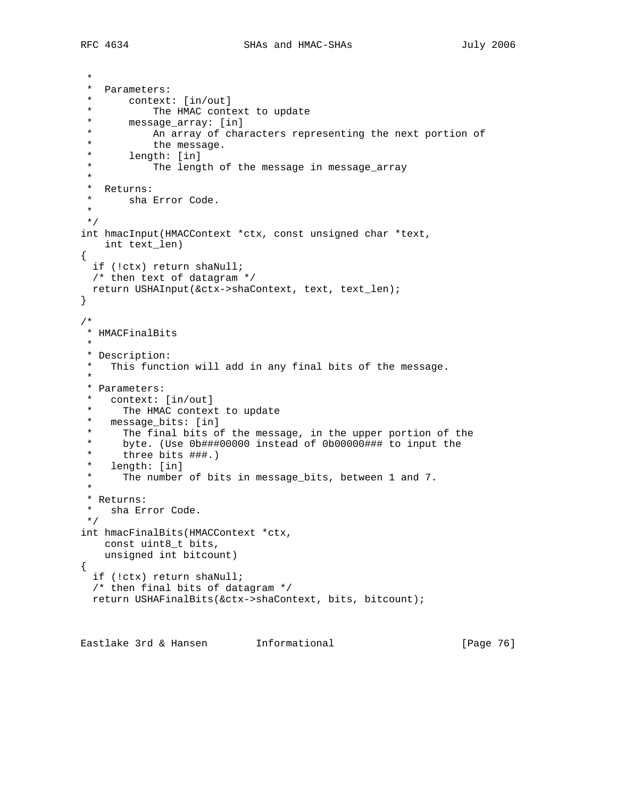```
 *
  * Parameters:
  * context: [in/out]
 * The HMAC context to update<br>* message array: [in]
 * message_array: [in]<br>* An array of chai
  * An array of characters representing the next portion of
 * the message.<br>* length: [in]
  * length: [in]
            The length of the message in message_array
  *
 * Returns:<br>* sha !
      sha Error Code.
  *
 */
int hmacInput(HMACContext *ctx, const unsigned char *text,
    int text_len)
{
  if (!ctx) return shaNull;
  /* then text of datagram */
  return USHAInput(&ctx->shaContext, text, text_len);
}
/*
 * HMACFinalBits
 *
 * Description:
   This function will add in any final bits of the message.
 *
  * Parameters:
    context: [in/out]
 * The HMAC context to update<br>* mossage hits: [in]
   message_bits: [in]
  * The final bits of the message, in the upper portion of the
  * byte. (Use 0b###00000 instead of 0b00000### to input the
 * three bits \##.)
   length: [in]
      The number of bits in message_bits, between 1 and 7.
 *
  * Returns:
 * sha Error Code.
 */
int hmacFinalBits(HMACContext *ctx,
    const uint8_t bits,
    unsigned int bitcount)
{
  if (!ctx) return shaNull;
   /* then final bits of datagram */
  return USHAFinalBits(&ctx->shaContext, bits, bitcount);
```
Eastlake 3rd & Hansen Informational (Page 76)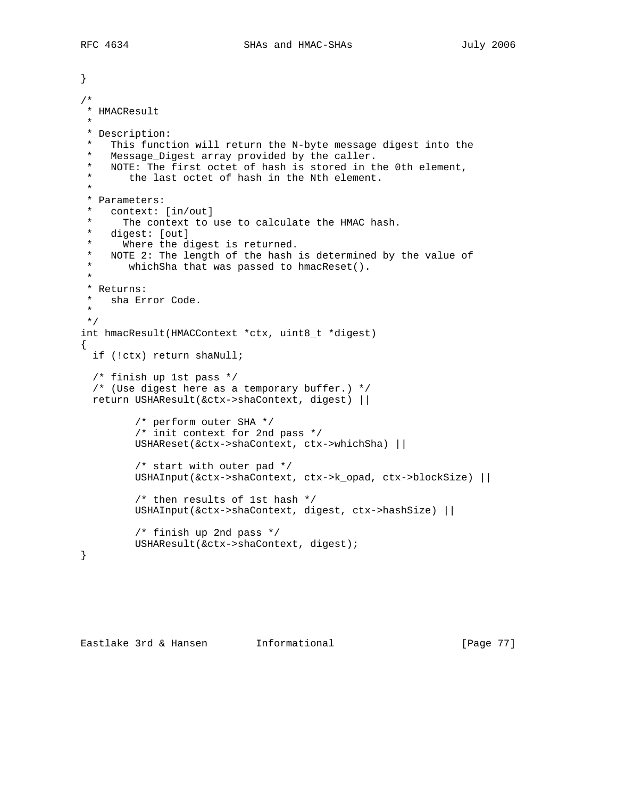```
}
/*
 * HMACResult
 *
 * Description:
  * This function will return the N-byte message digest into the
  * Message_Digest array provided by the caller.
   NOTE: The first octet of hash is stored in the 0th element,
  * the last octet of hash in the Nth element.
 *
  * Parameters:
    context: [in/out]
  * The context to use to calculate the HMAC hash.
  * digest: [out]
  * Where the digest is returned.
  * NOTE 2: The length of the hash is determined by the value of
  * whichSha that was passed to hmacReset().
 *
  * Returns:
  * sha Error Code.
  *
 */
int hmacResult(HMACContext *ctx, uint8_t *digest)
{
  if (!ctx) return shaNull;
   /* finish up 1st pass */
   /* (Use digest here as a temporary buffer.) */
  return USHAResult(&ctx->shaContext, digest) ||
          /* perform outer SHA */
          /* init context for 2nd pass */
          USHAReset(&ctx->shaContext, ctx->whichSha) ||
          /* start with outer pad */
          USHAInput(&ctx->shaContext, ctx->k_opad, ctx->blockSize) ||
          /* then results of 1st hash */
          USHAInput(&ctx->shaContext, digest, ctx->hashSize) ||
          /* finish up 2nd pass */
         USHAResult(&ctx->shaContext, digest);
}
```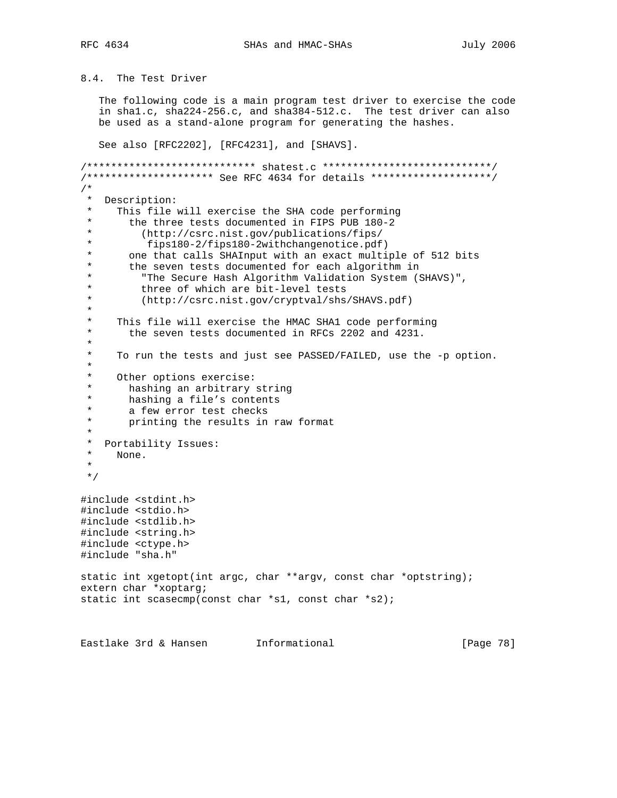8.4. The Test Driver

 The following code is a main program test driver to exercise the code in sha1.c, sha224-256.c, and sha384-512.c. The test driver can also be used as a stand-alone program for generating the hashes.

See also [RFC2202], [RFC4231], and [SHAVS].

/\*\*\*\*\*\*\*\*\*\*\*\*\*\*\*\*\*\*\*\*\*\*\*\*\*\*\*\* shatest.c \*\*\*\*\*\*\*\*\*\*\*\*\*\*\*\*\*\*\*\*\*\*\*\*\*\*\*\*/ /\*\*\*\*\*\*\*\*\*\*\*\*\*\*\*\*\*\*\*\*\* See RFC 4634 for details \*\*\*\*\*\*\*\*\*\*\*\*\*\*\*\*\*\*\*\*/  $\frac{1}{\ast}$ Description: This file will exercise the SHA code performing the three tests documented in FIPS PUB 180-2 \* (http://csrc.nist.gov/publications/fips/ \* fips180-2/fips180-2withchangenotice.pdf) \* one that calls SHAInput with an exact multiple of 512 bits<br>\* the seven tests documented for each algorithm in \* the seven tests documented for each algorithm in \* "The Secure Hash Algorithm Validation System (SHAVS)", \* three of which are bit-level tests<br>\* (http://gare.nist.cov/gruptual/shs (http://csrc.nist.gov/cryptval/shs/SHAVS.pdf) \* \* This file will exercise the HMAC SHA1 code performing the seven tests documented in RFCs 2202 and 4231. \* \* To run the tests and just see PASSED/FAILED, use the -p option. \* \* Other options exercise: \* hashing an arbitrary string \* hashing a file's contents \* a few error test checks<br>\* printing the results in printing the results in raw format \* \* Portability Issues: \* None. \* \*/ #include <stdint.h> #include <stdio.h> #include <stdlib.h> #include <string.h> #include <ctype.h> #include "sha.h" static int xgetopt(int argc, char \*\*argv, const char \*optstring); extern char \*xoptarg; static int scasecmp(const char \*s1, const char \*s2);

```
Eastlake 3rd & Hansen Informational (Page 78)
```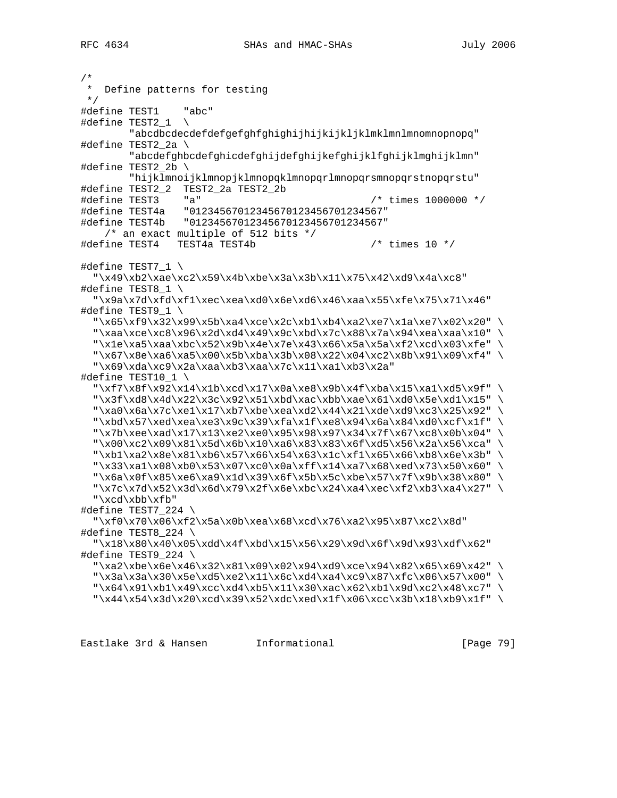```
/*
   Define patterns for testing
 */
#define TEST1 "abc"
#define TEST2_1 \
         "abcdbcdecdefdefgefghfghighijhijkijkljklmklmnlmnomnopnopq"
#define TEST2_2a \
         "abcdefghbcdefghicdefghijdefghijkefghijklfghijklmghijklmn"
#define TEST2_2b \
         "hijklmnoijklmnopjklmnopqklmnopqrlmnopqrsmnopqrstnopqrstu"
#define TEST2_2 TEST2_2a TEST2_2b
#define TEST3 "a" /* times 1000000 */
#define TEST4a "01234567012345670123456701234567"
#define TEST4b "01234567012345670123456701234567"
     /* an exact multiple of 512 bits */
#define TEST4 TEST4a TEST4b /* times 10 */
#define TEST7_1 \
   "\x49\xb2\xae\xc2\x59\x4b\xbe\x3a\x3b\x11\x75\x42\xd9\x4a\xc8"
#define TEST8_1 \
  "\x9a\x7d\xfd\xf1\xec\zea\xd0\x6e\xd6\x46\xaa\x55\xfe\x75\x71\x46"#define TEST9 1 \setminus "\x65\xf9\x32\x99\x5b\xa4\xce\x2c\xb1\xb4\xa2\xe7\x1a\xe7\x02\x20" \
  "\xaa\xce\xc8\x96\x2d\xd4\x49\x9c\xbd\x7c\x88\x7a\x94\xea\xaa\x10" \
  "\x1e\xa5\xaa\xbc\x52\x9b\x4e\x7e\x43\x66\x5a\x5a\xf2\xcd\x03\xfe" \
   "\x67\x8e\xa6\xa5\x00\x5b\xba\x3b\x08\x22\x04\xc2\x8b\x91\x09\xf4" \
  "\x69\xda\xc9\x2a\xa\xb3\xaa\x7c\x11\xa1\xb3\x2a"#define TEST10_1 \
   "\xf7\x8f\x92\x14\x1b\xcd\x17\x0a\xe8\x9b\x4f\xba\x15\xa1\xd5\x9f" \
  "\x3f\xd8\x4d\x22\x3c\x92\x51\xbd\xac\xbb\x61\xdd\x5e\xd1\x15""\xa0\x6a\x7c\xe1\x17\xb7\xbe\xea\xd2\x44\x21\xde\xd9\xc3\x25\x92" \
  "\xbd\x57\xed\xea\xe3\x9c\x39\xfa\x1f\xe8\x94\x6a\x84\xd0\xcf\x1f" \
  "\x7b\xee\xad\x17\x13\xe2\xe0\x95\x98\x97\x34\x7f\x67\xc8\x0b\x04" \
   "\x00\xc2\x09\x81\x5d\x6b\x10\xa6\x83\x83\x6f\xd5\x56\x2a\x56\xca" \
  "\xb1\xa2\x8e\x81\xb6\x57\x66\x54\x63\x1c\xf1\x65\x66\xb8\x6e\x3b" \
  "\x33\xa1\x08\xb0\x53\x07\xc0\x0a\xff\x14\xa7\x68\xed\x73\x50\x60" \
  "\x6a\x0f\x85\xe6\xa9\x1d\x39\x6f\x5b\x5c\xbe\x57\x7f\x9b\x38\x80" \
   "\x7c\x7d\x52\x3d\x6d\x79\x2f\x6e\xbc\x24\xa4\xec\xf2\xb3\xa4\x27" \
   "\xcd\xbb\xfb"
#define TEST7_224 \
   "\xf0\x70\x06\xf2\x5a\x0b\xea\x68\xcd\x76\xa2\x95\x87\xc2\x8d"
#define TEST8_224 \
   "\x18\x80\x40\x05\xdd\x4f\xbd\x15\x56\x29\x9d\x6f\x9d\x93\xdf\x62"
#define TEST9_224 \
   "\xa2\xbe\x6e\x46\x32\x81\x09\x02\x94\xd9\xce\x94\x82\x65\x69\x42" \
  "\x3a\x3a\x30\x5e\xd5\xe2\x11\x6c\xd4\xa4\xc9\x87\xfc\x06\x57\x00" "\x64\x91\xb1\x49\xcc\xd4\xb5\x11\x30\xac\x62\xb1\x9d\xc2\x48\xc7" \
  "\x44\x54\x3d\x20\xcd\x39\x52\xdc\xed\x1f\x06\xcc\x3b\x18\xb9\x1f" \
```
Eastlake 3rd & Hansen Informational [Page 79]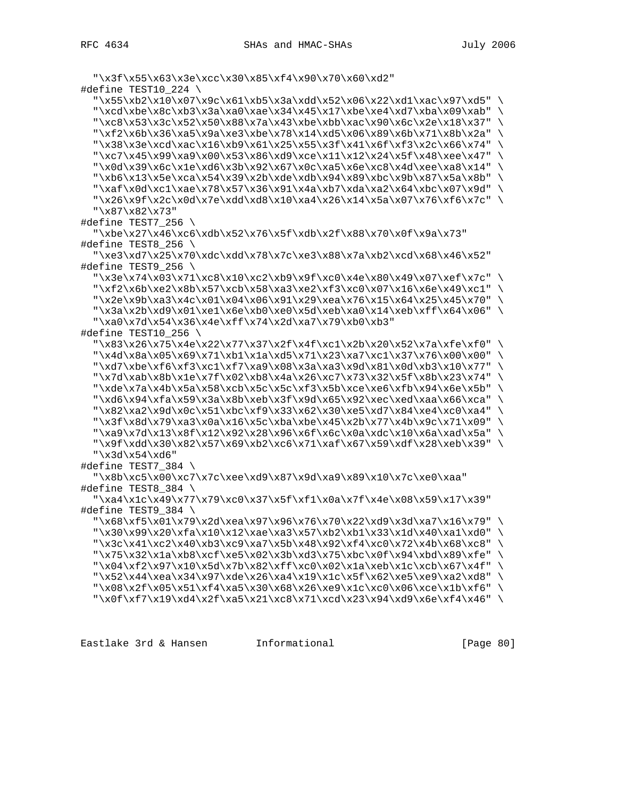Eastlake 3rd & Hansen Informational [Page 80]

```
 "\xaf\x0d\xc1\xae\x78\x57\x36\x91\x4a\xb7\xda\xa2\x64\xbc\x07\x9d" \
  "\x26\x9f\x2c\x0d\x7e\xdd\xd8\x10\xa4\x26\x14\x5a\x07\x76\xf6\x7c" "\x87\x82\x73"
#define TEST7_256 \
   "\xbe\x27\x46\xc6\xdb\x52\x76\x5f\xdb\x2f\x88\x70\x0f\x9a\x73"
#define TEST8_256 \
   "\xe3\xd7\x25\x70\xdc\xdd\x78\x7c\xe3\x88\x7a\xb2\xcd\x68\x46\x52"
#define TEST9_256 \
  "\x3e\x74\x03\x71\xc8\x10\xc2\xb9\x9f\xc0\x4e\x80\x49\x07\xef\x7c" \
   "\xf2\x6b\xe2\x8b\x57\xcb\x58\xa3\xe2\xf3\xc0\x07\x16\x6e\x49\xc1" \
  "\x2e\x9b\xa3\x4c\x01\x04\x06\x91\x29\xea\x76\x15\x64\x25\x45\x70""\x3a\x2b\xd9\x01\xe1\x6e\xb0\xe0\x0\x04\x06\x14\xeb\xf1\x64\x06" "\xa0\x7d\x54\x36\x4e\xff\x74\x2d\xa7\x79\xb0\xb3"
#define TEST10_256 \
   "\x83\x26\x75\x4e\x22\x77\x37\x2f\x4f\xc1\x2b\x20\x52\x7a\xfe\xf0" \
   "\x4d\x8a\x05\x69\x71\xb1\x1a\xd5\x71\x23\xa7\xc1\x37\x76\x00\x00" \
  "\xd7\xbe\xf6\xf3\xc1\xf7\xa9\x08\x3a\xa3\x9d\x81\x0d\xb3\x10\x77" \
   "\x7d\xab\x8b\x1e\x7f\x02\xb8\x4a\x26\xc7\x73\x32\x5f\x8b\x23\x74" \
   "\xde\x7a\x4b\x5a\x58\xcb\x5c\x5c\xf3\x5b\xce\xe6\xfb\x94\x6e\x5b" \
  "\xd6\x94\xfa\x59\x3a\x8b\xeb\x3f\x9d\x65\x92\xec\xed\xaa\x66\xca" \
   "\x82\xa2\x9d\x0c\x51\xbc\xf9\x33\x62\x30\xe5\xd7\x84\xe4\xc0\xa4" \
   "\x3f\x8d\x79\xa3\x0a\x16\x5c\xba\xbe\x45\x2b\x77\x4b\x9c\x71\x09" \
   "\xa9\x7d\x13\x8f\x12\x92\x28\x96\x6f\x6c\x0a\xdc\x10\x6a\xad\x5a" \
   "\x9f\xdd\x30\x82\x57\x69\xb2\xc6\x71\xaf\x67\x59\xdf\x28\xeb\x39" \
   "\x3d\x54\xd6"
#define TEST7_384 \
   "\x8b\xc5\x00\xc7\x7c\xee\xd9\x87\x9d\xa9\x89\x10\x7c\xe0\xaa"
#define TEST8_384 \
   "\xa4\x1c\x49\x77\x79\xc0\x37\x5f\xf1\x0a\x7f\x4e\x08\x59\x17\x39"
#define TEST9_384 \
   "\x68\xf5\x01\x79\x2d\xea\x97\x96\x76\x70\x22\xd9\x3d\xa7\x16\x79" \
   "\x30\x99\x20\xfa\x10\x12\xae\xa3\x57\xb2\xb1\x33\x1d\x40\xa1\xd0" \
  "\x3c\x41\xc2\x40\xb3\xc9\xa7\x5b\x48\x92\xf4\xc0\x72\x4b\x68\xc8" \
  "\x75\x32\x1a\xb8\xcf\xe5\x02\x3b\xd3\x75\xbc\x0f\x94\xbd\x89\xfe" \
  "\x04\xf2\x97\x10\x5d\x7b\x82\xff\xc0\x02\x1a\xeb\ztc\xcb\x67\x4f" \ "\x52\x44\xea\x34\x97\xde\x26\xa4\x19\x1c\x5f\x62\xe5\xe9\xa2\xd8" \
  "\x08\x2f\x05\x51\xf4\xa5\x30\x68\x26\xe9\x1c\xc0\x06\xce\x1b\xf6" \
  "\x0f\xf7\x19\xd4\x2f\xa5\x21\xc8\x71\xcd\x23\x94\xd9\x6e\xf4\x46"
```

```
 "\x3f\x55\x63\x3e\xcc\x30\x85\xf4\x90\x70\x60\xd2"
```
#define TEST10\_224 \

 $"\x55\xb2\x10\x07\x9c\x61\xb5\x3a\xdd\x52\x06\x22\xd1\xac\x97\xd5"$ "\xcd\xb3\x $\a\x0\x0\x0\x45\x17\xbe\xe4\xd7\xba\x09\xab"$  "\xc8\x53\x3c\x52\x50\x88\x7a\x43\xbe\xbb\xac\x90\x6c\x2e\x18\x37" \ "\xf2\x6b\x36\xa5\x9a\xe3\xbe\x78\x14\xd5\x06\x89\x6b\x71\x8b\x2a" \ "\x38\x3e\xcd\xac\x16\xb9\x61\x25\x55\x3f\x41\x6f\xf3\x2c\x66\x74" \ "\xc7\x45\x99\xa9\x00\x53\x86\xd9\xce\x11\x12\x24\x5f\x48\xee\x47" \  $"\x0d\x39\x6c\x1e\x0\x3b\x92\x67\x0c\xa5\x6e\xc8\x4d\xee\xa8\x14"$  $"\xb6\x13\x5e\xca\x54\x39\x2b\xde\z04\x89\xbc\x9b\x87\x5a\x8b"$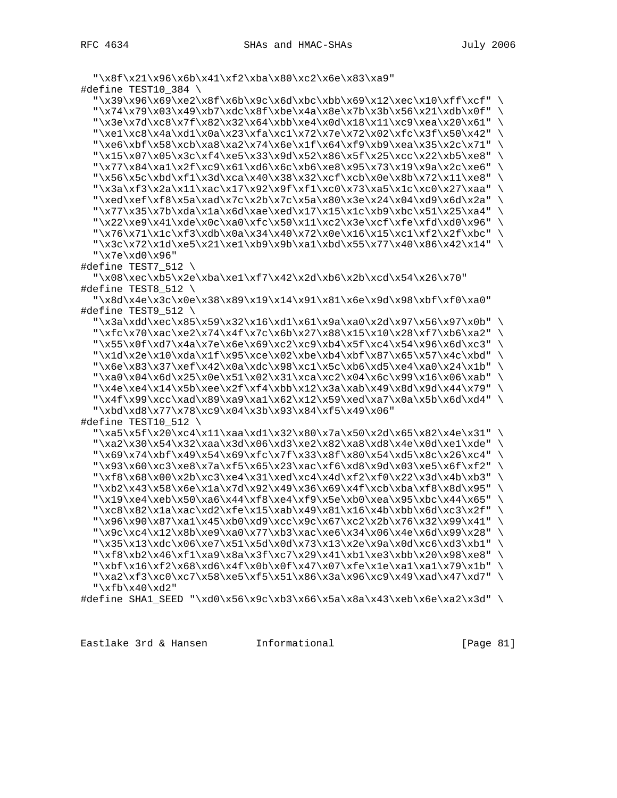```
 "\x8f\x21\x96\x6b\x41\xf2\xba\x80\xc2\x6e\x83\xa9"
#define TEST10_384 \
  "\x39\x96\x69\xe2\x8f\x6b\x9c\x6d\xbc\x69\x12\xec\x10\xff\xcf" \"\x74\x79\x03\x49\xb7\xdc\x8f\xbe\x4a\x8e\x7b\x3b\x56\x21\xdb\x0f" "\x3e\x7d\xc8\x7f\x82\x32\x64\xbb\xe4\x0d\x18\x11\xc9\xea\x20\x61" \
  "\xel\xc8\x4a\xd1\xa0a\x23\xfa\zc1\x72\x7e\x72\x02\xfc\x3f\x50\x42""\xe6\xbf\x58\xcb\xa8\xa2\x74\x6e\x1f\x64\xf9\xb9\xea\x35\x2c\x71" \
  "\x15\x07\x05\x3c\xf4\xe5\x33\x9d\x52\x86\x5f\x25\xcc\x22\xb5\xe8" \
  "\x77\x84\xa1\x2f\xc9\x61\xd6\xc6c\x66\xe8\x95\x73\x19\x9a\x2c\xe6""\x56\x5c\xbd\xf1\x3d\xca\x40\x38\x32\xcf\xcb\x0e\x8b\x72\x11\xe8""\x3a\xf3\x2a\x11\xac\x17\x92\x9f\xf1\xc0\x73\xa5\x1c\xc0\x27\xaa" \
  "\xed\xef\xf8\x5a\xad\x7c\x2b\x7c\x5a\x80\x3e\x24\x04\xd9\x6d\x2a" \
  "\x77\x35\x7b\xda\x1a\x6d\xae\xed\x17\x15\x1c\xb9\xbc\x51\x25\xa4" \
   "\x22\xe9\x41\xde\x0c\xa0\xfc\x50\x11\xc2\x3e\xcf\xfe\xfd\xd0\x96" \
  "\x76\x71\x1c\xf3\xdb\x0a\x34\x40\x72\x0e\x16\x15\xc1\xf2\x2f\xbc" \
   "\x3c\x72\x1d\xe5\x21\xe1\xb9\x9b\xa1\xbd\x55\x77\x40\x86\x42\x14" \
   "\x7e\xd0\x96"
#define TEST7_512 \
   "\x08\xec\xb5\x2e\xba\xe1\xf7\x42\x2d\xb6\x2b\xcd\x54\x26\x70"
#define TEST8_512 \
   "\x8d\x4e\x3c\x0e\x38\x89\x19\x14\x91\x81\x6e\x9d\x98\xbf\xf0\xa0"
#define TEST9_512 \
   "\x3a\xdd\xec\x85\x59\x32\x16\xd1\x61\x9a\xa0\x2d\x97\x56\x97\x0b" \
  "\xfc\x70\xac\xe2\x74\x4f\x7c\x6b\x27\x88\x15\x10\x28\xf7\xbb6\xa2""\x55\x0f\xd7\x4a\x7e\x6e\x69\xc2\xc9\xb4\x5f\xc4\x54\x96\x6d\xc3" \
  "\x1d\x2e\x10\xda\x1f\x95\xce\x02\xbe\xb4\xbf\x87\x65\x57\x4c\xbd" \
  "\x6e\x83\x37\xef\x42\x0a\xdc\x98\xc1\x5c\xb6\xd5\xe4\xa0\x24\x1b" \
  "\xa0\x04\x6d\x25\x0e\x1\x02\x31\xca\x12\x04\x6c\x99\x16\x06\xab""\x4e\xe4\x14\x5b\xee\x2f\xf4\xbb\12\x3a\xab\x49\x8d\x9d\x44\x79""\x4f\x99\xcc\xad\xa9\xa9\xa1\x62\x12\x59\xed\xa7\x0a\x5b\x6d\xd4" "\xbd\xd8\x77\x78\xc9\x04\x3b\x93\x84\xf5\x49\x06"
#define TEST10_512 \
   "\xa5\x5f\x20\xc4\x11\xaa\xd1\x32\x80\x7a\x50\x2d\x65\x82\x4e\x31" \
   "\xa2\x30\x54\x32\xaa\x3d\x06\xd3\xe2\x82\xa8\xd8\x4e\x0d\xe1\xde" \
   "\x69\x74\xbf\x49\x54\x69\xfc\x7f\x33\x8f\x80\x54\xd5\x8c\x26\xc4" \
   "\x93\x60\xc3\xe8\x7a\xf5\x65\x23\xac\xf6\xd8\x9d\x03\xe5\x6f\xf2" \
  "\xf8\x68\x00\x2b\xc3\xe4\x31\xed\xc4\x4d\xf2\xf0\x22\x3d\x4b\xb3" \
   "\xb2\x43\x58\x6e\x1a\x7d\x92\x49\x36\x69\x4f\xcb\xba\xf8\x8d\x95" \
  "\x19\xe4\xeb\x50\xa6\x44\xf8\xe4\xb5\x50\xea\x95\xbc\x44\x65" "\xc8\x82\x1a\xac\xd2\xfe\x15\xab\x49\x81\x16\x4b\xbb\x6d\xc3\x2f" \
   "\x96\x90\x87\xa1\x45\xb0\xd9\xcc\x9c\x67\xc2\x2b\x76\x32\x99\x41" \
  "\x9c\xc4\x12\x8b\xe9\xa0\x77\xb3\xac\xe6\x34\x06\x4e\x6d\x99\x28""\x35\x13\xdc\x06\xe7\x51\x5d\x0d\x73\x13\x2e\x9a\x0d\xc6\xd3\xb1" \
   "\xf8\xb2\x46\xf1\xa9\x8a\x3f\xc7\x29\x41\xb1\xe3\xbb\x20\x98\xe8" \
  "\xb\x16\x12\x68\xd6\x4f\x0b\x0f\x47\x07\xfe\x1e\xa1\xa1\x79\x1b" \ "\xa2\xf3\xc0\xc7\x58\xe5\xf5\x51\x86\x3a\x96\xc9\x49\xad\x47\xd7" \
   "\xfb\x40\xd2"
#define SHA1_SEED "\xd0\x56\x9c\xb3\x66\x5a\x8a\x43\xeb\x6e\xa2\x3d" \
```
Eastlake 3rd & Hansen Informational [Page 81]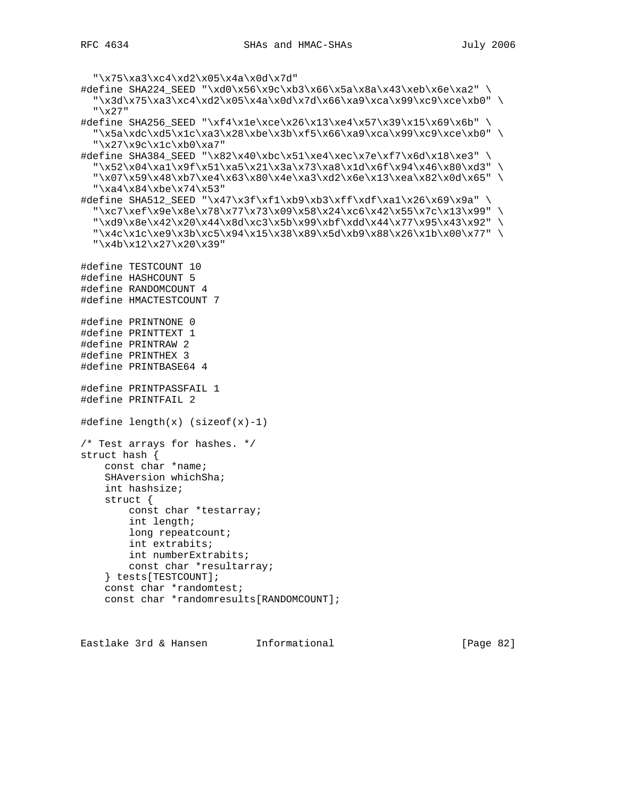```
 "\x75\xa3\xc4\xd2\x05\x4a\x0d\x7d"
#define SHA224_SEED "\xd0\x56\x9c\xb3\x66\x5a\x8a\x43\xeb\x6e\xa2" \
   "\x3d\x75\xa3\xc4\xd2\x05\x4a\x0d\x7d\x66\xa9\xca\x99\xc9\xce\xb0" \
   "\x27"
#define SHA256_SEED "\xf4\x1e\xce\x26\x13\xe4\x57\x39\x15\x69\x6b" \
  "\x5a\xdc\xd5\x1c\xa3\x28\xbe\x3b\xf5\x66\xa9\xca\x99\xc9\xce\xb0" \
   "\x27\x9c\x1c\xb0\xa7"
#define SHA384_SEED "\x82\x40\xbc\x51\xe4\xec\x7e\xf7\x6d\x18\xe3" \
   "\x52\x04\xa1\x9f\x51\xa5\x21\x3a\x73\xa8\x1d\x6f\x94\x46\x80\xd3" \
   "\x07\x59\x48\xb7\xe4\x63\x80\x4e\xa3\xd2\x6e\x13\xea\x82\x0d\x65" \
  "\xa4\x84\xbe\x74\x53"#define SHA512_SEED "\x47\x3f\xf1\xb9\xb3\xff\xdf\xa1\x26\x69\x9a" \
  "\xc7\xef\x9e\x8e\x78\x77\x73\x09\x58\x24\xc6\x42\x55\x7c\x13\x99" \
   "\xd9\x8e\x42\x20\x44\x8d\xc3\x5b\x99\xbf\xdd\x44\x77\x95\x43\x92" \
   "\x4c\x1c\xe9\x3b\xc5\x94\x15\x38\x89\x5d\xb9\x88\x26\x1b\x00\x77" \
   "\x4b\x12\x27\x20\x39"
#define TESTCOUNT 10
#define HASHCOUNT 5
#define RANDOMCOUNT 4
#define HMACTESTCOUNT 7
#define PRINTNONE 0
#define PRINTTEXT 1
#define PRINTRAW 2
#define PRINTHEX 3
#define PRINTBASE64 4
#define PRINTPASSFAIL 1
#define PRINTFAIL 2
#define length(x) (sizeof(x)-1)
/* Test arrays for hashes. */
struct hash {
     const char *name;
     SHAversion whichSha;
     int hashsize;
     struct {
         const char *testarray;
         int length;
        long repeatcount;
         int extrabits;
         int numberExtrabits;
         const char *resultarray;
     } tests[TESTCOUNT];
     const char *randomtest;
     const char *randomresults[RANDOMCOUNT];
```
Eastlake 3rd & Hansen Informational [Page 82]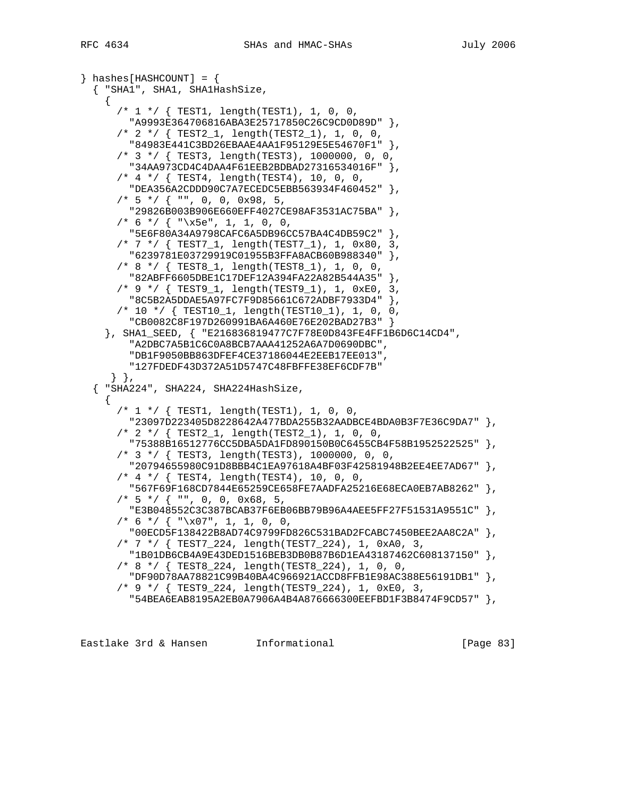```
\} hashes[HASHCOUNT] = {
   { "SHA1", SHA1, SHA1HashSize,
    \left\{ \right. /* 1 */ { TEST1, length(TEST1), 1, 0, 0,
         "A9993E364706816ABA3E25717850C26C9CD0D89D" },
       /* 2 */ { TEST2_1, length(TEST2_1), 1, 0, 0,
         "84983E441C3BD26EBAAE4AA1F95129E5E54670F1" },
       /* 3 */ { TEST3, length(TEST3), 1000000, 0, 0,
         "34AA973CD4C4DAA4F61EEB2BDBAD27316534016F" },
      /* 4 */ { TEST4, length(TEST4), 10, 0, 0,
         "DEA356A2CDDD90C7A7ECEDC5EBB563934F460452" },
      /* 5 */ { "", 0, 0, 0x98, 5,
         "29826B003B906E660EFF4027CE98AF3531AC75BA" },
      /* 6 */ { "x5e", 1, 1, 0, 0, "5E6F80A34A9798CAFC6A5DB96CC57BA4C4DB59C2" },
       /* 7 */ { TEST7_1, length(TEST7_1), 1, 0x80, 3,
         "6239781E03729919C01955B3FFA8ACB60B988340" },
       /* 8 */ { TEST8_1, length(TEST8_1), 1, 0, 0,
         "82ABFF6605DBE1C17DEF12A394FA22A82B544A35" },
       /* 9 */ { TEST9_1, length(TEST9_1), 1, 0xE0, 3,
         "8C5B2A5DDAE5A97FC7F9D85661C672ADBF7933D4" },
       /* 10 */ { TEST10_1, length(TEST10_1), 1, 0, 0,
         "CB0082C8F197D260991BA6A460E76E202BAD27B3" }
     }, SHA1_SEED, { "E216836819477C7F78E0D843FE4FF1B6D6C14CD4",
         "A2DBC7A5B1C6C0A8BCB7AAA41252A6A7D0690DBC",
         "DB1F9050BB863DFEF4CE37186044E2EEB17EE013",
         "127FDEDF43D372A51D5747C48FBFFE38EF6CDF7B"
     \},
   { "SHA224", SHA224, SHA224HashSize,
     {
       /* 1 */ { TEST1, length(TEST1), 1, 0, 0,
         "23097D223405D8228642A477BDA255B32AADBCE4BDA0B3F7E36C9DA7" },
       /* 2 */ { TEST2_1, length(TEST2_1), 1, 0, 0,
         "75388B16512776CC5DBA5DA1FD890150B0C6455CB4F58B1952522525" },
       /* 3 */ { TEST3, length(TEST3), 1000000, 0, 0,
         "20794655980C91D8BBB4C1EA97618A4BF03F42581948B2EE4EE7AD67" },
       /* 4 */ { TEST4, length(TEST4), 10, 0, 0,
         "567F69F168CD7844E65259CE658FE7AADFA25216E68ECA0EB7AB8262" },
      /* 5 */ { "", 0, 0, 0x68, 5,
         "E3B048552C3C387BCAB37F6EB06BB79B96A4AEE5FF27F51531A9551C" },
      /* 6 */ { "x07", 1, 1, 0, 0, "00ECD5F138422B8AD74C9799FD826C531BAD2FCABC7450BEE2AA8C2A" },
       /* 7 */ { TEST7_224, length(TEST7_224), 1, 0xA0, 3,
         "1B01DB6CB4A9E43DED1516BEB3DB0B87B6D1EA43187462C608137150" },
       /* 8 */ { TEST8_224, length(TEST8_224), 1, 0, 0,
         "DF90D78AA78821C99B40BA4C966921ACCD8FFB1E98AC388E56191DB1" },
       /* 9 */ { TEST9_224, length(TEST9_224), 1, 0xE0, 3,
         "54BEA6EAB8195A2EB0A7906A4B4A876666300EEFBD1F3B8474F9CD57" },
```
Eastlake 3rd & Hansen Informational [Page 83]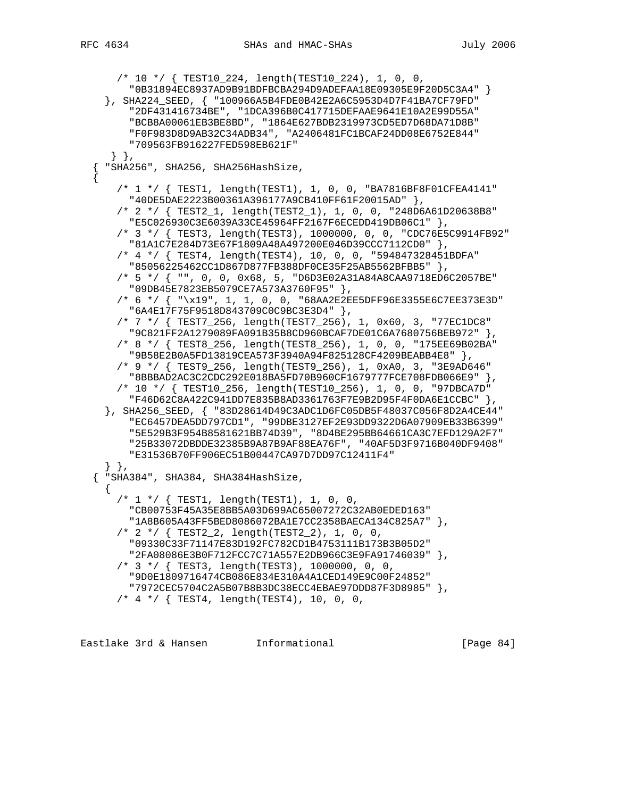```
 /* 10 */ { TEST10_224, length(TEST10_224), 1, 0, 0,
         "0B31894EC8937AD9B91BDFBCBA294D9ADEFAA18E09305E9F20D5C3A4" }
     }, SHA224_SEED, { "100966A5B4FDE0B42E2A6C5953D4D7F41BA7CF79FD"
         "2DF431416734BE", "1DCA396B0C417715DEFAAE9641E10A2E99D55A"
         "BCB8A00061EB3BE8BD", "1864E627BDB2319973CD5ED7D68DA71D8B"
         "F0F983D8D9AB32C34ADB34", "A2406481FC1BCAF24DD08E6752E844"
         "709563FB916227FED598EB621F"
      } },
     { "SHA256", SHA256, SHA256HashSize,
\{ /* 1 */ { TEST1, length(TEST1), 1, 0, 0, "BA7816BF8F01CFEA4141"
         "40DE5DAE2223B00361A396177A9CB410FF61F20015AD" },
       /* 2 */ { TEST2_1, length(TEST2_1), 1, 0, 0, "248D6A61D20638B8"
         "E5C026930C3E6039A33CE45964FF2167F6ECEDD419DB06C1" },
       /* 3 */ { TEST3, length(TEST3), 1000000, 0, 0, "CDC76E5C9914FB92"
         "81A1C7E284D73E67F1809A48A497200E046D39CCC7112CD0" },
       /* 4 */ { TEST4, length(TEST4), 10, 0, 0, "594847328451BDFA"
        "85056225462CC1D867D877FB388DF0CE35F25AB5562BFBB5" },
       /* 5 */ { "", 0, 0, 0x68, 5, "D6D3E02A31A84A8CAA9718ED6C2057BE"
        "09DB45E7823EB5079CE7A573A3760F95" },
       /* 6 */ { "\x19", 1, 1, 0, 0, "68AA2E2EE5DFF96E3355E6C7EE373E3D"
         "6A4E17F75F9518D843709C0C9BC3E3D4" },
       /* 7 */ { TEST7_256, length(TEST7_256), 1, 0x60, 3, "77EC1DC8"
         "9C821FF2A1279089FA091B35B8CD960BCAF7DE01C6A7680756BEB972" },
       /* 8 */ { TEST8_256, length(TEST8_256), 1, 0, 0, "175EE69B02BA"
         "9B58E2B0A5FD13819CEA573F3940A94F825128CF4209BEABB4E8" },
       /* 9 */ { TEST9_256, length(TEST9_256), 1, 0xA0, 3, "3E9AD646"
         "8BBBAD2AC3C2CDC292E018BA5FD70B960CF1679777FCE708FDB066E9" },
       /* 10 */ { TEST10_256, length(TEST10_256), 1, 0, 0, "97DBCA7D"
         "F46D62C8A422C941DD7E835B8AD3361763F7E9B2D95F4F0DA6E1CCBC" },
     }, SHA256_SEED, { "83D28614D49C3ADC1D6FC05DB5F48037C056F8D2A4CE44"
         "EC6457DEA5DD797CD1", "99DBE3127EF2E93DD9322D6A07909EB33B6399"
         "5E529B3F954B8581621BB74D39", "8D4BE295BB64661CA3C7EFD129A2F7"
         "25B33072DBDDE32385B9A87B9AF88EA76F", "40AF5D3F9716B040DF9408"
         "E31536B70FF906EC51B00447CA97D7DD97C12411F4"
     } },
   { "SHA384", SHA384, SHA384HashSize,
     {
       /* 1 */ { TEST1, length(TEST1), 1, 0, 0,
         "CB00753F45A35E8BB5A03D699AC65007272C32AB0EDED163"
         "1A8B605A43FF5BED8086072BA1E7CC2358BAECA134C825A7" },
       /* 2 */ { TEST2_2, length(TEST2_2), 1, 0, 0,
         "09330C33F71147E83D192FC782CD1B4753111B173B3B05D2"
         "2FA08086E3B0F712FCC7C71A557E2DB966C3E9FA91746039" },
       /* 3 */ { TEST3, length(TEST3), 1000000, 0, 0,
         "9D0E1809716474CB086E834E310A4A1CED149E9C00F24852"
         "7972CEC5704C2A5B07B8B3DC38ECC4EBAE97DDD87F3D8985" },
       /* 4 */ { TEST4, length(TEST4), 10, 0, 0,
```
Eastlake 3rd & Hansen Informational [Page 84]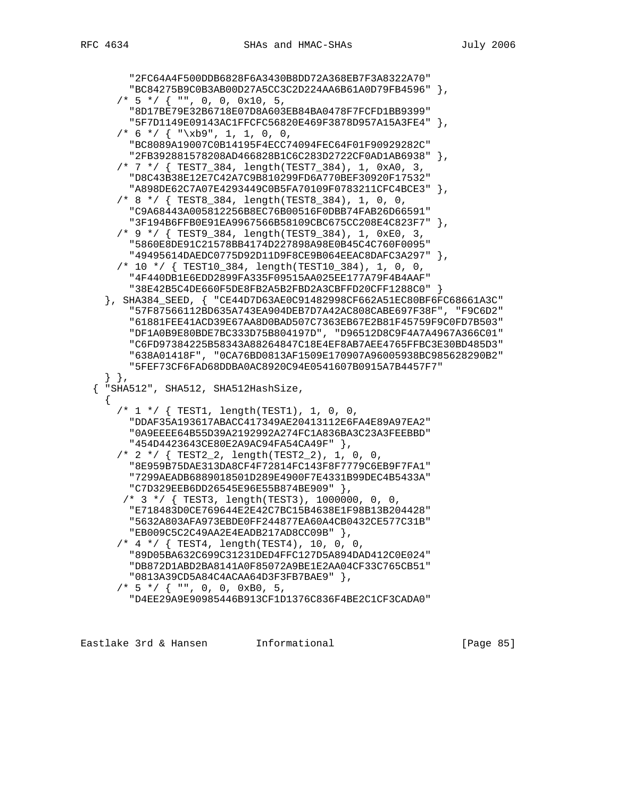```
 "2FC64A4F500DDB6828F6A3430B8DD72A368EB7F3A8322A70"
       "BC84275B9C0B3AB00D27A5CC3C2D224AA6B61A0D79FB4596" },
    /* 5 */ { "", 0, 0, 0x10, 5,
       "8D17BE79E32B6718E07D8A603EB84BA0478F7FCFD1BB9399"
       "5F7D1149E09143AC1FFCFC56820E469F3878D957A15A3FE4" },
    /* 6 */ {\n  "xb9", 1, 1, 0, 0, "BC8089A19007C0B14195F4ECC74094FEC64F01F90929282C"
       "2FB392881578208AD466828B1C6C283D2722CF0AD1AB6938" },
     /* 7 */ { TEST7_384, length(TEST7_384), 1, 0xA0, 3,
       "D8C43B38E12E7C42A7C9B810299FD6A770BEF30920F17532"
       "A898DE62C7A07E4293449C0B5FA70109F0783211CFC4BCE3" },
     /* 8 */ { TEST8_384, length(TEST8_384), 1, 0, 0,
       "C9A68443A005812256B8EC76B00516F0DBB74FAB26D66591"
       "3F194B6FFB0E91EA9967566B58109CBC675CC208E4C823F7" },
     /* 9 */ { TEST9_384, length(TEST9_384), 1, 0xE0, 3,
       "5860E8DE91C21578BB4174D227898A98E0B45C4C760F0095"
       "49495614DAEDC0775D92D11D9F8CE9B064EEAC8DAFC3A297" },
     /* 10 */ { TEST10_384, length(TEST10_384), 1, 0, 0,
       "4F440DB1E6EDD2899FA335F09515AA025EE177A79F4B4AAF"
       "38E42B5C4DE660F5DE8FB2A5B2FBD2A3CBFFD20CFF1288C0" }
  }, SHA384_SEED, { "CE44D7D63AE0C91482998CF662A51EC80BF6FC68661A3C"
       "57F87566112BD635A743EA904DEB7D7A42AC808CABE697F38F", "F9C6D2"
       "61881FEE41ACD39E67AA8D0BAD507C7363EB67E2B81F45759F9C0FD7B503"
       "DF1A0B9E80BDE7BC333D75B804197D", "D96512D8C9F4A7A4967A366C01"
       "C6FD97384225B58343A88264847C18E4EF8AB7AEE4765FFBC3E30BD485D3"
       "638A01418F", "0CA76BD0813AF1509E170907A96005938BC985628290B2"
       "5FEF73CF6FAD68DDBA0AC8920C94E0541607B0915A7B4457F7"
  \},
 { "SHA512", SHA512, SHA512HashSize,
  {
     /* 1 */ { TEST1, length(TEST1), 1, 0, 0,
       "DDAF35A193617ABACC417349AE20413112E6FA4E89A97EA2"
       "0A9EEEE64B55D39A2192992A274FC1A836BA3C23A3FEEBBD"
       "454D4423643CE80E2A9AC94FA54CA49F" },
     /* 2 */ { TEST2_2, length(TEST2_2), 1, 0, 0,
       "8E959B75DAE313DA8CF4F72814FC143F8F7779C6EB9F7FA1"
       "7299AEADB6889018501D289E4900F7E4331B99DEC4B5433A"
      "C7D329EEB6DD26545E96E55B874BE909" },
      /* 3 */ { TEST3, length(TEST3), 1000000, 0, 0,
       "E718483D0CE769644E2E42C7BC15B4638E1F98B13B204428"
       "5632A803AFA973EBDE0FF244877EA60A4CB0432CE577C31B"
      "EB009C5C2C49AA2E4EADB217AD8CC09B" },
     /* 4 */ { TEST4, length(TEST4), 10, 0, 0,
       "89D05BA632C699C31231DED4FFC127D5A894DAD412C0E024"
       "DB872D1ABD2BA8141A0F85072A9BE1E2AA04CF33C765CB51"
       "0813A39CD5A84C4ACAA64D3F3FB7BAE9" },
    /* 5 */ { "", 0, 0, 0xB0, 5,
       "D4EE29A9E90985446B913CF1D1376C836F4BE2C1CF3CADA0"
```
Eastlake 3rd & Hansen Informational [Page 85]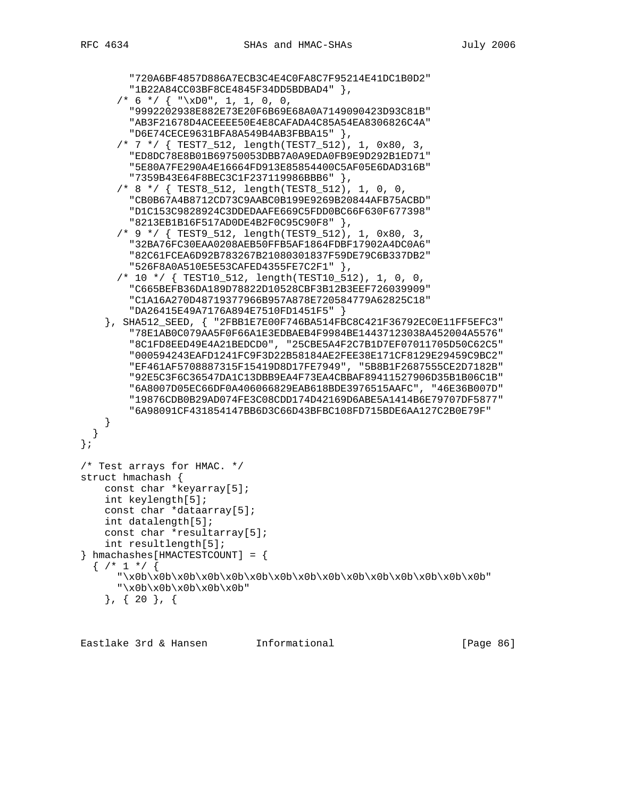```
 "720A6BF4857D886A7ECB3C4E4C0FA8C7F95214E41DC1B0D2"
         "1B22A84CC03BF8CE4845F34DD5BDBAD4" },
      /* 6 */ {\n  "xD0", 1, 1, 0, 0, "9992202938E882E73E20F6B69E68A0A7149090423D93C81B"
         "AB3F21678D4ACEEEE50E4E8CAFADA4C85A54EA8306826C4A"
         "D6E74CECE9631BFA8A549B4AB3FBBA15" },
       /* 7 */ { TEST7_512, length(TEST7_512), 1, 0x80, 3,
         "ED8DC78E8B01B69750053DBB7A0A9EDA0FB9E9D292B1ED71"
         "5E80A7FE290A4E16664FD913E85854400C5AF05E6DAD316B"
         "7359B43E64F8BEC3C1F237119986BBB6" },
       /* 8 */ { TEST8_512, length(TEST8_512), 1, 0, 0,
         "CB0B67A4B8712CD73C9AABC0B199E9269B20844AFB75ACBD"
         "D1C153C9828924C3DDEDAAFE669C5FDD0BC66F630F677398"
         "8213EB1B16F517AD0DE4B2F0C95C90F8" },
       /* 9 */ { TEST9_512, length(TEST9_512), 1, 0x80, 3,
         "32BA76FC30EAA0208AEB50FFB5AF1864FDBF17902A4DC0A6"
         "82C61FCEA6D92B783267B21080301837F59DE79C6B337DB2"
         "526F8A0A510E5E53CAFED4355FE7C2F1" },
       /* 10 */ { TEST10_512, length(TEST10_512), 1, 0, 0,
         "C665BEFB36DA189D78822D10528CBF3B12B3EEF726039909"
         "C1A16A270D48719377966B957A878E720584779A62825C18"
         "DA26415E49A7176A894E7510FD1451F5" }
     }, SHA512_SEED, { "2FBB1E7E00F746BA514FBC8C421F36792EC0E11FF5EFC3"
         "78E1AB0C079AA5F0F66A1E3EDBAEB4F9984BE14437123038A452004A5576"
         "8C1FD8EED49E4A21BEDCD0", "25CBE5A4F2C7B1D7EF07011705D50C62C5"
         "000594243EAFD1241FC9F3D22B58184AE2FEE38E171CF8129E29459C9BC2"
         "EF461AF5708887315F15419D8D17FE7949", "5B8B1F2687555CE2D7182B"
         "92E5C3F6C36547DA1C13DBB9EA4F73EA4CBBAF89411527906D35B1B06C1B"
         "6A8007D05EC66DF0A406066829EAB618BDE3976515AAFC", "46E36B007D"
         "19876CDB0B29AD074FE3C08CDD174D42169D6ABE5A1414B6E79707DF5877"
         "6A98091CF431854147BB6D3C66D43BFBC108FD715BDE6AA127C2B0E79F"
     }
   }
};
/* Test arrays for HMAC. */
struct hmachash {
     const char *keyarray[5];
     int keylength[5];
     const char *dataarray[5];
     int datalength[5];
    const char *resultarray[5];
     int resultlength[5];
\{ hmachashes[HMACTESTCOUNT] = \{\{ /* 1 */ {
       "\x0b\x0b\x0b\x0b\x0b\x0b\x0b\x0b\x0b\x0b\x0b\x0b\x0b\x0b\x0b"
      "\ab\times0b\x0b\x0b\x0b\x0b\x0b' }, { 20 }, {
```
Eastlake 3rd & Hansen Informational [Page 86]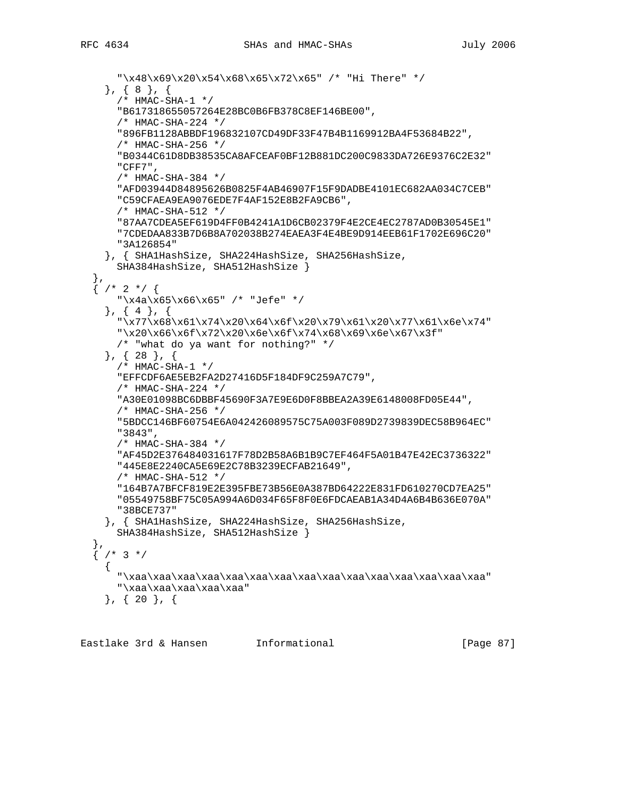```
 "\x48\x69\x20\x54\x68\x65\x72\x65" /* "Hi There" */
     }, { 8 }, {
       /* HMAC-SHA-1 */
       "B617318655057264E28BC0B6FB378C8EF146BE00",
       /* HMAC-SHA-224 */
       "896FB1128ABBDF196832107CD49DF33F47B4B1169912BA4F53684B22",
       /* HMAC-SHA-256 */
       "B0344C61D8DB38535CA8AFCEAF0BF12B881DC200C9833DA726E9376C2E32"
       "CFF7",
       /* HMAC-SHA-384 */
       "AFD03944D84895626B0825F4AB46907F15F9DADBE4101EC682AA034C7CEB"
       "C59CFAEA9EA9076EDE7F4AF152E8B2FA9CB6",
       /* HMAC-SHA-512 */
       "87AA7CDEA5EF619D4FF0B4241A1D6CB02379F4E2CE4EC2787AD0B30545E1"
       "7CDEDAA833B7D6B8A702038B274EAEA3F4E4BE9D914EEB61F1702E696C20"
       "3A126854"
     }, { SHA1HashSize, SHA224HashSize, SHA256HashSize,
      SHA384HashSize, SHA512HashSize }
 },
  \left\{ \frac{1}{2} \times 2 \times 1 \right\} "\x4a\x65\x66\x65" /* "Jefe" */
     }, { 4 }, {
       "\x77\x68\x61\x74\x20\x64\x6f\x20\x79\x61\x20\x77\x61\x6e\x74"
       "\x20\x66\x6f\x72\x20\x6e\x6f\x74\x68\x69\x6e\x67\x3f"
       /* "what do ya want for nothing?" */
     }, { 28 }, {
       /* HMAC-SHA-1 */
       "EFFCDF6AE5EB2FA2D27416D5F184DF9C259A7C79",
       /* HMAC-SHA-224 */
       "A30E01098BC6DBBF45690F3A7E9E6D0F8BBEA2A39E6148008FD05E44",
       /* HMAC-SHA-256 */
       "5BDCC146BF60754E6A042426089575C75A003F089D2739839DEC58B964EC"
       "3843",
       /* HMAC-SHA-384 */
       "AF45D2E376484031617F78D2B58A6B1B9C7EF464F5A01B47E42EC3736322"
       "445E8E2240CA5E69E2C78B3239ECFAB21649",
       /* HMAC-SHA-512 */
       "164B7A7BFCF819E2E395FBE73B56E0A387BD64222E831FD610270CD7EA25"
       "05549758BF75C05A994A6D034F65F8F0E6FDCAEAB1A34D4A6B4B636E070A"
       "38BCE737"
     }, { SHA1HashSize, SHA224HashSize, SHA256HashSize,
       SHA384HashSize, SHA512HashSize }
 },
  \frac{1}{2} /* 3 */
\{ "\xaa\xaa\xaa\xaa\xaa\xaa\xaa\xaa\xaa\xaa\xaa\xaa\xaa\xaa\xaa"
       "\xaa\xaa\xaa\xaa\xaa"
     }, { 20 }, {
```
Eastlake 3rd & Hansen Informational [Page 87]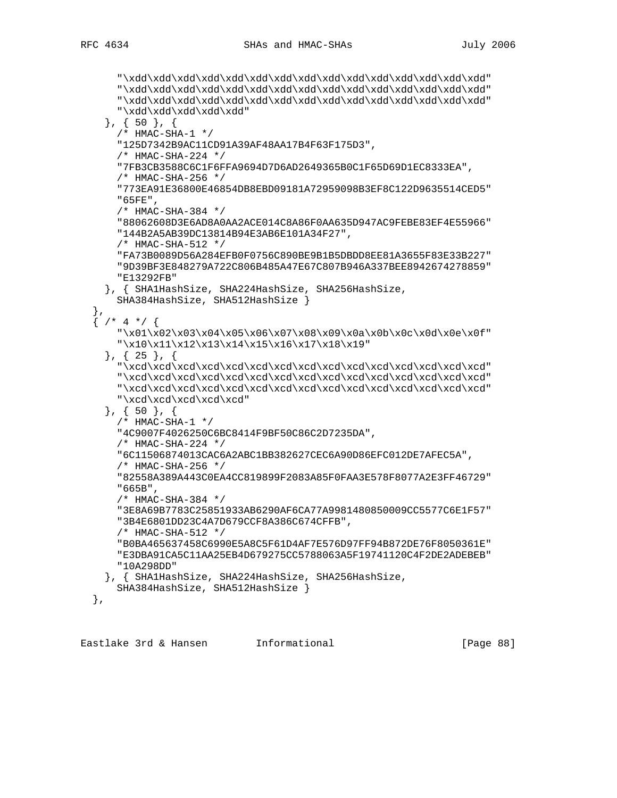"\xdd\xdd\xdd\xdd\xdd\xdd\xdd\xdd\xdd\xdd\xdd\xdd\xdd\xdd\xdd" "\xdd\xdd\xdd\xdd\xdd\xdd\xdd\xdd\xdd\xdd\xdd\xdd\xdd\xdd\xdd" "\xdd\xdd\xdd\xdd\xdd\xdd\xdd\xdd\xdd\xdd\xdd\xdd\xdd\xdd\xdd" "\xdd\xdd\xdd\xdd\xdd" }, { 50 }, { /\* HMAC-SHA-1 \*/ "125D7342B9AC11CD91A39AF48AA17B4F63F175D3", /\* HMAC-SHA-224 \*/ "7FB3CB3588C6C1F6FFA9694D7D6AD2649365B0C1F65D69D1EC8333EA", /\* HMAC-SHA-256 \*/ "773EA91E36800E46854DB8EBD09181A72959098B3EF8C122D9635514CED5" "65FE", /\* HMAC-SHA-384 \*/ "88062608D3E6AD8A0AA2ACE014C8A86F0AA635D947AC9FEBE83EF4E55966" "144B2A5AB39DC13814B94E3AB6E101A34F27", /\* HMAC-SHA-512 \*/ "FA73B0089D56A284EFB0F0756C890BE9B1B5DBDD8EE81A3655F83E33B227" "9D39BF3E848279A722C806B485A47E67C807B946A337BEE8942674278859" "E13292FB" }, { SHA1HashSize, SHA224HashSize, SHA256HashSize, SHA384HashSize, SHA512HashSize } },  $\left\{ \frac{1}{2} \times 4 \times 1 \right\}$  "\x01\x02\x03\x04\x05\x06\x07\x08\x09\x0a\x0b\x0c\x0d\x0e\x0f" "\x10\x11\x12\x13\x14\x15\x16\x17\x18\x19" }, { 25 }, { "\xcd\xcd\xcd\xcd\xcd\xcd\xcd\xcd\xcd\xcd\xcd\xcd\xcd\xcd\xcd" "\xcd\xcd\xcd\xcd\xcd\xcd\xcd\xcd\xcd\xcd\xcd\xcd\xcd\xcd\xcd" "\xcd\xcd\xcd\xcd\xcd\xcd\xcd\xcd\xcd\xcd\xcd\xcd\xcd\xcd\xcd" "\xcd\xcd\xcd\xcd\xcd" }, { 50 }, { /\* HMAC-SHA-1 \*/ "4C9007F4026250C6BC8414F9BF50C86C2D7235DA", /\* HMAC-SHA-224 \*/ "6C11506874013CAC6A2ABC1BB382627CEC6A90D86EFC012DE7AFEC5A", /\* HMAC-SHA-256 \*/ "82558A389A443C0EA4CC819899F2083A85F0FAA3E578F8077A2E3FF46729" "665B", /\* HMAC-SHA-384 \*/ "3E8A69B7783C25851933AB6290AF6CA77A9981480850009CC5577C6E1F57" "3B4E6801DD23C4A7D679CCF8A386C674CFFB", /\* HMAC-SHA-512 \*/ "B0BA465637458C6990E5A8C5F61D4AF7E576D97FF94B872DE76F8050361E" "E3DBA91CA5C11AA25EB4D679275CC5788063A5F19741120C4F2DE2ADEBEB" "10A298DD" }, { SHA1HashSize, SHA224HashSize, SHA256HashSize, SHA384HashSize, SHA512HashSize } },

Eastlake 3rd & Hansen Informational (Page 88)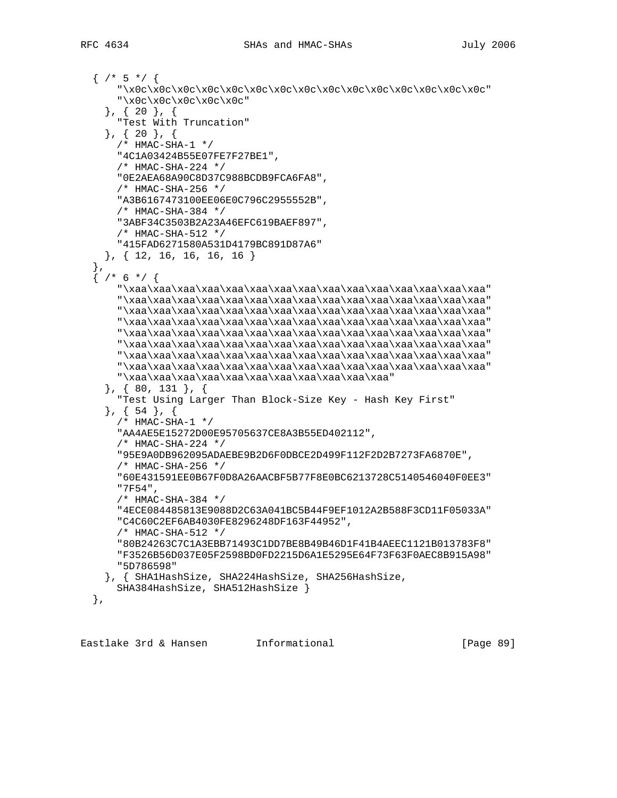```
\{ /* 5 */ {
       "\x0c\x0c\x0c\x0c\x0c\x0c\x0c\x0c\x0c\x0c\x0c\x0c\x0c\x0c\x0c"
       "\x0c\x0c\x0c\x0c\x0c"
     }, { 20 }, {
       "Test With Truncation"
     }, { 20 }, {
      /* HMAC-SHA-1 */
       "4C1A03424B55E07FE7F27BE1",
       /* HMAC-SHA-224 */
       "0E2AEA68A90C8D37C988BCDB9FCA6FA8",
       /* HMAC-SHA-256 */
       "A3B6167473100EE06E0C796C2955552B",
       /* HMAC-SHA-384 */
       "3ABF34C3503B2A23A46EFC619BAEF897",
       /* HMAC-SHA-512 */
       "415FAD6271580A531D4179BC891D87A6"
     }, { 12, 16, 16, 16, 16 }
 },
 { /* 6 */ {
       "\xaa\xaa\xaa\xaa\xaa\xaa\xaa\xaa\xaa\xaa\xaa\xaa\xaa\xaa\xaa"
       "\xaa\xaa\xaa\xaa\xaa\xaa\xaa\xaa\xaa\xaa\xaa\xaa\xaa\xaa\xaa"
       "\xaa\xaa\xaa\xaa\xaa\xaa\xaa\xaa\xaa\xaa\xaa\xaa\xaa\xaa\xaa"
       "\xaa\xaa\xaa\xaa\xaa\xaa\xaa\xaa\xaa\xaa\xaa\xaa\xaa\xaa\xaa"
       "\xaa\xaa\xaa\xaa\xaa\xaa\xaa\xaa\xaa\xaa\xaa\xaa\xaa\xaa\xaa"
       "\xaa\xaa\xaa\xaa\xaa\xaa\xaa\xaa\xaa\xaa\xaa\xaa\xaa\xaa\xaa"
       "\xaa\xaa\xaa\xaa\xaa\xaa\xaa\xaa\xaa\xaa\xaa\xaa\xaa\xaa\xaa"
       "\xaa\xaa\xaa\xaa\xaa\xaa\xaa\xaa\xaa\xaa\xaa\xaa\xaa\xaa\xaa"
       "\xaa\xaa\xaa\xaa\xaa\xaa\xaa\xaa\xaa\xaa\xaa"
     }, { 80, 131 }, {
       "Test Using Larger Than Block-Size Key - Hash Key First"
     }, { 54 }, {
       /* HMAC-SHA-1 */
       "AA4AE5E15272D00E95705637CE8A3B55ED402112",
       /* HMAC-SHA-224 */
       "95E9A0DB962095ADAEBE9B2D6F0DBCE2D499F112F2D2B7273FA6870E",
       /* HMAC-SHA-256 */
       "60E431591EE0B67F0D8A26AACBF5B77F8E0BC6213728C5140546040F0EE3"
       "7F54",
       /* HMAC-SHA-384 */
       "4ECE084485813E9088D2C63A041BC5B44F9EF1012A2B588F3CD11F05033A"
       "C4C60C2EF6AB4030FE8296248DF163F44952",
       /* HMAC-SHA-512 */
       "80B24263C7C1A3EBB71493C1DD7BE8B49B46D1F41B4AEEC1121B013783F8"
       "F3526B56D037E05F2598BD0FD2215D6A1E5295E64F73F63F0AEC8B915A98"
       "5D786598"
     }, { SHA1HashSize, SHA224HashSize, SHA256HashSize,
      SHA384HashSize, SHA512HashSize }
  },
```
Eastlake 3rd & Hansen Informational [Page 89]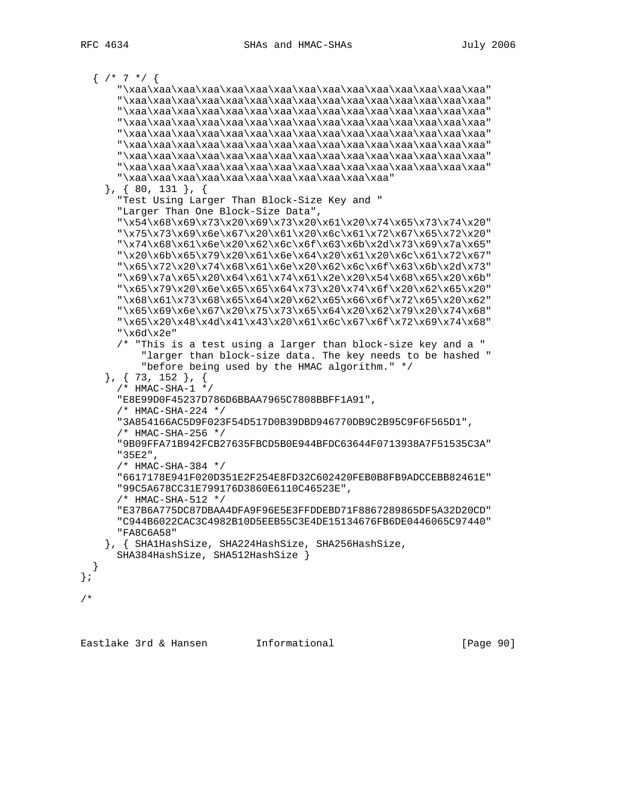```
\{ /* 7 */ {
     "\xaa\xaa\xaa\xaa\xaa\xaa\xaa\xaa\xaa\xaa\xaa\xaa\xaa\xaa\xaa"
     "\xaa\xaa\xaa\xaa\xaa\xaa\xaa\xaa\xaa\xaa\xaa\xaa\xaa\xaa\xaa"
     "\xaa\xaa\xaa\xaa\xaa\xaa\xaa\xaa\xaa\xaa\xaa\xaa\xaa\xaa\xaa"
     "\xaa\xaa\xaa\xaa\xaa\xaa\xaa\xaa\xaa\xaa\xaa\xaa\xaa\xaa\xaa"
     "\xaa\xaa\xaa\xaa\xaa\xaa\xaa\xaa\xaa\xaa\xaa\xaa\xaa\xaa\xaa"
     "\xaa\xaa\xaa\xaa\xaa\xaa\xaa\xaa\xaa\xaa\xaa\xaa\xaa\xaa\xaa"
     "\xaa\xaa\xaa\xaa\xaa\xaa\xaa\xaa\xaa\xaa\xaa\xaa\xaa\xaa\xaa"
     "\xaa\xaa\xaa\xaa\xaa\xaa\xaa\xaa\xaa\xaa\xaa\xaa\xaa\xaa\xaa"
     "\xaa\xaa\xaa\xaa\xaa\xaa\xaa\xaa\xaa\xaa\xaa"
   }, { 80, 131 }, {
     "Test Using Larger Than Block-Size Key and "
     "Larger Than One Block-Size Data",
     "\x54\x68\x69\x73\x20\x69\x73\x20\x61\x20\x74\x65\x73\x74\x20"
     "\x75\x73\x69\x6e\x67\x20\x61\x20\x6c\x61\x72\x67\x65\x72\x20"
     "\x74\x68\x61\x6e\x20\x62\x6c\x6f\x63\x6b\x2d\x73\x69\x7a\x65"
     "\x20\x6b\x65\x79\x20\x61\x6e\x64\x20\x61\x20\x6c\x61\x72\x67"
     "\x65\x72\x20\x74\x68\x61\x6e\x20\x62\x6c\x6f\x63\x6b\x2d\x73"
     "\x69\x7a\x65\x20\x64\x61\x74\x61\x2e\x20\x54\x68\x65\x20\x6b"
     "\x65\x79\x20\x6e\x65\x65\x64\x73\x20\x74\x6f\x20\x62\x65\x20"
     "\x68\x61\x73\x68\x65\x64\x20\x62\x65\x66\x6f\x72\x65\x20\x62"
     "\x65\x69\x6e\x67\x20\x75\x73\x65\x64\x20\x62\x79\x20\x74\x68"
     "\x65\x20\x48\x4d\x41\x43\x20\x61\x6c\x67\x6f\x72\x69\x74\x68"
     "\x6d\x2e"
     /* "This is a test using a larger than block-size key and a "
         "larger than block-size data. The key needs to be hashed "
         "before being used by the HMAC algorithm." */
   }, { 73, 152 }, {
     /* HMAC-SHA-1 */
     "E8E99D0F45237D786D6BBAA7965C7808BBFF1A91",
     /* HMAC-SHA-224 */
     "3A854166AC5D9F023F54D517D0B39DBD946770DB9C2B95C9F6F565D1",
     /* HMAC-SHA-256 */
     "9B09FFA71B942FCB27635FBCD5B0E944BFDC63644F0713938A7F51535C3A"
     "35E2",
     /* HMAC-SHA-384 */
     "6617178E941F020D351E2F254E8FD32C602420FEB0B8FB9ADCCEBB82461E"
     "99C5A678CC31E799176D3860E6110C46523E",
     /* HMAC-SHA-512 */
     "E37B6A775DC87DBAA4DFA9F96E5E3FFDDEBD71F8867289865DF5A32D20CD"
     "C944B6022CAC3C4982B10D5EEB55C3E4DE15134676FB6DE0446065C97440"
     "FA8C6A58"
   }, { SHA1HashSize, SHA224HashSize, SHA256HashSize,
     SHA384HashSize, SHA512HashSize }
 }
```
Eastlake 3rd & Hansen Informational [Page 90]

};

/\*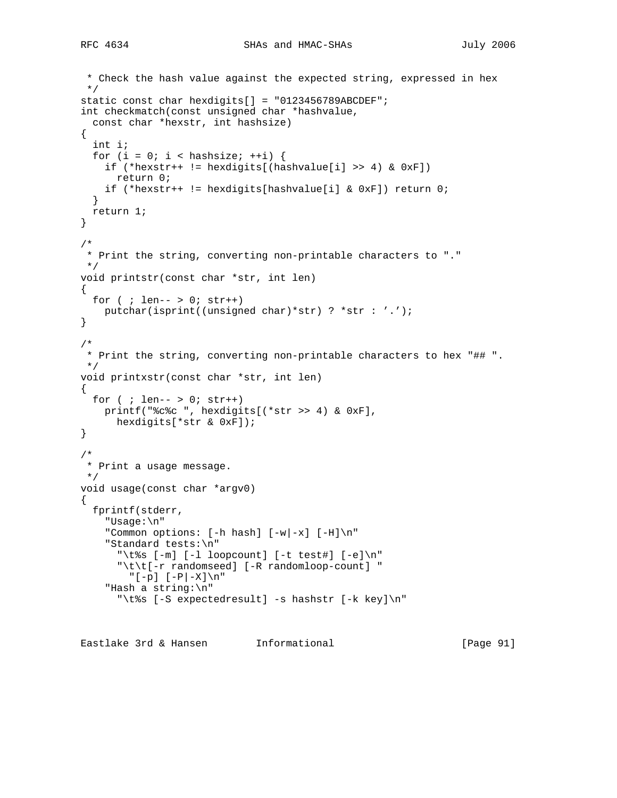```
 * Check the hash value against the expected string, expressed in hex
  */
static const char hexdigits[] = "0123456789ABCDEF";
int checkmatch(const unsigned char *hashvalue,
   const char *hexstr, int hashsize)
{
  int i;
  for (i = 0; i < hashsize; ++i) {
     if (*hexstr++ != hexdigits[(hashvalue[i] >> 4) & 0xF])
      return 0;
    if (*hexstr++ != hexdigits[hashvalue[i] & 0xF]) return 0;
   }
  return 1;
}
/*
  * Print the string, converting non-printable characters to "."
 */
void printstr(const char *str, int len)
{
 for ( ; len-- > 0; str++)
    putchar(isprint((unsigned char)*str) ? *str : '.');
}
/*
  * Print the string, converting non-printable characters to hex "## ".
  */
void printxstr(const char *str, int len)
{
 for ( ; len-- > 0; str++)
    printf("%c%c ", hexdigits[(*str >> 4) & 0xF],
      hexdigits[*str & 0xF]);
}
/*
  * Print a usage message.
 */
void usage(const char *argv0)
{
  fprintf(stderr,
     "Usage:\n"
    "Common options: [-h \text{ hash}] [-w] -x] [-H]\n\frac{m}{m} "Standard tests:\n"
      "\t%s [-m] [-1 loopcount] [-t test#] [-e]\n"
       "\t\t[-r randomseed] [-R randomloop-count] "
         "[-p] [-P|-X]\n"
     "Hash a string:\n"
       "\t%s [-S expectedresult] -s hashstr [-k key]\n"
```
Eastlake 3rd & Hansen Informational [Page 91]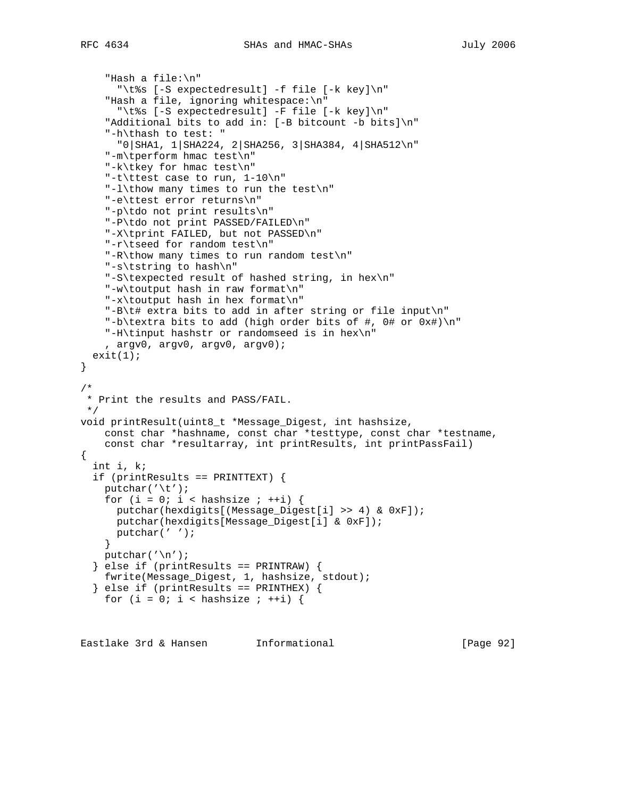```
 "Hash a file:\n"
  "\t%s [-S expectedresult] -f file [-k key]\n"
 "Hash a file, ignoring whitespace:\n"
  "\t%s [-S expectedresult] -F file [-k key]\n"
 "Additional bits to add in: [-B bitcount -b bits]\n"
 "-h\thash to test: "
  "0|SHA1, 1|SHA224, 2|SHA256, 3|SHA384, 4|SHA512\n"
```

```
 "-m\tperform hmac test\n"
     "-k\tkey for hmac test\n"
     "-t\ttest case to run, 1-10\n"
     "-l\thow many times to run the test\n"
     "-e\ttest error returns\n"
     "-p\tdo not print results\n"
     "-P\tdo not print PASSED/FAILED\n"
     "-X\tprint FAILED, but not PASSED\n"
     "-r\tseed for random test\n"
     "-R\thow many times to run random test\n"
     "-s\tstring to hash\n"
     "-S\texpected result of hashed string, in hex\n"
     "-w\toutput hash in raw format\n"
     "-x\toutput hash in hex format\n"
     "-B\t# extra bits to add in after string or file input\n"
     "-b\textra bits to add (high order bits of #, 0# or 0x#)\n"
     "-H\tinput hashstr or randomseed is in hex\n"
     , argv0, argv0, argv0, argv0);
  exit(1);}
/*
  * Print the results and PASS/FAIL.
 */
void printResult(uint8_t *Message_Digest, int hashsize,
    const char *hashname, const char *testtype, const char *testname,
   const char *resultarray, int printResults, int printPassFail)
{
   int i, k;
   if (printResults == PRINTTEXT) {
   putchar('\t t');
    for (i = 0; i < hashsize ; ++i) {
       putchar(hexdigits[(Message_Digest[i] >> 4) & 0xF]);
      putchar(hexdigits[Message_Digest[i] & 0xF]);
      putchar(' ');
     }
   putchar('\n\n\chi);
   } else if (printResults == PRINTRAW) {
    fwrite(Message_Digest, 1, hashsize, stdout);
   } else if (printResults == PRINTHEX) {
    for (i = 0; i < hashsize ; ++i) {
```
Eastlake 3rd & Hansen Informational [Page 92]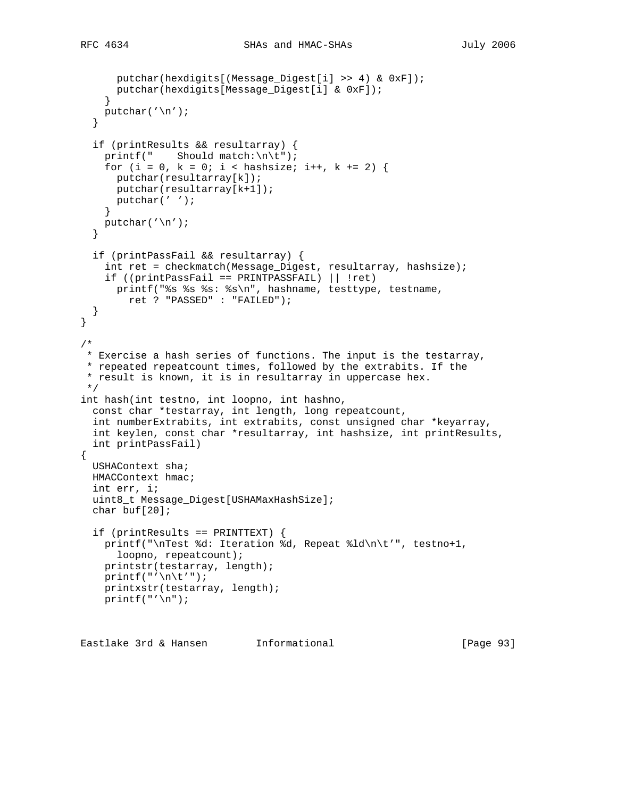```
RFC 4634 SHAs and HMAC-SHAs July 2006
```

```
 putchar(hexdigits[(Message_Digest[i] >> 4) & 0xF]);
      putchar(hexdigits[Message_Digest[i] & 0xF]);
 }
    putchar('\n');
   }
   if (printResults && resultarray) {
    printf(" Should match:\n\t");
    for (i = 0, k = 0; i < hashsize; i++, k += 2) {
      putchar(resultarray[k]);
      putchar(resultarray[k+1]);
      putchar(' ');
     }
   putchar('\n\n\chi);
   }
   if (printPassFail && resultarray) {
     int ret = checkmatch(Message_Digest, resultarray, hashsize);
     if ((printPassFail == PRINTPASSFAIL) || !ret)
      printf("%s %s %s: %s\n", hashname, testtype, testname,
         ret ? "PASSED" : "FAILED");
   }
}
/*
 * Exercise a hash series of functions. The input is the testarray,
 * repeated repeatcount times, followed by the extrabits. If the
  * result is known, it is in resultarray in uppercase hex.
 */
int hash(int testno, int loopno, int hashno,
  const char *testarray, int length, long repeatcount,
   int numberExtrabits, int extrabits, const unsigned char *keyarray,
   int keylen, const char *resultarray, int hashsize, int printResults,
   int printPassFail)
{
  USHAContext sha;
  HMACContext hmac;
  int err, i;
  uint8_t Message_Digest[USHAMaxHashSize];
  char buf[20];
   if (printResults == PRINTTEXT) {
    printf("\nTest %d: Iteration %d, Repeat %ld\n\t'", testno+1,
       loopno, repeatcount);
    printstr(testarray, length);
   print(f("'\n\nt'"); printxstr(testarray, length);
   print(f("'\n');
```
Eastlake 3rd & Hansen Informational [Page 93]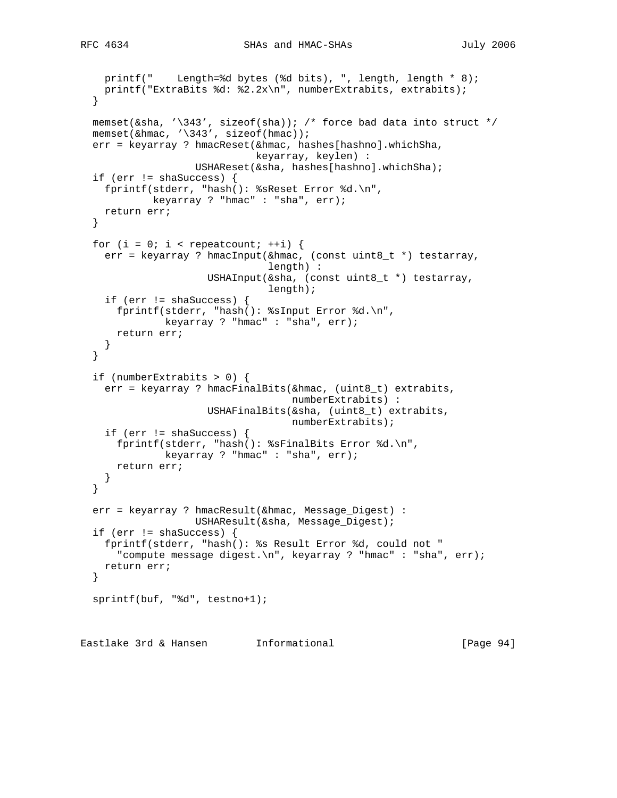```
 printf(" Length=%d bytes (%d bits), ", length, length * 8);
    printf("ExtraBits %d: %2.2x\n", numberExtrabits, extrabits);
  }
memset(&sha, '\343', sizeof(sha)); /* force bad data into struct */
memset(&hmac, '\343', sizeof(hmac));
  err = keyarray ? hmacReset(&hmac, hashes[hashno].whichSha,
                              keyarray, keylen) :
                    USHAReset(&sha, hashes[hashno].whichSha);
  if (err != shaSuccess) {
    fprintf(stderr, "hash(): %sReset Error %d.\n",
            keyarray ? "hmac" : "sha", err);
    return err;
  }
 for (i = 0; i < repeatcount; ++i) {
    err = keyarray ? hmacInput(&hmac, (const uint8_t *) testarray,
                                length) :
                      USHAInput(&sha, (const uint8_t *) testarray,
                                length);
    if (err != shaSuccess) {
      fprintf(stderr, "hash(): %sInput Error %d.\n",
              keyarray ? "hmac" : "sha", err);
      return err;
    }
  }
  if (numberExtrabits > 0) {
    err = keyarray ? hmacFinalBits(&hmac, (uint8_t) extrabits,
                                    numberExtrabits) :
                      USHAFinalBits(&sha, (uint8_t) extrabits,
                                    numberExtrabits);
    if (err != shaSuccess) {
      fprintf(stderr, "hash(): %sFinalBits Error %d.\n",
              keyarray ? "hmac" : "sha", err);
      return err;
    }
  }
  err = keyarray ? hmacResult(&hmac, Message_Digest) :
                   USHAResult(&sha, Message_Digest);
  if (err != shaSuccess) {
    fprintf(stderr, "hash(): %s Result Error %d, could not "
       "compute message digest.\n", keyarray ? "hmac" : "sha", err);
    return err;
  }
  sprintf(buf, "%d", testno+1);
```
Eastlake 3rd & Hansen Informational [Page 94]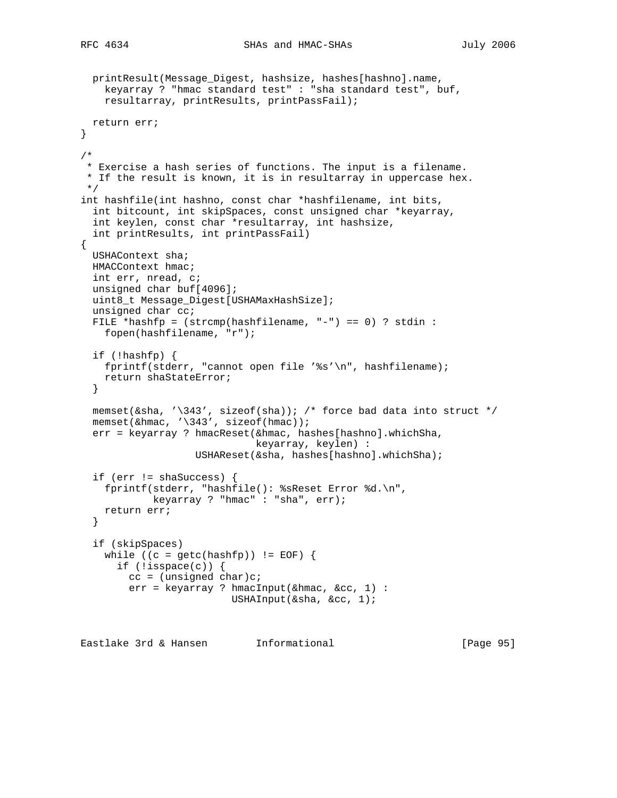```
 printResult(Message_Digest, hashsize, hashes[hashno].name,
    keyarray ? "hmac standard test" : "sha standard test", buf,
    resultarray, printResults, printPassFail);
  return err;
}
/*
  * Exercise a hash series of functions. The input is a filename.
 * If the result is known, it is in resultarray in uppercase hex.
 */
int hashfile(int hashno, const char *hashfilename, int bits,
   int bitcount, int skipSpaces, const unsigned char *keyarray,
   int keylen, const char *resultarray, int hashsize,
   int printResults, int printPassFail)
{
  USHAContext sha;
  HMACContext hmac;
  int err, nread, c;
  unsigned char buf[4096];
  uint8_t Message_Digest[USHAMaxHashSize];
  unsigned char cc;
  FILE *hashfp = (strcmp(hashfilename, "-") == 0) ? stdin :
    fopen(hashfilename, "r");
   if (!hashfp) {
    fprintf(stderr, "cannot open file '%s'\n", hashfilename);
    return shaStateError;
   }
 memset(&sha, '\343', sizeof(sha)); /* force bad data into struct */
  memset(&hmac, '\343', sizeof(hmac));
   err = keyarray ? hmacReset(&hmac, hashes[hashno].whichSha,
                              keyarray, keylen) :
                    USHAReset(&sha, hashes[hashno].whichSha);
   if (err != shaSuccess) {
    fprintf(stderr, "hashfile(): %sReset Error %d.\n",
            keyarray ? "hmac" : "sha", err);
    return err;
   }
   if (skipSpaces)
   while ((c = getc(hashfp)) != EOF) {
      if (!isspace(c)) {
       cc = (unsigned char)c;
        err = keyarray ? hmacInput(&hmac, &cc, 1) :
                          USHAInput(&sha, &cc, 1);
Eastlake 3rd & Hansen Informational [Page 95]
```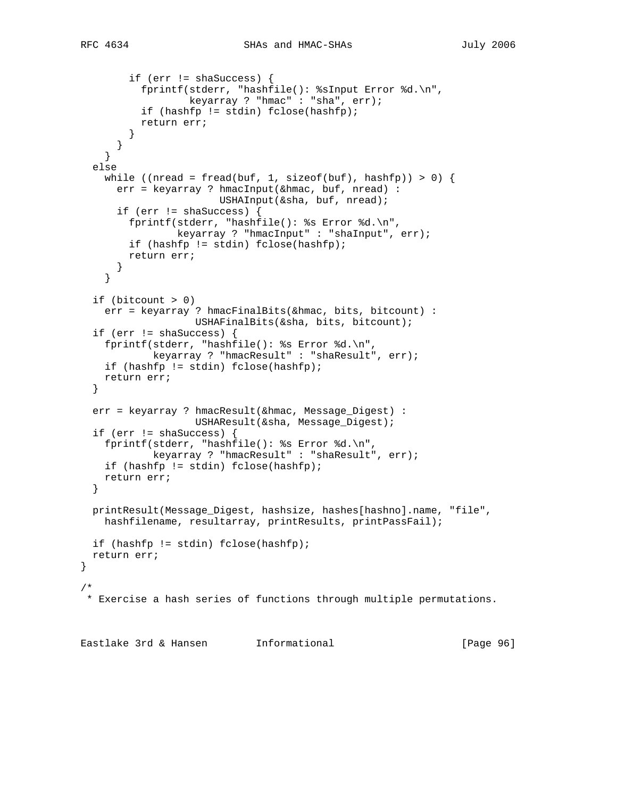```
 if (err != shaSuccess) {
           fprintf(stderr, "hashfile(): %sInput Error %d.\n",
                   keyarray ? "hmac" : "sha", err);
           if (hashfp != stdin) fclose(hashfp);
           return err;
 }
       }
     }
   else
   while ((nread = fread(buf, 1, sizeof(buf), hashfp)) > 0) {
      err = keyarray ? hmacInput(&hmac, buf, nread) :
                       USHAInput(&sha, buf, nread);
       if (err != shaSuccess) {
         fprintf(stderr, "hashfile(): %s Error %d.\n",
                keyarray ? "hmacInput" : "shaInput", err);
        if (hashfp != stdin) fclose(hashfp);
        return err;
       }
     }
   if (bitcount > 0)
     err = keyarray ? hmacFinalBits(&hmac, bits, bitcount) :
                   USHAFinalBits(&sha, bits, bitcount);
   if (err != shaSuccess) {
     fprintf(stderr, "hashfile(): %s Error %d.\n",
             keyarray ? "hmacResult" : "shaResult", err);
    if (hashfp != stdin) fclose(hashfp);
    return err;
   }
   err = keyarray ? hmacResult(&hmac, Message_Digest) :
                    USHAResult(&sha, Message_Digest);
   if (err != shaSuccess) {
    fprintf(stderr, "hashfile(): %s Error %d.\n",
            keyarray ? "hmacResult" : "shaResult", err);
    if (hashfp != stdin) fclose(hashfp);
    return err;
   }
  printResult(Message_Digest, hashsize, hashes[hashno].name, "file",
   hashfilename, resultarray, printResults, printPassFail);
   if (hashfp != stdin) fclose(hashfp);
   return err;
}
/*
 * Exercise a hash series of functions through multiple permutations.
Eastlake 3rd & Hansen Informational [Page 96]
```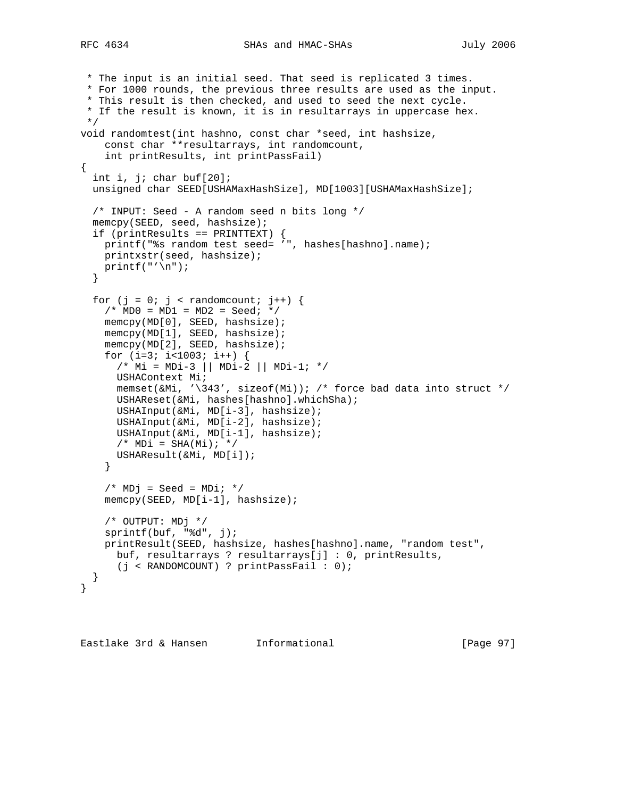```
 * The input is an initial seed. That seed is replicated 3 times.
  * For 1000 rounds, the previous three results are used as the input.
  * This result is then checked, and used to seed the next cycle.
  * If the result is known, it is in resultarrays in uppercase hex.
 */
void randomtest(int hashno, const char *seed, int hashsize,
     const char **resultarrays, int randomcount,
     int printResults, int printPassFail)
{
   int i, j; char buf[20];
  unsigned char SEED[USHAMaxHashSize], MD[1003][USHAMaxHashSize];
   /* INPUT: Seed - A random seed n bits long */
   memcpy(SEED, seed, hashsize);
   if (printResults == PRINTTEXT) {
   printf("%s random test seed= '", hashes[hashno].name);
    printxstr(seed, hashsize);
   print(f("'\n');
   }
  for (j = 0; j < randomcount; j++) {
    /* MDO = MD1 = MD2 = Seed; * memcpy(MD[0], SEED, hashsize);
     memcpy(MD[1], SEED, hashsize);
     memcpy(MD[2], SEED, hashsize);
    for (i=3; i<1003; i++) {
       /* Mi = MDi-3 || MDi-2 || MDi-1; */
      USHAContext Mi;
      memset(&Mi, '\343', sizeof(Mi)); /* force bad data into struct */
       USHAReset(&Mi, hashes[hashno].whichSha);
       USHAInput(&Mi, MD[i-3], hashsize);
      USHAInput(&Mi, MD[i-2], hashsize);
      USHAInput(&Mi, MD[i-1], hashsize);
     /* MDi = SHA(Mi); */
      USHAResult(&Mi, MD[i]);
     }
    /* MDj = Seed = MDi; */
    memcpy(SEED, MD[i-1], hashsize);
     /* OUTPUT: MDj */
     sprintf(buf, "%d", j);
     printResult(SEED, hashsize, hashes[hashno].name, "random test",
      buf, resultarrays ? resultarrays[j] : 0, printResults,
      (j < RANDOMCOUNT) ? printPassFail : 0);
   }
}
```
Eastlake 3rd & Hansen Informational [Page 97]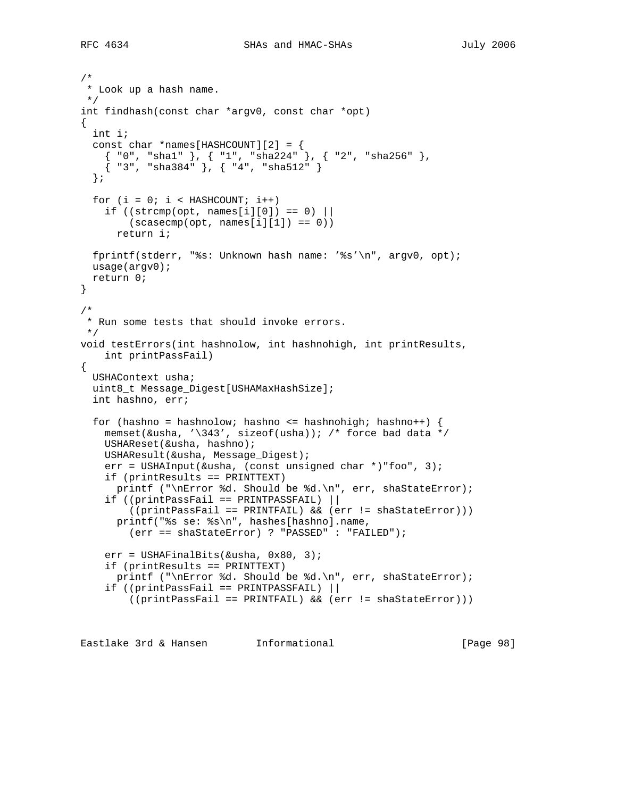```
/*
 * Look up a hash name.
 */
int findhash(const char *argv0, const char *opt)
{
   int i;
  const char *names[HASHCOUNT][2] = {
  {\{  "0", "sha1" } \}, {\{  "1", "sha224" } \}, {\{  "2", "sha256" } \},\{ "3", "sha384" }, \{ "4", "sha512" }
   };
 for (i = 0; i < HASHCOUNT; i++)if ((\text{strcmp}(\text{opt}, \text{names}[i][0]) == 0)(s\ncasecmp(opt, names[i][1]) == 0)) return i;
  fprintf(stderr, "%s: Unknown hash name: '%s'\n", argv0, opt);
  usage(argv0);
  return 0;
}
/*
 * Run some tests that should invoke errors.
 */
void testErrors(int hashnolow, int hashnohigh, int printResults,
    int printPassFail)
{
  USHAContext usha;
  uint8_t Message_Digest[USHAMaxHashSize];
   int hashno, err;
  for (hashno = hashnolow; hashno <= hashnohigh; hashno++) {
     memset(&usha, '\343', sizeof(usha)); /* force bad data */
     USHAReset(&usha, hashno);
    USHAResult(&usha, Message_Digest);
     err = USHAInput(&usha, (const unsigned char *)"foo", 3);
     if (printResults == PRINTTEXT)
     printf ("\nError %d. Should be %d.\n", err, shaStateError);
     if ((printPassFail == PRINTPASSFAIL) ||
         ((printPassFail == PRINTFAIL) && (err != shaStateError)))
       printf("%s se: %s\n", hashes[hashno].name,
         (err == shaStateError) ? "PASSED" : "FAILED");
    err = USHAFinalBits(&usha, 0x80, 3);
     if (printResults == PRINTTEXT)
      printf ("\nError %d. Should be %d.\n", err, shaStateError);
     if ((printPassFail == PRINTPASSFAIL) ||
         ((printPassFail == PRINTFAIL) && (err != shaStateError)))
```
Eastlake 3rd & Hansen Informational [Page 98]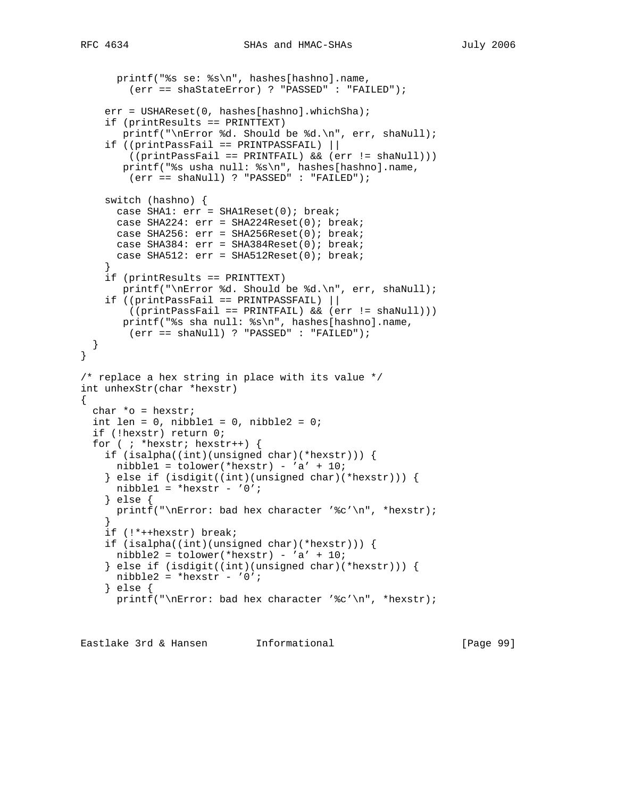```
 printf("%s se: %s\n", hashes[hashno].name,
         (err == shaStateError) ? "PASSED" : "FAILED");
    err = USHAReset(0, hashes[hashno].whichSha);
     if (printResults == PRINTTEXT)
       printf("\nError %d. Should be %d.\n", err, shaNull);
     if ((printPassFail == PRINTPASSFAIL) ||
         ((printPassFail == PRINTFAIL) && (err != shaNull)))
       printf("%s usha null: %s\n", hashes[hashno].name,
         (err == shaNull) ? "PASSED" : "FAILED");
     switch (hashno) {
     case SHA1: err = SHA1Reset(0); break;
      case SHA224: err = SHA224Reset(0); break;
      case SHA256: err = SHA256Reset(0); break;
      case SHA384: err = SHA384Reset(0); break;
      case SHA512: err = SHA512Reset(0); break;
 }
     if (printResults == PRINTTEXT)
       printf("\nError %d. Should be %d.\n", err, shaNull);
     if ((printPassFail == PRINTPASSFAIL) ||
        ((printPassFail == PRINTFAIL) && (err != shaNull)))
       printf("%s sha null: %s\n", hashes[hashno].name,
         (err == shaNull) ? "PASSED" : "FAILED");
   }
}
/* replace a hex string in place with its value */
int unhexStr(char *hexstr)
{
  char *o = hexstr;
  int len = 0, nibble1 = 0, nibble2 = 0;
   if (!hexstr) return 0;
  for ( ; *hexstr; hexstr++) {
     if (isalpha((int)(unsigned char)(*hexstr))) {
     nibble1 = tolower(*hexstr) - 'a' + 10; } else if (isdigit((int)(unsigned char)(*hexstr))) {
     nibble1 = *hexstr - '0';
     } else {
     printf("\nError: bad hex character '%c'\n", *hexstr);
 }
     if (!*++hexstr) break;
     if (isalpha((int)(unsigned char)(*hexstr))) {
     nibble2 = tolower(*hexstr) - 'a' + 10;
     } else if (isdigit((int)(unsigned char)(*hexstr))) {
     nibble2 = *hexstr - '0';
     } else {
     printf("\nError: bad hex character '%c'\n", *hexstr);
```
Eastlake 3rd & Hansen Informational [Page 99]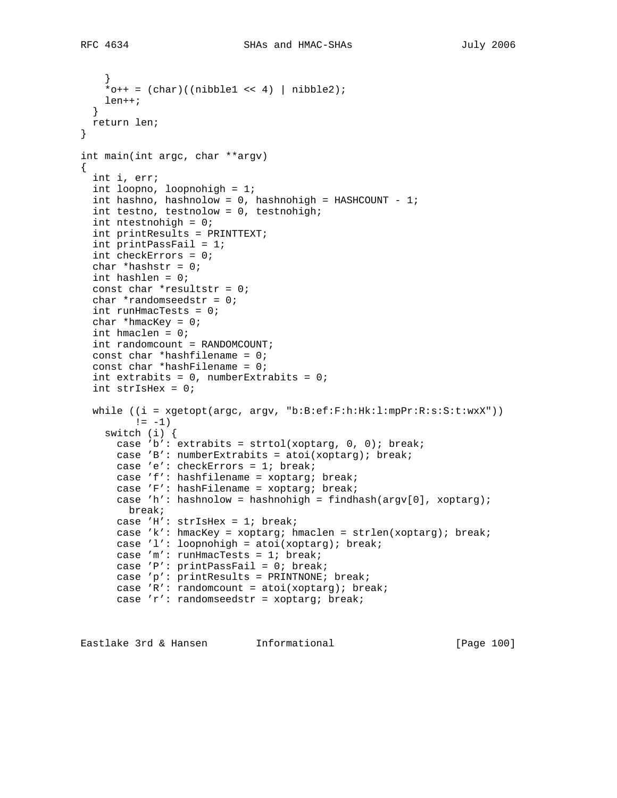```
 }
    *o++ = (char) ((nibble1 << 4) | nibble2);
    len++;
   }
  return len;
}
int main(int argc, char **argv)
{
  int i, err;
  int loopno, loopnohigh = 1;
 int hashno, hashnolow = 0, hashnohigh = HASHCOUNT - 1;
  int testno, testnolow = 0, testnohigh;
  int ntestnohigh = 0;
  int printResults = PRINTTEXT;
  int printPassFail = 1;
   int checkErrors = 0;
 char *hashstr = 0;
  int hashlen = 0;
 const char *resultstr = 0;
  char *randomseedstr = 0;
  int runHmacTests = 0;
 char *hmacKey = 0;
  int hmaclen = 0;
  int randomcount = RANDOMCOUNT;
   const char *hashfilename = 0;
 const char *hashFilename = 0;
  int extrabits = 0, numberExtrabits = 0;
   int strIsHex = 0;
   while ((i = xgetopt(argc, argv, "b:B:ef:F:h:Hk:l:mpPr:R:s:S:t:wxX"))
        != -1) switch (i) {
      case 'b': extrabits = strtol(xoptarg, 0, 0); break;
      case 'B': numberExtrabits = atoi(xoptarg); break;
      case 'e': checkErrors = 1; break;
      case 'f': hashfilename = xoptarg; break;
       case 'F': hashFilename = xoptarg; break;
      case 'h': hashnolow = hashnohigh = findhash(argv[0], xoptarg);
        break;
      case 'H': strIsHex = 1; break;
      case 'k': hmacKey = xoptarg; hmaclen = strlen(xoptarg); break;
      case 'l': loopnohigh = atoi(xoptarg); break;
      case 'm': runHmacTests = 1; break;
      case 'P': printPassFail = 0; break;
      case 'p': printResults = PRINTNONE; break;
     case 'R': randomcount = atoi(xoptarg); break;
      case 'r': randomseedstr = xoptarg; break;
```
Eastlake 3rd & Hansen Informational [Page 100]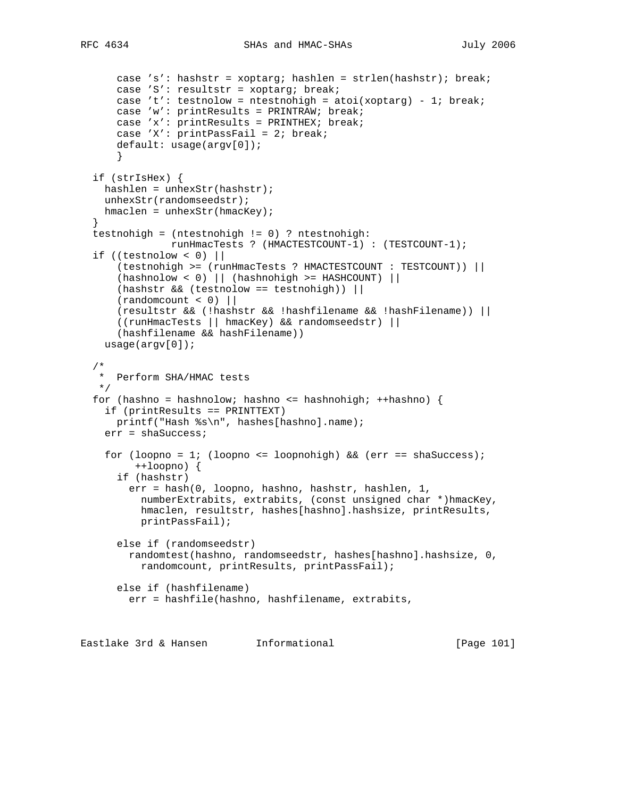```
 case 's': hashstr = xoptarg; hashlen = strlen(hashstr); break;
       case 'S': resultstr = xoptarg; break;
     case 't': testnolow = ntestnohigh = atoi(xoptarg) - 1; break;
      case 'w': printResults = PRINTRAW; break;
      case 'x': printResults = PRINTHEX; break;
      case 'X': printPassFail = 2; break;
      default: usage(argv[0]);
       }
  if (strIsHex) {
    hashlen = unhexStr(hashstr);
    unhexStr(randomseedstr);
   hmaclen = unhexStr(hmacKey);
 }
  testnohigh = (ntestnohigh != 0) ? ntestnohigh:
               runHmacTests ? (HMACTESTCOUNT-1) : (TESTCOUNT-1);
  if ((testnolow < 0) ||
      (testnohigh >= (runHmacTests ? HMACTESTCOUNT : TESTCOUNT)) ||
       (hashnolow < 0) || (hashnohigh >= HASHCOUNT) ||
      (hashstr \& (testnolow == testnohigh))(randomcount < 0)|
      (resultstr && (!hashstr && !hashfilename && !hashFilename)) ||
       ((runHmacTests || hmacKey) && randomseedstr) ||
       (hashfilename && hashFilename))
    usage(argv[0]);
  /*
   * Perform SHA/HMAC tests
   */
 for (hashno = hashnolow; hashno <= hashnohigh; ++hashno) {
    if (printResults == PRINTTEXT)
      printf("Hash %s\n", hashes[hashno].name);
    err = shaSuccess;
    for (loopno = 1; (loopno <= loopnohigh) && (err == shaSuccess);
         ++loopno) {
       if (hashstr)
        err = hash(0, loopno, hashno, hashstr, hashlen, 1,
           numberExtrabits, extrabits, (const unsigned char *)hmacKey,
           hmaclen, resultstr, hashes[hashno].hashsize, printResults,
           printPassFail);
       else if (randomseedstr)
        randomtest(hashno, randomseedstr, hashes[hashno].hashsize, 0,
         randomcount, printResults, printPassFail);
      else if (hashfilename)
        err = hashfile(hashno, hashfilename, extrabits,
```
Eastlake 3rd & Hansen Informational [Page 101]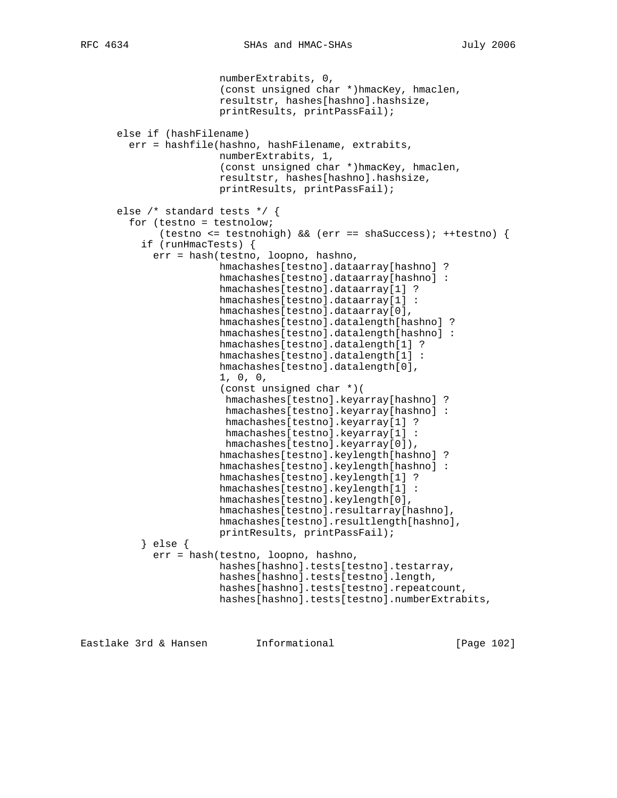numberExtrabits, 0, (const unsigned char \*)hmacKey, hmaclen, resultstr, hashes[hashno].hashsize, printResults, printPassFail); else if (hashFilename) err = hashfile(hashno, hashFilename, extrabits, numberExtrabits, 1, (const unsigned char \*)hmacKey, hmaclen, resultstr, hashes[hashno].hashsize, printResults, printPassFail); else /\* standard tests \*/ { for (testno = testnolow; (testno <= testnohigh) && (err == shaSuccess); ++testno) { if (runHmacTests) { err = hash(testno, loopno, hashno, hmachashes[testno].dataarray[hashno] ? hmachashes[testno].dataarray[hashno] : hmachashes[testno].dataarray[1] ? hmachashes[testno].dataarray[1] : hmachashes[testno].dataarray[0], hmachashes[testno].datalength[hashno] ? hmachashes[testno].datalength[hashno] : hmachashes[testno].datalength[1] ? hmachashes[testno].datalength[1] : hmachashes[testno].datalength[0], 1, 0, 0, (const unsigned char \*)( hmachashes[testno].keyarray[hashno] ? hmachashes[testno].keyarray[hashno] : hmachashes[testno].keyarray[1] ? hmachashes[testno].keyarray[1] : hmachashes[testno].keyarray[0]), hmachashes[testno].keylength[hashno] ? hmachashes[testno].keylength[hashno] : hmachashes[testno].keylength[1] ? hmachashes[testno].keylength[1] : hmachashes[testno].keylength[0], hmachashes[testno].resultarray[hashno], hmachashes[testno].resultlength[hashno], printResults, printPassFail); } else { err = hash(testno, loopno, hashno, hashes[hashno].tests[testno].testarray, hashes[hashno].tests[testno].length, hashes[hashno].tests[testno].repeatcount, hashes[hashno].tests[testno].numberExtrabits,

Eastlake 3rd & Hansen Informational [Page 102]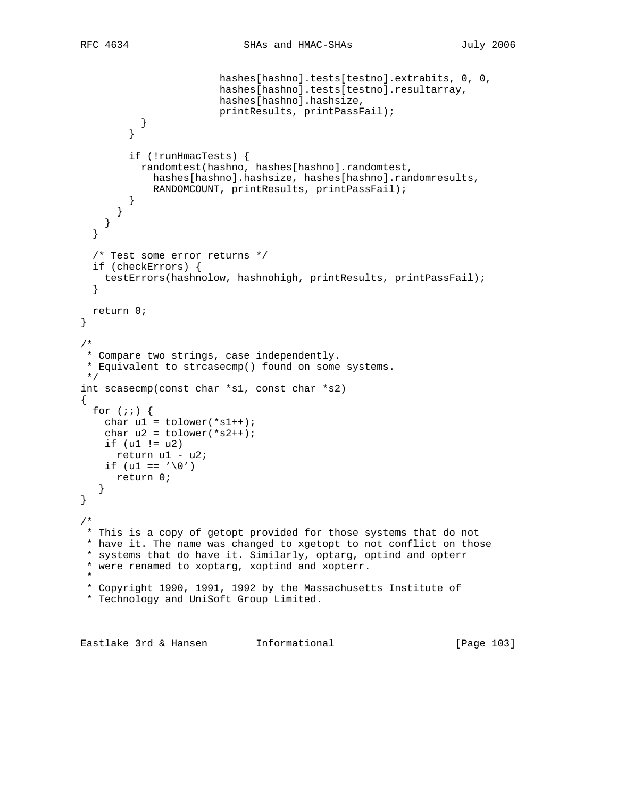```
 hashes[hashno].tests[testno].extrabits, 0, 0,
                         hashes[hashno].tests[testno].resultarray,
                         hashes[hashno].hashsize,
                         printResults, printPassFail);
           }
         }
         if (!runHmacTests) {
           randomtest(hashno, hashes[hashno].randomtest,
             hashes[hashno].hashsize, hashes[hashno].randomresults,
            RANDOMCOUNT, printResults, printPassFail);
         }
       }
     }
   }
   /* Test some error returns */
   if (checkErrors) {
    testErrors(hashnolow, hashnohigh, printResults, printPassFail);
   }
  return 0;
}
/*
 * Compare two strings, case independently.
 * Equivalent to strcasecmp() found on some systems.
 */
int scasecmp(const char *s1, const char *s2)
{
  for (i; j) {
   char ul = tolower(*sl++);
    char u2 = tolower(*s2++);
   if (ul := u2) return u1 - u2;
   if (u1 == \prime \setminus 0')
      return 0;
    }
}
/*
 * This is a copy of getopt provided for those systems that do not
 * have it. The name was changed to xgetopt to not conflict on those
 * systems that do have it. Similarly, optarg, optind and opterr
 * were renamed to xoptarg, xoptind and xopterr.
 *
  * Copyright 1990, 1991, 1992 by the Massachusetts Institute of
  * Technology and UniSoft Group Limited.
```
Eastlake 3rd & Hansen Informational [Page 103]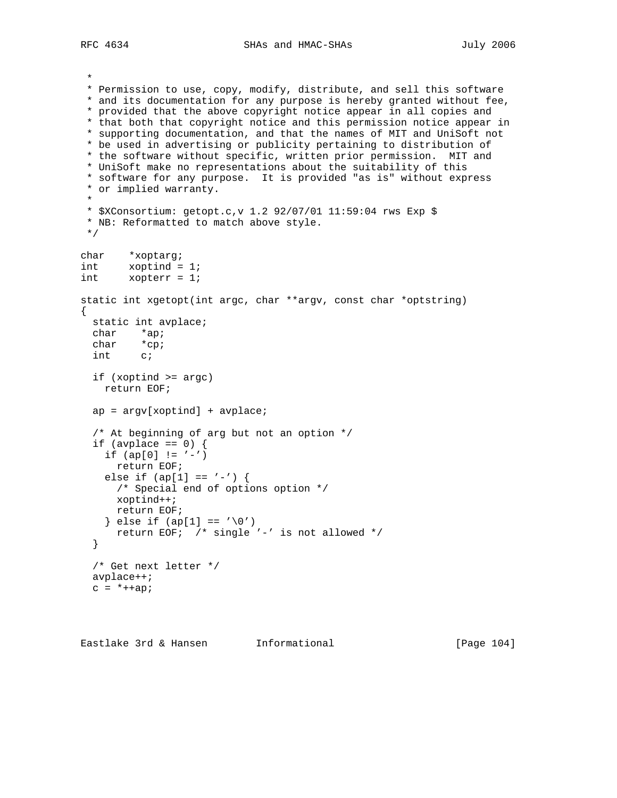RFC 4634 SHAs and HMAC-SHAs July 2006

 \* \* Permission to use, copy, modify, distribute, and sell this software \* and its documentation for any purpose is hereby granted without fee, \* provided that the above copyright notice appear in all copies and \* that both that copyright notice and this permission notice appear in \* supporting documentation, and that the names of MIT and UniSoft not \* be used in advertising or publicity pertaining to distribution of \* the software without specific, written prior permission. MIT and \* UniSoft make no representations about the suitability of this \* software for any purpose. It is provided "as is" without express \* or implied warranty. \* \* \$XConsortium: getopt.c,v 1.2 92/07/01 11:59:04 rws Exp \$ \* NB: Reformatted to match above style. \*/ char \*xoptarg; int xoptind = 1; int xopterr = 1; static int xgetopt(int argc, char \*\*argv, const char \*optstring) { static int avplace; char \*ap; char \*cp; int c; if (xoptind >= argc) return EOF;  $ap = argv[xoptind] + avglace;$  /\* At beginning of arg but not an option \*/ if (avplace ==  $0)$  { if  $(ap[0]$  != '-') return EOF; else if  $(ap[1] == '-'')$  { /\* Special end of options option \*/ xoptind++; return EOF; } else if  $(ap[1] == ' \0')$  return EOF; /\* single '-' is not allowed \*/ } /\* Get next letter \*/ avplace++;  $c = *++ap;$ 

Eastlake 3rd & Hansen Informational [Page 104]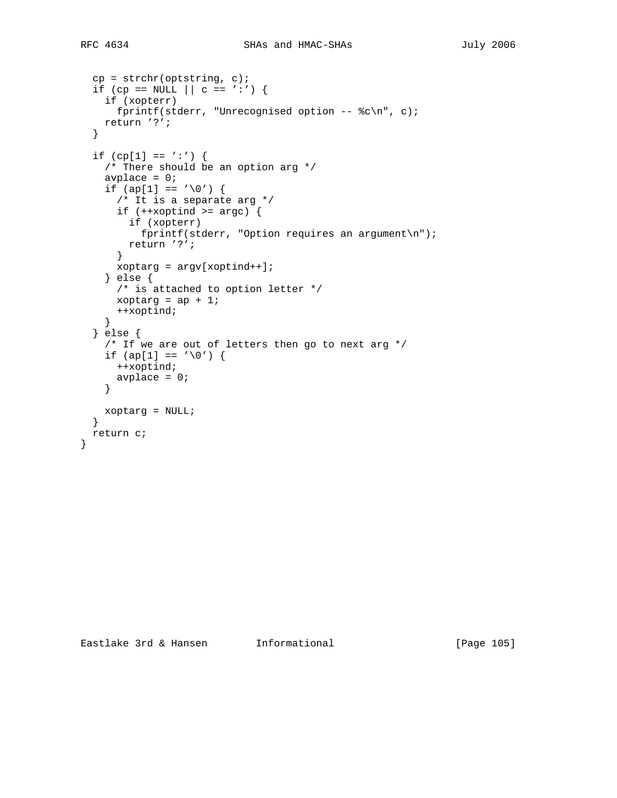}

```
cp = strchr(optim, c);if (cp == NULL || c == ' :') {
   if (xopterr)
    fprintf(stderr, "Unrecognised option -- c\c\n", c);
  return '?';
 }
if (cp[1] == ' :') {
   /* There should be an option arg */
  avplace = 0;
  if (ap[1] == ' \0') {
    /* It is a separate arg */
   if (++xoptind >= argc) {
      if (xopterr)
       fprintf(stderr, "Option requires an argument\ln");
      return '?';
     }
     xoptarg = argv[xoptind++];
   } else {
    /* is attached to option letter */
    xoptarg = ap + 1;
    ++xoptind;
   }
 } else {
  /* If we are out of letters then go to next arg */if (ap[1] == ' \0') {
    ++xoptind;
    avplace = 0;
   }
  xoptarg = NULL;
 }
 return c;
```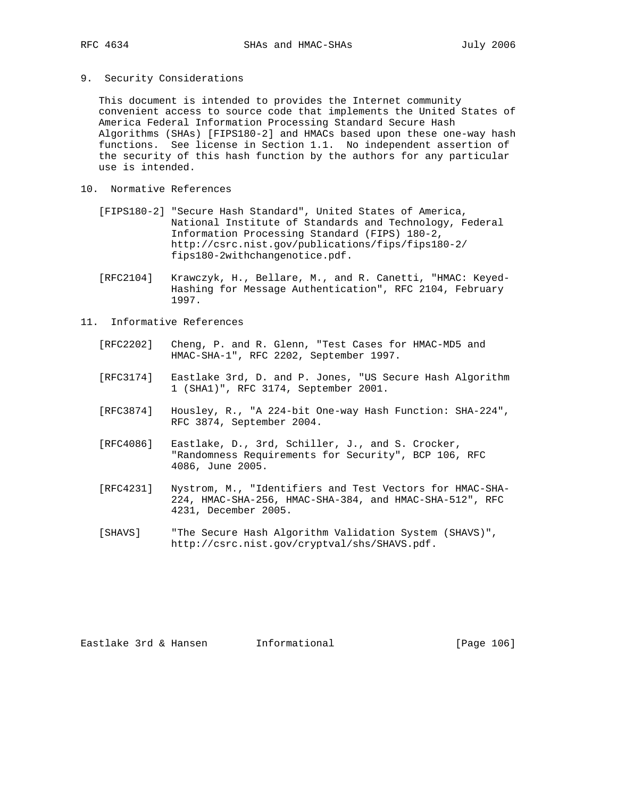9. Security Considerations

 This document is intended to provides the Internet community convenient access to source code that implements the United States of America Federal Information Processing Standard Secure Hash Algorithms (SHAs) [FIPS180-2] and HMACs based upon these one-way hash functions. See license in Section 1.1. No independent assertion of the security of this hash function by the authors for any particular use is intended.

- 10. Normative References
	- [FIPS180-2] "Secure Hash Standard", United States of America, National Institute of Standards and Technology, Federal Information Processing Standard (FIPS) 180-2, http://csrc.nist.gov/publications/fips/fips180-2/ fips180-2withchangenotice.pdf.
	- [RFC2104] Krawczyk, H., Bellare, M., and R. Canetti, "HMAC: Keyed- Hashing for Message Authentication", RFC 2104, February 1997.

## 11. Informative References

- [RFC2202] Cheng, P. and R. Glenn, "Test Cases for HMAC-MD5 and HMAC-SHA-1", RFC 2202, September 1997.
- [RFC3174] Eastlake 3rd, D. and P. Jones, "US Secure Hash Algorithm 1 (SHA1)", RFC 3174, September 2001.
- [RFC3874] Housley, R., "A 224-bit One-way Hash Function: SHA-224", RFC 3874, September 2004.
- [RFC4086] Eastlake, D., 3rd, Schiller, J., and S. Crocker, "Randomness Requirements for Security", BCP 106, RFC 4086, June 2005.
- [RFC4231] Nystrom, M., "Identifiers and Test Vectors for HMAC-SHA- 224, HMAC-SHA-256, HMAC-SHA-384, and HMAC-SHA-512", RFC 4231, December 2005.
- [SHAVS] "The Secure Hash Algorithm Validation System (SHAVS)", http://csrc.nist.gov/cryptval/shs/SHAVS.pdf.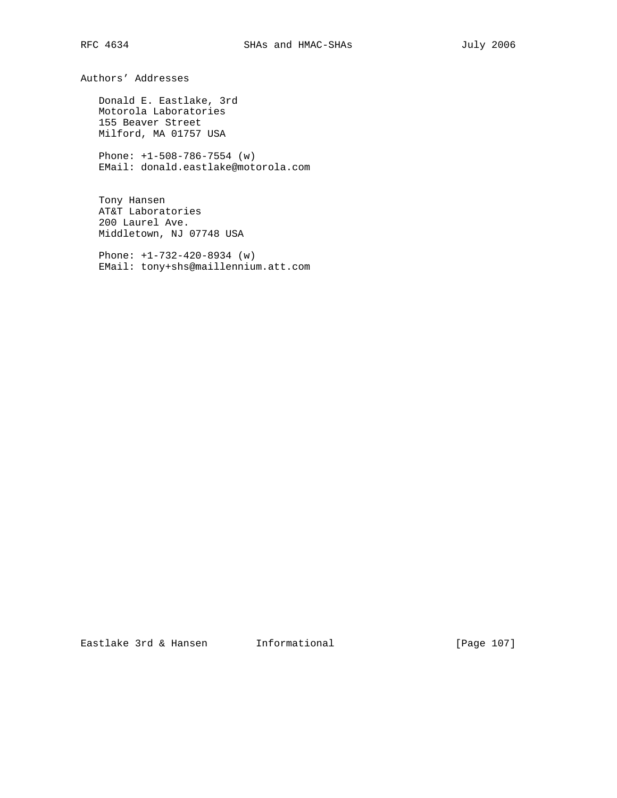Authors' Addresses

 Donald E. Eastlake, 3rd Motorola Laboratories 155 Beaver Street Milford, MA 01757 USA

 Phone: +1-508-786-7554 (w) EMail: donald.eastlake@motorola.com

 Tony Hansen AT&T Laboratories 200 Laurel Ave. Middletown, NJ 07748 USA

 Phone: +1-732-420-8934 (w) EMail: tony+shs@maillennium.att.com